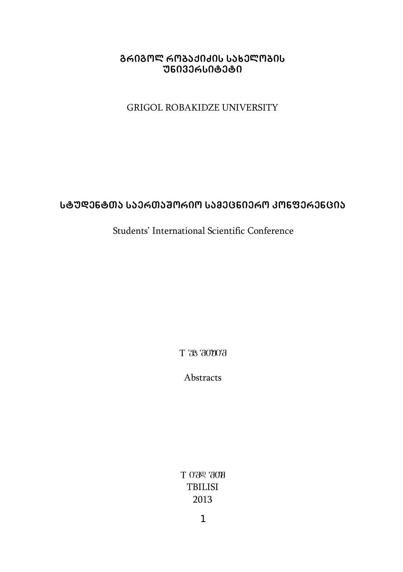#### **grigol robaqiZis saxelobis <u>ᲣᲜᲘᲕᲔᲠᲡᲘᲢᲔᲢᲘ</u>**

#### GRIGOL ROBAKIDZE UNIVERSITY

#### **studentTa saerTaSorio samecniero konferencia**

### Students' International Scientific Conference

 $T$   $78$  3000 $3$ 

Abstracts

 $T$  0  $R$   $R$   $T$  0  $T$   $R$   $T$   $T$   $R$   $T$   $T$   $R$   $T$   $T$   $R$   $T$   $T$ TBILISI 2013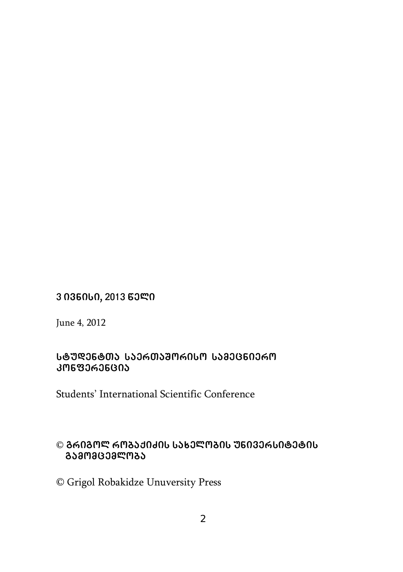### $3036000, 201363$  ሚ

June 4, 2012

#### Ს**ᲢᲣᲓᲔᲜᲢᲗᲐ ᲡᲐᲔᲠᲗᲐᲨᲝᲠᲘᲡᲝ ᲡᲐ**ᲛᲔᲪᲜᲘᲔᲠᲝ **konferencia**

Students' International Scientific Conference

### © ᲒᲠᲘᲒᲝᲚ ᲠᲝᲑᲐᲥᲘᲫᲘᲡ ᲡᲐ**ᲮᲔᲚᲝᲑᲘᲡ ᲣᲜᲘᲕᲔᲠᲡᲘᲢᲔᲢ**ᲘᲡ  **gamomcemloba**

© Grigol Robakidze Unuversity Press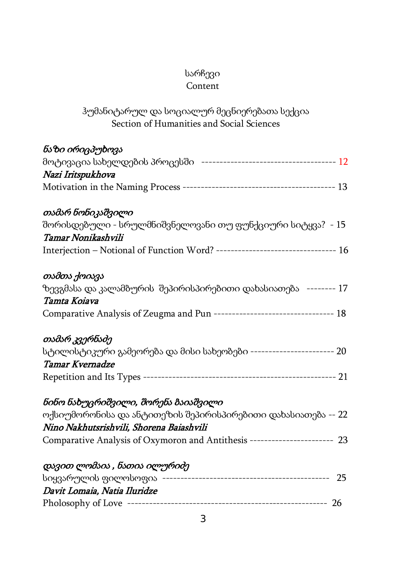# სარჩევი

# Content

# ჰუმანიტარულ და სოციალურ მეცნიერებათა სექცია Section of Humanities and Social Sciences

| ნაზი ირიცპუხოვა                                                               |
|-------------------------------------------------------------------------------|
|                                                                               |
| Nazi Iritspukhova                                                             |
|                                                                               |
| თამარ ნონიკაშვილი                                                             |
| შორისდებული - სრულმნიშვნელოვანი თუ ფუნქციური სიტყვა? - 15                     |
| Tamar Nonikashvili                                                            |
| Interjection - Notional of Function Word? -------------------------------- 16 |
| თამთა ქოიავა                                                                  |
| ზევგმასა და კალამბურის შეპირისპირებითი დახასიათება -------- 17                |
| Tamta Koiava                                                                  |
| Comparative Analysis of Zeugma and Pun ------------------------------- 18     |
| თამარ კვერნაძე                                                                |
| სტილისტიკური გამეორება და მისი სახეობები ----------------------- 20           |
| Tamar Kvernadze                                                               |
|                                                                               |
| ნინო ნახუცრიშვილი, შორენა ბაიაშვილი                                           |
| ოქსიუმორონისა და ანტითეზის შეპირისპირებითი დახასიათება -- 22                  |
| Nino Nakhutsrishvili, Shorena Baiashvili                                      |
| Comparative Analysis of Oxymoron and Antithesis ---------------------- 23     |
| დავით ლომაია , ნათია ილურიძე                                                  |
|                                                                               |
| Davit Lomaia, Natia Iluridze                                                  |
|                                                                               |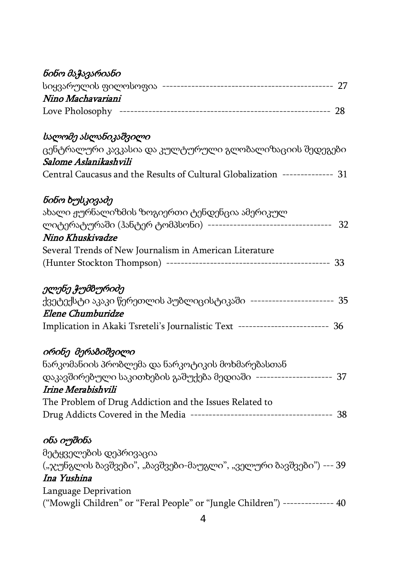| ნინო მაჭავარიანი                                                              |
|-------------------------------------------------------------------------------|
|                                                                               |
| Nino Machavariani                                                             |
|                                                                               |
|                                                                               |
| სალომე ასლანიკაშვილი                                                          |
| ცენტრალური კავკასია და კულტურული გლობალიზაციის შედეგები                       |
| Salome Aslanikashvili                                                         |
| Central Caucasus and the Results of Cultural Globalization -------------- 31  |
| ნინო ხუსკივაძე                                                                |
| ახალი ჟურნალიზმის ზოგიერთი ტენდენცია ამერიკულ                                 |
| 32                                                                            |
| Nino Khuskivadze                                                              |
| Several Trends of New Journalism in American Literature                       |
|                                                                               |
| ელენე ჭუმბურიძე                                                               |
| ქვეტექსტი აკაკი წერეთლის პუბლიცისტიკაში ----------------------- 35            |
| Elene Chumburidze                                                             |
| Implication in Akaki Tsreteli's Journalistic Text ------------------------ 36 |
| ირინე მერაბიშვილი                                                             |
| ნარკომანიის პრობლემა და ნარკოტიკის მოხმარებასთან                              |
| დაკავშირებული საკითხების გაშუქება მედიაში -------------------- 37             |
| Irine Merabishvili                                                            |
| The Problem of Drug Addiction and the Issues Related to                       |
|                                                                               |
| ინა იუშინა                                                                    |
| მეტყველების დეპრივაცია                                                        |
| ("ჯუნგლის ბავშვები", "ბავშვები-მაუგლი", "ველური ბავშვები") --- 39             |
| Ina Yushina                                                                   |
| Language Deprivation                                                          |
| ("Mowgli Children" or "Feral People" or "Jungle Children") -------------- 40  |
|                                                                               |
| 4                                                                             |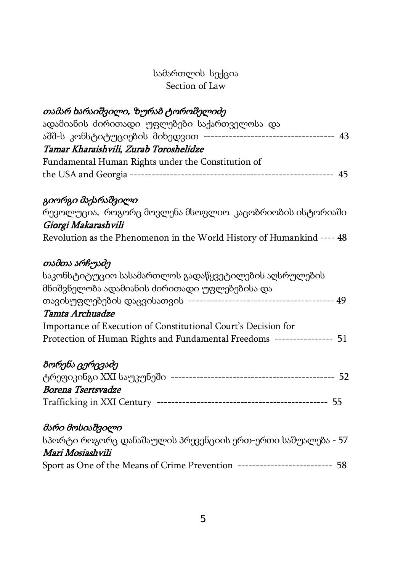### სამართლის სექცია Section of Law

# თამარ ხარაიშვილი, ზურაბ ტოროშელიძე

| ადამიანის ძირითადი უფლებები საქართველოსა და                           |    |
|-----------------------------------------------------------------------|----|
| აშშ-ს კონსტიტუციების მიხედვით<br>------------------------------------ | 43 |
| Tamar Kharaishvili, Zurab Toroshelidze                                |    |
| Fundamental Human Rights under the Constitution of                    |    |
|                                                                       |    |

### გიორგი მაქარაშვილი

| რევოლუცია, როგორც მოვლენა მსოფლიო კაცობრიობის ისტორიაში                |  |  |  |
|------------------------------------------------------------------------|--|--|--|
| Giorgi Makarashvili                                                    |  |  |  |
| Revolution as the Phenomenon in the World History of Humankind ---- 48 |  |  |  |

# თამთა არჩუაძე

| საკონსტიტუციო სასამართლოს გადაწყვეტილების აღსრულების                |    |
|---------------------------------------------------------------------|----|
| მნიშვნელობა ადამიანის ძირითადი უფლებებისა და                        |    |
|                                                                     | 49 |
| Tamta Archuadze                                                     |    |
| Importance of Execution of Constitutional Court's Decision for      |    |
| Protection of Human Rights and Fundamental Freedoms --------------- | 51 |
| ბორენა ცერცვაძე                                                     |    |

|                    | -52 |
|--------------------|-----|
| Borena Tsertsvadze |     |
|                    |     |

# მარი მოსიაშვილი

| სპორტი როგორც დანაშაულის პრევენციის ერთ-ერთი საშუალება - 57 |     |
|-------------------------------------------------------------|-----|
| Mari Mosiashvili                                            |     |
| Sport as One of the Means of Crime Prevention               | -58 |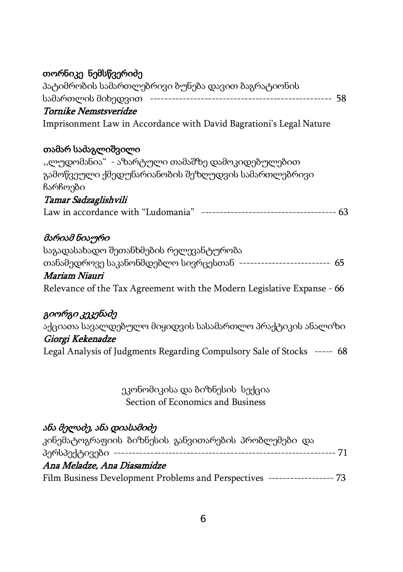# თორნიკე ნემსწვერიძე

| პატიმრობის სამართლებრივი ბუნება დავით ბაგრატიონის                        |  |
|--------------------------------------------------------------------------|--|
|                                                                          |  |
| Tornike Nemstsveridze                                                    |  |
| Imprisonment Law in Accordance with David Bagrationi's Legal Nature      |  |
| თამარ საძაგლიშვილი                                                       |  |
| "ლუდომანია" - აზარტული თამაშზე დამოკიდებულებით                           |  |
| გამოწვეული ქმედუნარიანობის შეზღუდვის სამართლებრივი<br>ჩარჩოები           |  |
| Tamar Sadzaglishvili                                                     |  |
|                                                                          |  |
| მარიამ ნიაური                                                            |  |
| საგადასახადო შეთანხმების რელევანტურობა                                   |  |
| თანამედროვე საკანონმდებლო სივრცესთან ------------------------- 65        |  |
| Mariam Niauri                                                            |  |
| Relevance of the Tax Agreement with the Modern Legislative Expanse - 66  |  |
| გიორგი კეკენაძე                                                          |  |
| აქციათა სავალდებულო მიყიდვის სასამართლო პრაქტიკის ანალიზი                |  |
| Giorgi Kekenadze                                                         |  |
| Legal Analysis of Judgments Regarding Compulsory Sale of Stocks ----- 68 |  |
|                                                                          |  |

ეკონომიკისა და ბიზნესის სექცია Section of Economics and Business

# ანა მელაძე, ანა დიასამიძე

| კინემატოგრაფიის ბიზნესის განვითარების პრობლემები და |                        |
|-----------------------------------------------------|------------------------|
|                                                     |                        |
| Ana Meladze, Ana Diasamidze                         |                        |
| Film Business Development Problems and Perspectives | ------------------- 73 |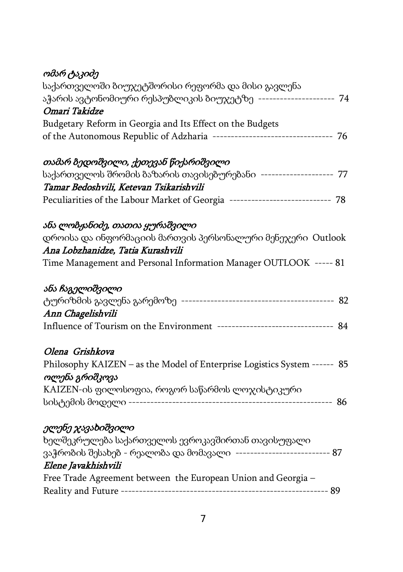|  | ომარ ტაკიძე |
|--|-------------|
|--|-------------|

| საქართველოში ბიუჯეტშორისი რეფორმა და მისი გავლენა                             |
|-------------------------------------------------------------------------------|
| აჭარის ავტონომიური რესპუბლიკის ბიუჯეტზე --------------------- 74              |
| Omari Takidze                                                                 |
| Budgetary Reform in Georgia and Its Effect on the Budgets                     |
| of the Autonomous Republic of Adzharia -------------------------------- 76    |
| თამარ ბედოშვილი, ქეთევან წიქარიშვილი                                          |
| საქართველოს შრომის ბაზარის თავისებურებანი -------------------- 77             |
| Tamar Bedoshvili, Ketevan Tsikarishvili                                       |
| Peculiarities of the Labour Market of Georgia ---------------------------- 78 |
| ანა ლობჟანიძე, თათია ყურაშვილი                                                |
| დროისა და ინფორმაციის მართვის პერსონალური მენეჯერი Outlook                    |
| Ana Lobzhanidze, Tatia Kurashvili                                             |
| Time Management and Personal Information Manager OUTLOOK ----- 81             |
| ანა ჩაგელიშვილი                                                               |
|                                                                               |
| Ann Chagelishvili                                                             |
|                                                                               |
| Olena Grishkova                                                               |
| Philosophy KAIZEN - as the Model of Enterprise Logistics System ------ 85     |
| ოლენა გრიშკოვა                                                                |
| KAIZEN-ის ფილოსოფია, როგორ საწარმოს ლოჯისტიკური                               |
|                                                                               |
| ელენე ჯავახიშვილი                                                             |
| ხელშეკრულება საქართველოს ევროკავშირთან თავისუფალი                             |
| ვაჭრობის შესახებ - რეალობა და მომავალი -------------------------- 87          |
| Elene Javakhishvili                                                           |
| Free Trade Agreement between the European Union and Georgia -                 |
|                                                                               |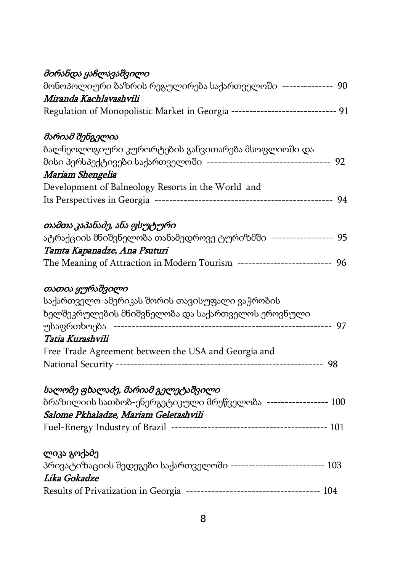| მონოპოლიური ბაზრის რეგულირება საქართველოში -------------- 90<br>Miranda Kachlavashvili<br>Regulation of Monopolistic Market in Georgia ----------------------------- 91<br>მარიამ შენგელია<br>ბალნეოლოგიური კურორტების განვითარება მსოფლიოში და<br>მისი პერსპექტივები საქართველოში ---------------------------------- 92<br>Mariam Shengelia<br>Development of Balneology Resorts in the World and<br>თამთა კაპანაძე, ანა ფსუტური<br>ატრაქციის მნიშვნელობა თანამედროვე ტურიზმში ----------------- 95 |
|------------------------------------------------------------------------------------------------------------------------------------------------------------------------------------------------------------------------------------------------------------------------------------------------------------------------------------------------------------------------------------------------------------------------------------------------------------------------------------------------------|
|                                                                                                                                                                                                                                                                                                                                                                                                                                                                                                      |
|                                                                                                                                                                                                                                                                                                                                                                                                                                                                                                      |
|                                                                                                                                                                                                                                                                                                                                                                                                                                                                                                      |
|                                                                                                                                                                                                                                                                                                                                                                                                                                                                                                      |
|                                                                                                                                                                                                                                                                                                                                                                                                                                                                                                      |
|                                                                                                                                                                                                                                                                                                                                                                                                                                                                                                      |
|                                                                                                                                                                                                                                                                                                                                                                                                                                                                                                      |
|                                                                                                                                                                                                                                                                                                                                                                                                                                                                                                      |
|                                                                                                                                                                                                                                                                                                                                                                                                                                                                                                      |
|                                                                                                                                                                                                                                                                                                                                                                                                                                                                                                      |
|                                                                                                                                                                                                                                                                                                                                                                                                                                                                                                      |
| Tamta Kapanadze, Ana Psuturi                                                                                                                                                                                                                                                                                                                                                                                                                                                                         |
| The Meaning of Attraction in Modern Tourism ------------------------ 96                                                                                                                                                                                                                                                                                                                                                                                                                              |
| თათია ყურაშვილი                                                                                                                                                                                                                                                                                                                                                                                                                                                                                      |
| საქართველო-ამერიკას შორის თავისუფალი ვაჭრობის                                                                                                                                                                                                                                                                                                                                                                                                                                                        |
| ხელშეკრულების მნიშვნელობა და საქართველოს ეროვნული                                                                                                                                                                                                                                                                                                                                                                                                                                                    |
| უსაფრთხოება                                                                                                                                                                                                                                                                                                                                                                                                                                                                                          |
| Tatia Kurashvili                                                                                                                                                                                                                                                                                                                                                                                                                                                                                     |
| Free Trade Agreement between the USA and Georgia and                                                                                                                                                                                                                                                                                                                                                                                                                                                 |
|                                                                                                                                                                                                                                                                                                                                                                                                                                                                                                      |
| სალომე ფხალაძე, მარიამ გელეტაშვილი                                                                                                                                                                                                                                                                                                                                                                                                                                                                   |
| ბრაზილიის სათბობ-ენერგეტიკული მრეწველობა ----------------- 100                                                                                                                                                                                                                                                                                                                                                                                                                                       |
| Salome Pkhaladze, Mariam Geletashvili                                                                                                                                                                                                                                                                                                                                                                                                                                                                |
|                                                                                                                                                                                                                                                                                                                                                                                                                                                                                                      |
| ლიკა გოქაძე                                                                                                                                                                                                                                                                                                                                                                                                                                                                                          |
|                                                                                                                                                                                                                                                                                                                                                                                                                                                                                                      |
|                                                                                                                                                                                                                                                                                                                                                                                                                                                                                                      |
| პრივატიზაციის შედეგები საქართველოში -------------------------- 103<br>Lika Gokadze                                                                                                                                                                                                                                                                                                                                                                                                                   |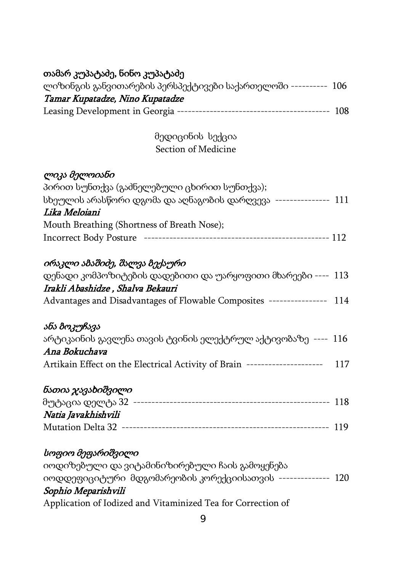| თამარ კუპატაძე, ნინო კუპატაძე                                                 |  |
|-------------------------------------------------------------------------------|--|
| ლიზინგის განვითარების პერსპექტივები საქართელოში ---------- 106                |  |
| Tamar Kupatadze, Nino Kupatadze                                               |  |
|                                                                               |  |
| მედიცინის სექცია                                                              |  |
| Section of Medicine                                                           |  |
| ლიკა მელოიანი                                                                 |  |
| პირით სუნთქვა (გაძნელებული ცხირით სუნთქვა);                                   |  |
| სხეულის არასწორი დგომა და აღნაგობის დარღვევა --------------- 111              |  |
| Lika Meloiani                                                                 |  |
| Mouth Breathing (Shortness of Breath Nose);                                   |  |
|                                                                               |  |
| ირაკლი ამაშიძე, შალვა ბექაური                                                 |  |
| დენადი კომპოზიტების დადებითი და უარყოფითი მხარეები ---- 113                   |  |
| Irakli Abashidze, Shalva Bekauri                                              |  |
| Advantages and Disadvantages of Flowable Composites --------------- 114       |  |
| ანა ბოკუჩავა                                                                  |  |
| არტიკაინის გავლენა თავის ტვინის ელექტრულ აქტივობაზე ---- 116<br>Ana Bokuchava |  |
| Artikain Effect on the Electrical Activity of Brain -------------------- 117  |  |
| ნათია ჯავახიშვილი                                                             |  |
|                                                                               |  |
| Natia Javakhishvili                                                           |  |
|                                                                               |  |
| სოფიო მეფარიშვილი                                                             |  |
| იოდიზებული და ვიტამინიზირებული ჩაის გამოყენება                                |  |
| იოდდეფიციტური მდგომარეობის კორექციისათვის -------------- 120                  |  |
| Sophio Meparishvili                                                           |  |
| Application of Iodized and Vitaminized Tea for Correction of                  |  |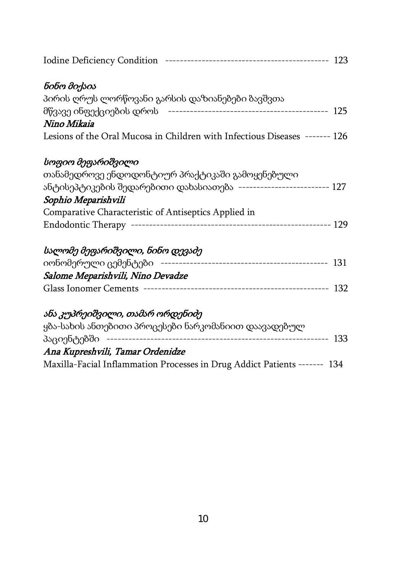| ნინო მიქაია                                                                 |  |
|-----------------------------------------------------------------------------|--|
| პირის ღრუს ლორწოვანი გარსის დაზიანებები ბავშვთა                             |  |
|                                                                             |  |
| Nino Mikaia                                                                 |  |
| Lesions of the Oral Mucosa in Children with Infectious Diseases ------- 126 |  |
| სოფიო მეფარიშვილი                                                           |  |
| თანამედროვე ენდოდონტიურ პრაქტიკაში გამოყენებული                             |  |
| ანტისეპტიკების შედარებითი დახასიათება ------------------------- 127         |  |
| Sophio Meparishvili                                                         |  |
| Comparative Characteristic of Antiseptics Applied in                        |  |
|                                                                             |  |
| სალომე მეფარიშვილი, ნინო დევაძე                                             |  |
|                                                                             |  |
| Salome Meparishvili, Nino Devadze                                           |  |
|                                                                             |  |
| ანა კუპრეიშვილი, თამარ ორდენიძე                                             |  |
| ყბა-სახის ანთებითი პროცესები ნარკომანიით დაავადებულ                         |  |
|                                                                             |  |
| Ana Kupreshvili, Tamar Ordenidze                                            |  |
| Maxilla-Facial Inflammation Processes in Drug Addict Patients ------- 134   |  |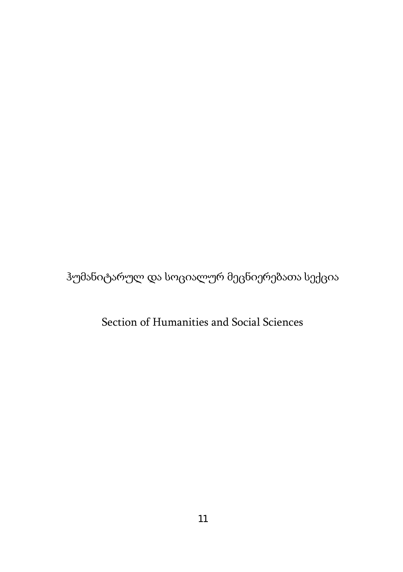ჰუმანიტარულ და სოციალურ მეცნიერებათა სექცია

Section of Humanities and Social Sciences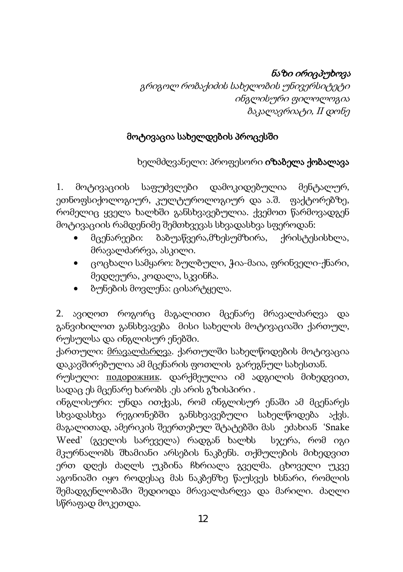# ნაზი ირიცპუხოვა

გრიგოლ რობაქიძის სახელობის უნივერსიტეტი ინგლისური ფილოლოგია ბაკალავრიატი, II დონე

# მოტივაცია სახელდების პროცესში

ხელმძღვანელი: პროფესორი იზაბელა ქობალავა

1. მოტივაციის საფუძვლები დამოკიდებულია მენტალურ, ეთნოფსიქოლოგიურ, კულტუროლოგიურ და ა.შ. ფაქტორებზე, რომელიც ყველა ხალხში განსხვავებულია. ქვემოთ წარმოვადგენ მოტივაციის რამდენიმე შემთხვევას სხვადასხვა სფეროდან:

- მცენარეები: ბაბუაწვერა,მზესუმზირა, ქრისტესისხლა, მრავალძარრვა, ასკილი.
- ცოცხალი სამყარო: ბულბული, ჭია-მაია, ფრინველი-ქნარი, მედღეურა, კოდალა, სკვინჩა.
- ბუნების მოვლენა: ცისარტყელა.

2. ავიღოთ როგორც მაგალითი მცენარე მრავალძარღვა და განვიხილოთ განსხვავება მისი სახელის მოტივაციაში ქართულ, რუსულსა და ინგლისურ ენებში.

ქართული: მრავალძარღვა. ქართულში სახელწოდების მოტივაცია დაკავშირებულია ამ მცენარის ფოთლის გარეგნულ სახესთან.

რუსული: подорожник. დარქმეულია იმ ადგილის მიხედვით, სადაც ეს მცენარე ხარობს .ეს არის გზისპირი .

ინგლისური: უნდა ითქვას, რომ ინგლისურ ენაში ამ მცენარეს სხვადასხვა რეგიონებში განსხვავებული სახელწოდება აქვს. მაგალითად, ამერიკის შეერთებულ შტატებში მას ეძახიან 'Snake Weed' (გველის სარეველა) რადგან ხალხს სჯერა, რომ იგი მკურნალობს შხამიანი არსების ნაკბენს. თქმულების მიხედვით ერთ დღეს ძაღლს უკბინა ჩხრიალა გველმა. ცხოველი უკვე აგონიაში იყო როდესაც მას ნაკბენზე წაუსვეს ხსნარი, რომლის შემადგენლობაში შედიოდა მრავალძარღვა და მარილი. ძაღლი სწრაფად მოკეთდა.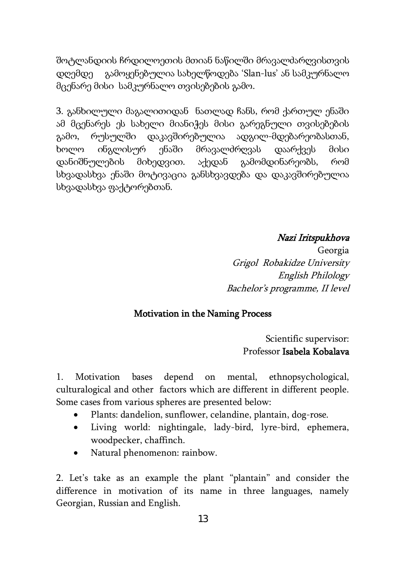შოტლანდიის ჩრდილოეთის მთიან ნაწილში მრავალძარღვისთვის დღემდე გამოყენებულია სახელწოდება 'Slan-lus' ან სამკურნალო მცენარე მისი სამკურნალო თვისებების გამო.

3. განხილული მაგალითიდან ნათლად ჩანს, რომ ქართულ ენაში ამ მცენარეს ეს სახელი მიანიჭეს მისი გარეგნული თვისებების გამო, რუსულში დაკავშირებულია ადგილ-მდებარეობასთან, ხოლო ინგლისურ ენაში მრავალძრღვას დაარქვეს მისი დანიშნულების მიხედვით. აქედან გამომდინარეობს, რომ სხვადასხვა ენაში მოტივაცია განსხვავდება და დაკავშირებულია სხვადასხვა ფაქტორებთან.

#### Nazi Iritspukhova

Georgia Grigol Robakidze University English Philology Bachelor's programme, II level

#### Motivation in the Naming Process

 Scientific supervisor: Professor Isabela Kobalava

1. Motivation bases depend on mental, ethnopsychological, culturalogical and other factors which are different in different people. Some cases from various spheres are presented below:

- Plants: dandelion, sunflower, celandine, plantain, dog-rose.
- Living world: nightingale, lady-bird, lyre-bird, ephemera, woodpecker, chaffinch.
- Natural phenomenon: rainbow.

2. Let's take as an example the plant "plantain" and consider the difference in motivation of its name in three languages, namely Georgian, Russian and English.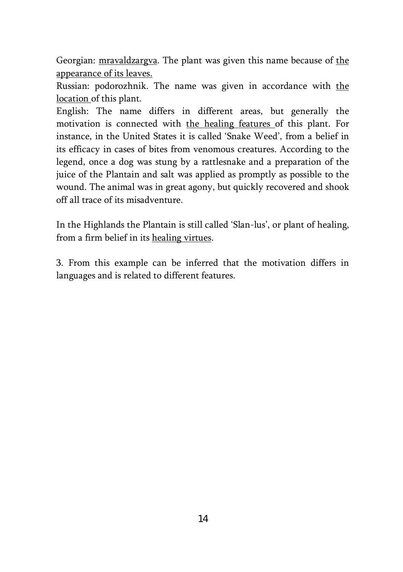Georgian: mravaldzargva. The plant was given this name because of the appearance of its leaves.

Russian: podorozhnik. The name was given in accordance with the location of this plant.

English: The name differs in different areas, but generally the motivation is connected with the healing features of this plant. For instance, in the United States it is called 'Snake Weed', from a belief in its efficacy in cases of bites from venomous creatures. According to the legend, once a dog was stung by a rattlesnake and a preparation of the juice of the Plantain and salt was applied as promptly as possible to the wound. The animal was in great agony, but quickly recovered and shook off all trace of its misadventure.

In the Highlands the Plantain is still called 'Slan-lus', or plant of healing, from a firm belief in its healing virtues.

3. From this example can be inferred that the motivation differs in languages and is related to different features.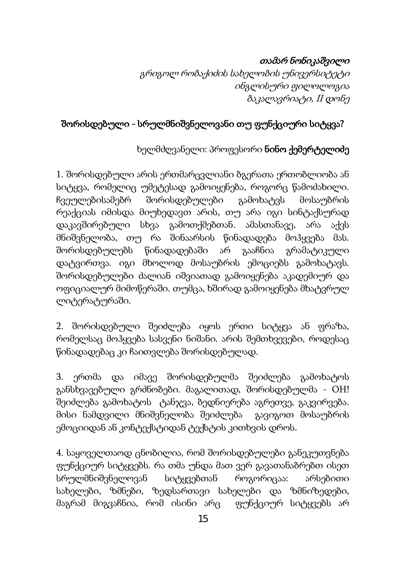### თამარ ნონიკაშვილი

გრიგოლ რობაქიძის სახელობის უნივერსიტეტი ინგლისური ფილოლოგია ბაკალავრიატი, II დონე

# შორისდებული - სრულმნიშვნელოვანი თუ ფუნქციური სიტყვა?

### ხელმძღვანელი: პროფესორი ნინო ქემერტელიძე

1. შორისდებული არის ერთმარცვლიანი ბგერათა ერთობლიობა ან სიტყვა, რომელიც უმეტესად გამოიყენება, როგორც წამოძახილი. ჩვეულებისამებრ შორისდებულები გამოხატვს მოსაუბრის რეაქციას იმისდა მიუხედავთ არის, თუ არა იგი სინტაქსურად დაკავშირებული სხვა გამოთქმებთან. ამასთანავე, არა აქვს მნიშვნელობა, თუ რა შინაარსის წინადადება მოჰყვება მას. შორისდებულებს წინადადებაში არ გააჩნია გრამატიკული დატვირთვა. იგი მხოლოდ მოსაუბრის ემოციებს გამოხატავს. შორისდებულები ძალიან იშვიათად გამოიყენება აკადემიურ და ოფიციალურ მიმოწერაში. თუმცა, ხშირად გამოიყენება მხატვრულ ლიტერატურაში.

2. შორისდებული შეიძლება იყოს ერთი სიტყვა ან ფრაზა, რომელსაც მოჰყვება სასვენი ნიშანი. არის შემთხვევები, როდესაც წინადადებაც კი ჩაითვლება შორისდებულად.

3. ერთმა და იმავე შორისდებულმა შეიძლება გამოხატოს განსხვავებული გრძნობები. მაგალითად, შორისდებულმა - OH! შეიძლება გამოხატოს ტანჯვა, ბედნიერება აგრეთვე, გაკვირვება. მისი ნამდვილი მნიშვნელობა შეიძლება გავიგოთ მოსაუბრის ემოციიდან ან კონტექსტიდან ტექსტის კითხვის დროს.

4. საყოველთაოდ ცნობილია, რომ შორისდებულები განეკუთვნება ფუნქციურ სიტყვებს. რა თმა უნდა მათ ვერ გავათანაბრებთ ისეთ სრულმნიშვნელოვან სიტყვებთან როგორიცაა: არსებითი სახელები, ზმნები, ზედსართავი სახელები და ზმნიზედები, მაგრამ მიგვაჩნია, რომ ისინი არც ფუნქციურ სიტყვებს არ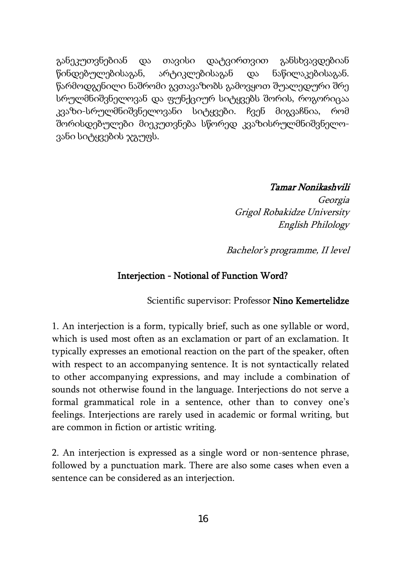განეკუთვნებიან და თავისი დატვირთვით განსხვავდებიან წინდებულებისაგან, არტიკლებისაგან და ნაწილაკებისაგან. წარმოდგენილი ნაშრომი გვთავაზობს გამოვყოთ შუალედური შრე სრულმნიშვნელოვან და ფუნქციურ სიტყვებს შორის, როგორიცაა კვაზი-სრულმნიშვნელოვანი სიტყვები. ჩვენ მიგვაჩნია, რომ შორისდებულები მიეკუთვნება სწორედ კვაზისრულმნიშვნელოვანი სიტყვების ჯგუფს.

#### Tamar Nonikashvili

Georgia Grigol Robakidze University English Philology

Bachelor's programme, II level

#### Interjection - Notional of Function Word?

Scientific supervisor: Professor Nino Kemertelidze

1. An interjection is a form, typically brief, such as one syllable or word, which is used most often as an exclamation or part of an exclamation. It typically expresses an emotional reaction on the part of the speaker, often with respect to an accompanying sentence. It is not syntactically related to other accompanying expressions, and may include a combination of sounds not otherwise found in the language. Interjections do not serve a formal grammatical role in a sentence, other than to convey one's feelings. Interjections are rarely used in academic or formal writing, but are common in fiction or artistic writing.

2. An interjection is expressed as a single [word](http://en.wikipedia.org/wiki/Word) or non-sentence [phrase,](http://en.wikipedia.org/wiki/Phrase) followed by a [punctuation mark.](http://en.wikipedia.org/wiki/Punctuation_mark) There are also some cases when even a sentence can be considered as an interjection.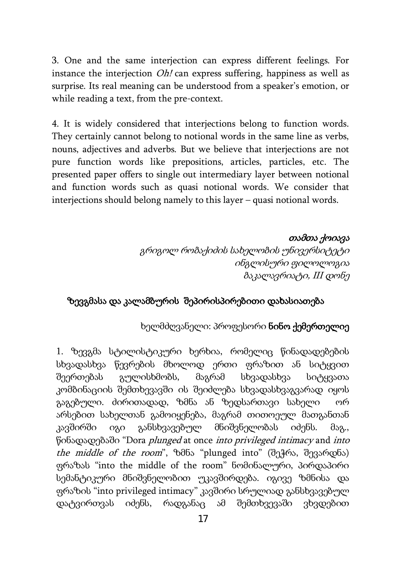3. One and the same interjection can express different feelings. For instance the interjection *Oh!* can express suffering, happiness as well as surprise. Its real meaning can be understood from a speaker's emotion, or while reading a text, from the pre-context.

4. It is widely considered that interjections belong to function words. They certainly cannot belong to notional words in the same line as verbs, nouns, adjectives and adverbs. But we believe that interjections are not pure function words like prepositions, articles, particles, etc. The presented paper offers to single out intermediary layer between notional and function words such as quasi notional words. We consider that interjections should belong namely to this layer – quasi notional words.

#### თამთა ქოიავა

გრიგოლ რობაქიძის სახელობის უნივერსიტეტი ინგლისური ფილოლოგია ბაკალავრიატი, III დონე

### ზევგმასა და კალამბურის შეპირისპირებითი დახასიათება

#### ხელმძღვანელი: პროფესორი ნინო ქემერთელიე

1. ზევგმა სტილისტიკური ხერხია, რომელიც წინადადებების სხვადასხვა წევრების მხოლოდ ერთი ფრაზით ან სიტყვით შეერთებას გულისხმობს, მაგრამ სხვადასხვა სიტყვათა კომბინაციის შემთხევავში ის შეიძლება სხვადასხვაგვარად იყოს გაგებული. ძირითადად, ზმნა ან ზედსართავი სახელი ორ არსებით სახელთან გამოიყენება, მაგრამ თითოეულ მათგანთან კავშირში იგი განსხვავებულ მნიშვნელობას იძენს. მაგ., წინადადებაში "Dora plunged at once into privileged intimacy and into the middle of the room", ზმნა "plunged into" (შეჭრა, შევარდნა) ფრაზას "into the middle of the room" ნომინალური, პირდაპირი სემანტიკური მნიშვნელობით უკავშირდება. იგივე ზმნისა და ფრაზის "into privileged intimacy" კავშირი სრულიად განსხვავებულ დატვირთვას იძენს, რადგანაც ამ შემთხვევაში ვხვდებით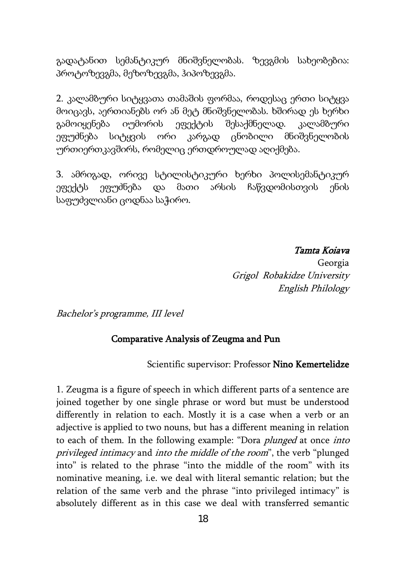გადატანით სემანტიკურ მნიშვნელობას. ზევგმის სახეობებია: პროტოზევგმა, მეზოზევგმა, ჰიპოზევგმა.

2. კალამბური სიტყვათა თამაშის ფორმაა, როდესაც ერთი სიტყვა მოიცავს, აერთიანებს ორ ან მეტ მნიშვნელობას. ხშირად ეს ხერხი გამოიყენება იუმორის ეფექტის შესაქმნელად. კალამბური ეფუძნება სიტყვის ორი კარგად ცნობილი მნიშვნელობის ურთიერთკავშირს, რომელიც ერთდროულად აღიქმება.

3. ამრიგად, ორივე სტილისტიკური ხერხი პოლისემანტიკურ ეფექტს ეფუძნება და მათი არსის ჩაწვდომისთვის ენის საფუძვლიანი ცოდნაა საჭირო.

> Tamta Koiava Georgia Grigol Robakidze University English Philology

Bachelor's programme, III level

#### Comparative Analysis of Zeugma and Pun

Scientific supervisor: Professor Nino Kemertelidze

1. Zeugma is a figure of speech in which different parts of a sentence are joined together by one single phrase or word but must be understood differently in relation to each. Mostly it is a case when a verb or an adjective is applied to two nouns, but has a different meaning in relation to each of them. In the following example: "Dora plunged at once into privileged intimacy and into the middle of the room", the verb "plunged into" is related to the phrase "into the middle of the room" with its nominative meaning, i.e. we deal with literal semantic relation; but the relation of the same verb and the phrase "into privileged intimacy" is absolutely different as in this case we deal with transferred semantic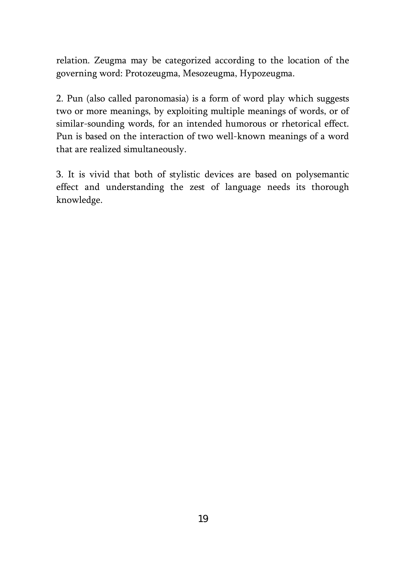relation. Zeugma may be categorized according to the location of the governing word: Protozeugma, Mesozeugma, Hypozeugma.

2. Pun (also called paronomasia) is a form of word play which suggests two or more meanings, by exploiting multiple meanings of words, or of similar-sounding words, for an intended humorous or rhetorical effect. Pun is based on the interaction of two well-known meanings of a word that are realized simultaneously.

3. It is vivid that both of stylistic devices are based on polysemantic effect and understanding the zest of language needs its thorough knowledge.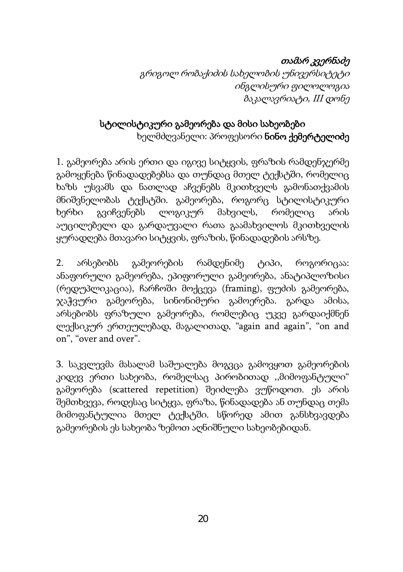# თამარ კვერნაძე

გრიგოლ რობაქიძის სახელობის უნივერსიტეტი ინგლისური ფილოლოგია ბაკალავრიატი, III დონე

# სტილისტიკური გამეორება და მისი სახეობები ხელმძღვანელი: პროფესორი ნინო ქემერტელიძე

1. გამეორება არის ერთი და იგივე სიტყვის, ფრაზის რამდენჯერმე გამოყენება წინადადებებსა და თუნდაც მთელ ტექსტში, რომელიც ხაზს უსვამს და ნათლად აჩვენებს მკითხველს გამონათქვამის მნიშვნელობას ტექსტში. გამეორება, როგორც სტილისტიკური ხერხი გვიჩვენებს ლოგიკურ მახვილს, რომელიც არის აუცილებელი და გარდაუვალი რათა გაამახვილოს მკითხველის ყურადღება მთავარი სიტყვის, ფრაზის, წინადადების არსზე.

2. არსებობს გამეორების რამდენიმე ტიპი, როგორიცაა: ანაფორული გამეორება, ეპიფორული გამეორება, ანატიპლოზისი (რედუპლიკაცია), ჩარჩოში მოქცევა (framing), ფუძის გამეორება, ჯაჭვური გამეორება, სინონიმური გამოერება. გარდა ამისა, არსებობს ფრაზული გამეორება, რომლებიც უკვე გარდაიქმნენ ლექსიკურ ერთეულებად, მაგალითად, "again and again", "on and on", "over and over".

3. საკვლევმა მასალამ საშუალება მოგვცა გამოვყოთ გამეორების კიდევ ერთი სახეობა, რომელსაც პირობითად ,,მიმოფანტული" გამეორება (scattered repetition) შეიძლება ვუწოდოთ. ეს არის შემთხვევა, როდესაც სიტყვა, ფრაზა, წინადადება ან თუნდაც თემა მიმოფანტულია მთელ ტექსტში. სწორედ ამით განსხვავდება გამეორების ეს სახეობა ზემოთ აღნიშნული სახეობებიდან.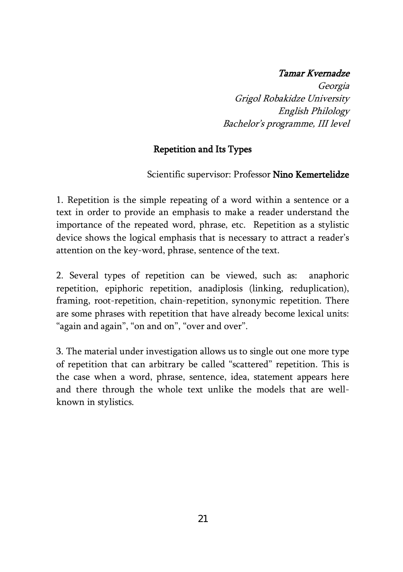#### Tamar Kvernadze

Georgia Grigol Robakidze University English Philology Bachelor's programme, III level

### Repetition and Its Types

Scientific supervisor: Professor Nino Kemertelidze

1. Repetition is the simple repeating of a word within a sentence or a text in order to provide an emphasis to make a reader understand the importance of the repeated word, phrase, etc. Repetition as a stylistic device shows the logical emphasis that is necessary to attract a reader's attention on the key-word, phrase, sentence of the text.

2. Several types of repetition can be viewed, such as: anaphoric repetition, epiphoric repetition, anadiplosis (linking, reduplication), framing, root-repetition, chain-repetition, synonymic repetition. There are some phrases with repetition that have already become lexical units: "again and again", "on and on", "over and over".

3. The material under investigation allows us to single out one more type of repetition that can arbitrary be called "scattered" repetition. This is the case when a word, phrase, sentence, idea, statement appears here and there through the whole text unlike the models that are wellknown in stylistics.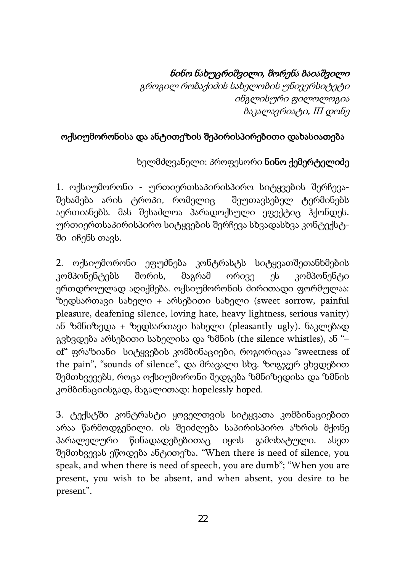# ნინო ნახუცრიშვილი, შორენა ბაიაშვილი

გროგილ რობაქიძის სახელობის უნივერსიტეტი ინგლისური ფილოლოგია ბაკალავრიატი, III დონე

# ოქსიუმორონისა და ანტითეზის შეპირისპირებითი დახასიათება

### ხელმძღვანელი: პროფესორი ნინო ქემერტელიძე

1. ოქსიუმორონი - ურთიერთსაპირისპირო სიტყვების შერჩევაშეხამება არის ტროპი, რომელიც შეუთავსებელ ტერმინებს აერთიანებს. მას შესაძლოა პარადოქსული ეფექტიც ჰქონდეს. ურთიერთსაპირისპირო სიტყვების შერჩევა სხვადასხვა კონტექსტში იჩენს თავს.

2. ოქსიუმორონი ეფუძნება კონტრასტს სიტყვათშეთანხმების კომპონენტებს შორის, მაგრამ ორივე ეს კომპონენტი ერთდროულად აღიქმება. ოქსიუმორონის ძირითადი ფორმულაა: ზედსართავი სახელი + არსებითი სახელი (sweet sorrow, painful pleasure, deafening silence, loving hate, heavy lightness, serious vanity) ან ზმნიზედა + ზედსართავი სახელი (pleasantly ugly). ნაკლებად გვხვდება არსებითი სახელისა და ზმნის (the silence whistles), ან "– of" ფრაზიანი სიტყვების კომბინაციები, როგორიცაა "sweetness of the pain", "sounds of silence", და მრავალი სხვ. ზოგჯერ ვხვდებით შემთხვევებს, როცა ოქსიუმორონი შედგება ზმნიზედისა და ზმნის კომბინაციისგად, მაგალითად: hopelessly hoped.

3. ტექსტში კონტრასტი ყოველთვის სიტყვათა კომბინაციებით არაა წარმოდგენილი. ის შეიძლება საპირისპირო აზრის მქონე პარალელური წინადადებებითაც იყოს გამოხატული. ასეთ შემთხვევას ეწოდება ანტითეზა. "When there is need of silence, you speak, and when there is need of speech, you are dumb"; "When you are present, you wish to be absent, and when absent, you desire to be present".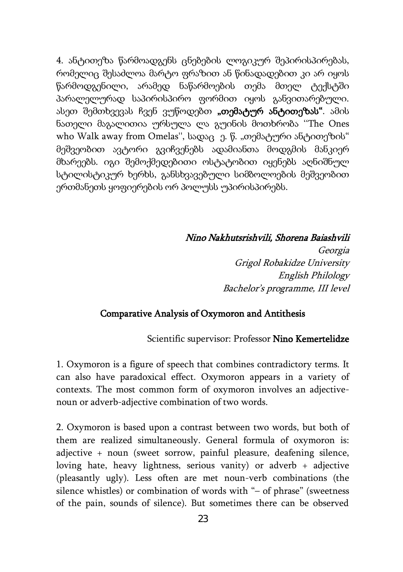4. ანტითეზა წარმოადგენს ცნებების ლოგიკურ შეპირისპირებას, რომელიც შესაძლოა მარტო ფრაზით ან წინადადებით კი არ იყოს წარმოდგენილი, არამედ ნაწარმოების თემა მთელ ტექსტში პარალელურად საპირისპირო ფორმით იყოს განვითარებული. ასეთ შემთხვევას ჩვენ ვუწოდებთ **"თემატურ ანტითეზას"**. ამის ნათელი მაგალითია ურსულა ლა გუინის მოთხრობა ''The Ones who Walk away from Omelas", სადაც ე. წ. "თემატური ანტითეზის" მეშვეობით ავტორი გვიჩვენებს ადამიანთა მოდგმის მანკიერ მხარეებს. იგი შემოქმედებითი ოსტატობით იყენებს აღნიშნულ სტილისტიკურ ხერხს, განსხვავებული სიმბოლოების მეშვეობით ერთმანეთს ყოფიერების ორ პოლუსს უპირისპირებს.

#### Nino Nakhutsrishvili, Shorena Baiashvili

Georgia Grigol Robakidze University English Philology Bachelor's programme, III level

#### Comparative Analysis of Oxymoron and Antithesis

#### Scientific supervisor: Professor Nino Kemertelidze

1. Oxymoron is a figure of speech that combines contradictory terms. It can also have paradoxical effect. Oxymoron appears in a variety of contexts. The most common form of oxymoron involves an adjectivenoun or adverb-adjective combination of two words.

2. Oxymoron is based upon a contrast between two words, but both of them are realized simultaneously. General formula of oxymoron is: adjective + noun (sweet sorrow, painful pleasure, deafening silence, loving hate, heavy lightness, serious vanity) or adverb + adjective (pleasantly ugly). Less often are met noun-verb combinations (the silence whistles) or combination of words with "- of phrase" (sweetness of the pain, sounds of silence). But sometimes there can be observed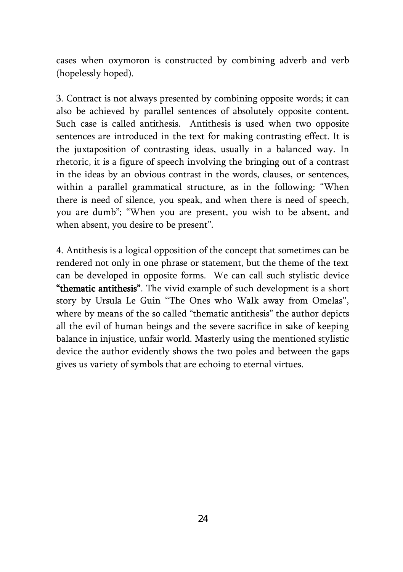cases when oxymoron is constructed by combining adverb and verb (hopelessly hoped).

3. Contract is not always presented by combining opposite words; it can also be achieved by parallel sentences of absolutely opposite content. Such case is called antithesis. Antithesis is used when two opposite sentences are introduced in the text for making contrasting effect. It is the juxtaposition of contrasting ideas, usually in a balanced way. In rhetoric, it is a figure of speech involving the bringing out of a contrast in the ideas by an obvious contrast in the words, clauses, or sentences, within a parallel grammatical structure, as in the following: "When there is need of silence, you speak, and when there is need of speech, you are dumb"; "When you are present, you wish to be absent, and when absent, you desire to be present".

4. Antithesis is a logical opposition of the concept that sometimes can be rendered not only in one phrase or statement, but the theme of the text can be developed in opposite forms. We can call such stylistic device "thematic antithesis". The vivid example of such development is a short story by Ursula Le Guin ''The Ones who Walk away from Omelas'', where by means of the so called "thematic antithesis" the author depicts all the evil of human beings and the severe sacrifice in sake of keeping balance in injustice, unfair world. Masterly using the mentioned stylistic device the author evidently shows the two poles and between the gaps gives us variety of symbols that are echoing to eternal virtues.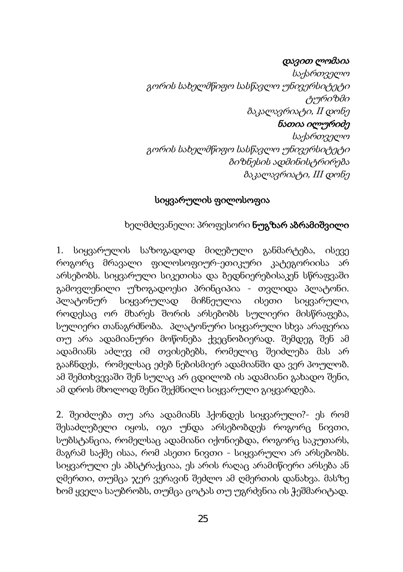#### დავით ლომაია

საქართველო გორის სახელმწიფო სასწავლო უნივერსიტეტი ტურიზმი ბაკალავრიატი, II დონე

#### ნათია ილურიძე

საქართველო გორის სახელმწიფო სასწავლო უნივერსიტეტი ბიზნესის ადმინისტრირება ბაკალავრიატი, III დონე

### სიყვარულის ფილოსოფია

### ხელმძღვანელი: პროფესორი ნუგზარ აბრამიშვილი

1. სიყვარულის საზოგადოდ მიღებული განმარტება, ისევე როგორც მრავალი ფილოსოფიურ-ეთიკური კატეგორიისა არ არსებობს. სიყვარული სიკეთისა და ბედნიერებისაკენ სწრაფვაში გამოვლენილი უზოგადოესი პრინციპია - თვლიდა პლატონი. პლატონურ სიყვარულად მიჩნეულია ისეთი სიყვარული, როდესაც ორ მხარეს შორის არსებობს სულიერი მისწრაფება, სულიერი თანაგრძნობა. პლატონური სიყვარული სხვა არაფერია თუ არა ადამიანური მოწონება ქვეცნობიერად. შემდეგ შენ ამ ადამიანს აძლევ იმ თვისებებს, რომელიც შეიძლება მას არ გააჩნდეს, რომელსაც ეძებ ნებისმიერ ადამიანში და ვერ პოულობ. ამ შემთხვევაში შენ სულაც არ ცდილობ ის ადამიანი გახადო შენი, ამ დროს მხოლოდ შენი შექმნილი სიყვარული გიყვარდება.

2. შეიძლება თუ არა ადამიანს ჰქონდეს სიყვარული?- ეს რომ შესაძლებელი იყოს, იგი უნდა არსებობდეს როგორც ნივთი, სუბსტანცია, რომელსაც ადამიანი იქონიებდა, როგორც საკუთარს, მაგრამ საქმე ისაა, რომ ასეთი ნივთი - სიყვარული არ არსებობს. სიყვარული ეს აბსტრაქციაა, ეს არის რაღაც არამიწიერი არსება ან ღმერთი, თუმცა ჯერ ვერავინ შეძლო ამ ღმერთის დანახვა. მასზე ხომ ყველა საუბრობს, თუმცა ცოტას თუ უგრძვნია ის ჭეშმარიტად.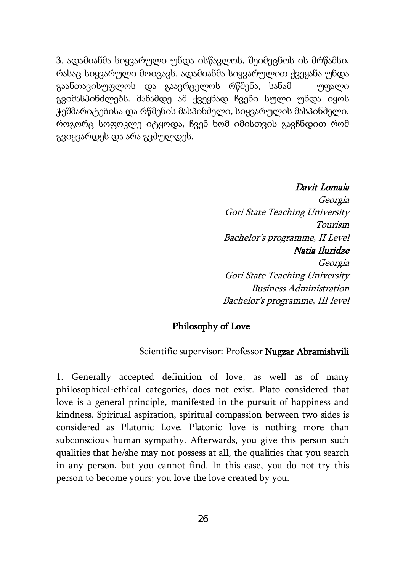3. ადამიანმა სიყვარული უნდა ისწავლოს, შეიმეცნოს ის მრწამსი, რასაც სიყვარული მოიცავს. ადამიანმა სიყვარულით ქვეყანა უნდა გაანთავისუფლოს და გაავრცელოს რწმენა, სანამ უფალი გვიმასპინძლებს. მანამდე ამ ქვეყნად ჩვენი სული უნდა იყოს ჭეშმარიტებისა და რწმენის მასპინძელი, სიყვარულის მასპინძელი. როგორც სოფოკლე იტყოდა, ჩვენ ხომ იმისთვის გავჩნდით რომ გვიყვარდეს და არა გვძულდეს.

#### Davit Lomaia

Georgia Gori State Teaching University Tourism Bachelor's programme, II Level Natia Iluridze Georgia Gori State Teaching University Business Administration Bachelor's programme, III level

#### Philosophy of Love

#### Scientific supervisor: Professor Nugzar Abramishvili

1. Generally accepted definition of love, as well as of many philosophical-ethical categories, does not exist. Plato considered that love is a general principle, manifested in the pursuit of happiness and kindness. Spiritual aspiration, spiritual compassion between two sides is considered as Platonic Love. Platonic love is nothing more than subconscious human sympathy. Afterwards, you give this person such qualities that he/she may not possess at all, the qualities that you search in any person, but you cannot find. In this case, you do not try this person to become yours; you love the love created by you.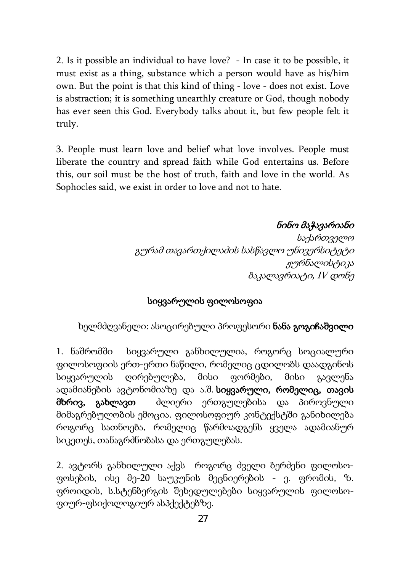2. Is it possible an individual to have love? - In case it to be possible, it must exist as a thing, substance which a person would have as his/him own. But the point is that this kind of thing - love - does not exist. Love is abstraction; it is something unearthly creature or God, though nobody has ever seen this God. Everybody talks about it, but few people felt it truly.

3. People must learn love and belief what love involves. People must liberate the country and spread faith while God entertains us. Before this, our soil must be the host of truth, faith and love in the world. As Sophocles said, we exist in order to love and not to hate.

### ნინო მაჭავარიანი

საქართველო გურამ თავართქილაძის სასწავლო უნივერსიტეტი ჟურნალისტიკა ბაკალავრიატი, IV დონე

#### სიყვარულის ფილოსოფია

#### ხელმძღვანელი: ასოცირებული პროფესორი ნანა გოგიჩაშვილი

1. ნაშრომში სიყვარული განხილულია, როგორც სოციალური ფილოსოფიის ერთ-ერთი ნაწილი, რომელიც ცდილობს დაადგინოს სიყვარულის ღირებულება, მისი ფორმები, მისი გავლენა ადამიანების ავტონომიაზე და ა.შ. სიყვარული, რომელიც, თავის მხრივ, გახლავთ ძლიერი ერთგულებისა და პიროვნული მიმაგრებულობის ემოცია. ფილოსოფიურ კონტექსტში განიხილება როგორც სათნოება, რომელიც წარმოადგენს ყველა ადამიანურ სიკეთეს, თანაგრძნობასა და ერთგულებას.

2. ავტორს განხილული აქვს როგორც ძველი ბერძენი ფილოსოფოსების, ისე მე-20 საუკუნის მეცნიერების - ე. ფრომის, ზ. ფროიდის, ს.სტენბერგის შეხედულებები სიყვარულის ფილოსოფიურ-ფსიქოლოგიურ ასპქექტებზე.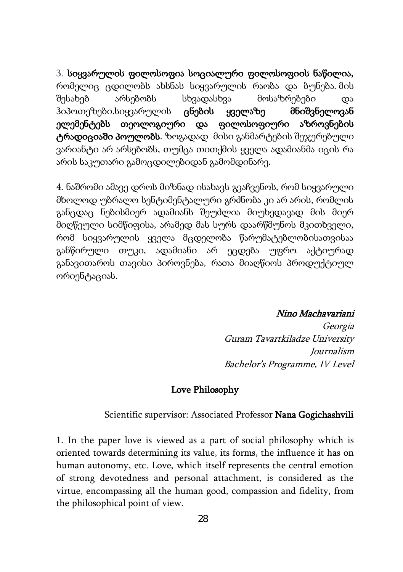3. სიყვარულის ფილოსოფია სოციალური ფილოსოფიის ნაწილია, რომელიც ცდილობს ახსნას სიყვარულის რაობა და ბუნება. მის შესახებ არსებობს სხვადასხვა მოსაზრებები და ჰიპოთეზები.სიყვარულის ცნების ყველაზე მნიშვნელოვან ელემენტებს თეოლოგიური და ფილოსოფიური აზროვნების ტრადიციაში პოულობს. ზოგადად მისი განმარტების შეჯერებული ვარიანტი არ არსებობს, თუმცა თითქმის ყველა ადამიანმა იცის რა არის საკუთარი გამოცდილებიდან გამომდინარე.

4. ნაშრომი ამავე დროს მიზნად ისახავს გვაჩვენოს, რომ სიყვარული მხოლოდ უბრალო სენტიმენტალური გრძნობა კი არ არის, რომლის განცდაც ნებისმიერ ადამიანს შეუძლია მიუხედავად მის მიერ მიღწეული სიმწიფისა, არამედ მას სურს დაარწმუნოს მკითხველი, რომ სიყვარულის ყველა მცდელობა წარუმატებლობისათვისაა განწირული თუკი, ადამიანი არ ეცდება უფრო აქტიურად განავითაროს თავისი პიროვნება, რათა მიაღწიოს პროდუქტიულ ორიენტაციას.

#### Nino Machavariani

Georgia Guram Tavartkiladze University Journalism Bachelor's Programme, IV Level

#### Love Philosophy

#### Scientific supervisor: Associated Professor Nana Gogichashvili

1. In the paper love is viewed as a part of social philosophy which is oriented towards determining its value, its forms, the influence it has on human autonomy, etc. Love, which itself represents the central emotion of strong devotedness and personal attachment, is considered as the virtue, encompassing all the human good, compassion and fidelity, from the philosophical point of view.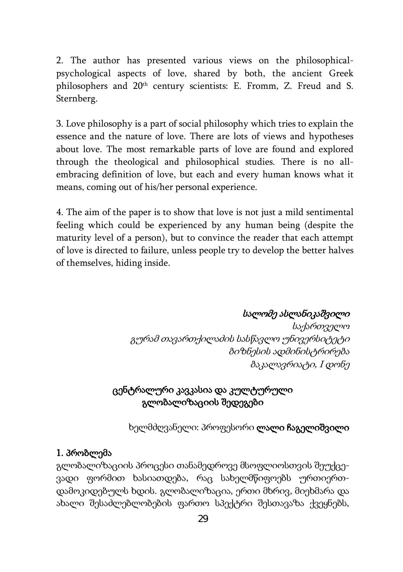2. The author has presented various views on the philosophicalpsychological aspects of love, shared by both, the ancient Greek philosophers and 20th century scientists: E. Fromm, Z. Freud and S. Sternberg.

3. Love philosophy is a part of social philosophy which tries to explain the essence and the nature of love. There are lots of views and hypotheses about love. The most remarkable parts of love are found and explored through the theological and philosophical studies. There is no allembracing definition of love, but each and every human knows what it means, coming out of his/her personal experience.

4. The aim of the paper is to show that love is not just a mild sentimental feeling which could be experienced by any human being (despite the maturity level of a person), but to convince the reader that each attempt of love is directed to failure, unless people try to develop the better halves of themselves, hiding inside.

სალომე ასლანიკაშვილი

საქართველო გურამ თავართქილაძის სასწავლო უნივერსიტეტი ბიზნესის ადმინისტრირება ბაკალავრიატი, <sup>I</sup> დონე

### ცენტრალური კავკასია და კულტურული გლობალიზაციის შედეგები

ხელმძღვანელი: პროფესორი ლალი ჩაგელიშვილი

#### 1. პრობლემა

გლობალიზაციის პროცესი თანამედროვე მსოფლიოსთვის შეუქცევადი ფორმით ხასიათდება, რაც სახელმწიფოებს ურთიერთდამოკიდებულს ხდის. გლობალიზაცია, ერთი მხრივ, მიეხმარა და ახალი შესაძლებლობების ფართო სპექტრი შესთავაზა ქვეყნებს,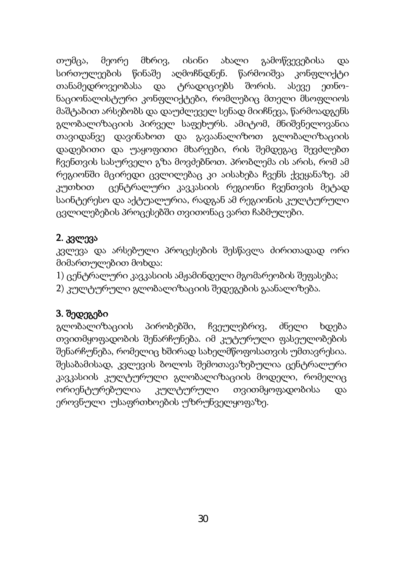თუმცა, მეორე მხრივ, ისინი ახალი გამოწვევებისა და სირთულეების წინაშე აღმოჩნდნენ. წარმოიშვა კონფლიქტი თანამედროვეობასა და ტრადიციებს შორის. ასევე ეთნონაციონალისტური კონფლიქტები, რომლებიც მთელი მსოფლიოს მაშტაბით არსებობს და დაუძლეველ სენად მიიჩნევა, წარმოადგენს გლობალიზაციის პირველ საფეხურს. ამიტომ, მნიშვნელოვანია თავიდანვე დავინახოთ და გავაანალიზოთ გლობალიზაციის დადებითი და უაყოფითი მხარეები, რის შემდეგაც შევძლებთ ჩვენთვის სასურველი გზა მოვძებნოთ. პრობლემა ის არის, რომ ამ რეგიონში მცირედი ცვლილებაც კი აისახება ჩვენს ქვეყანაზე. ამ კუთხით ცენტრალური კავკასიის რეგიონი ჩვენთვის მეტად საინტერესო და აქტუალურია, რადგან ამ რეგიონის კულტურული ცვლილებების პროცესებში თვითონაც ვართ ჩაბმულები.

### 2. კვლევა

კვლევა და არსებული პროცესების შესწავლა ძირითადად ორი მიმართულებით მოხდა:

- 1) ცენტრალური კავკასიის ამჟამინდელი მგომარეობის შეფასება;
- 2) კულტურული გლობალიზაციის შედეგების გაანალიზება.

### 3. შედეგები

გლობალიზაციის პირობებში, ჩვეულებრივ, ძნელი ხდება თვითმყოფადობის შენარჩუნება. იმ კუტურული ფასეულობების შენარჩუნება, რომელიც ხშირად სახელმწოფოსათვის უმთავრესია. შესაბამისად, კვლევის ბოლოს შემოთავაზებულია ცენტრალური კავკასიის კულტურული გლობალიზაციის მოდელი, რომელიც ორიენტურებულია კულტურული თვითმყოფადობისა და ეროვნული უსაფრთხოების უზრუნველყოფაზე.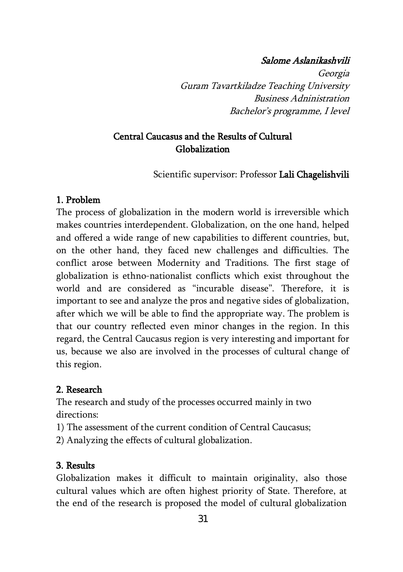#### Salome Aslanikashvili

Georgia Guram Tavartkiladze Teaching University Business Adninistration Bachelor's programme, I level

### Central Caucasus and the Results of Cultural Globalization

Scientific supervisor: Professor Lali Chagelishvili

#### 1. Problem

The process of globalization in the modern world is irreversible which makes countries interdependent. Globalization, on the one hand, helped and offered a wide range of new capabilities to different countries, but, on the other hand, they faced new challenges and difficulties. The conflict arose between Modernity and Traditions. The first stage of globalization is ethno-nationalist conflicts which exist throughout the world and are considered as "incurable disease". Therefore, it is important to see and analyze the pros and negative sides of globalization, after which we will be able to find the appropriate way. The problem is that our country reflected even minor changes in the region. In this regard, the Central Caucasus region is very interesting and important for us, because we also are involved in the processes of cultural change of this region.

#### 2. Research

The research and study of the processes occurred mainly in two directions:

- 1) The assessment of the current condition of Central Caucasus;
- 2) Analyzing the effects of cultural globalization.

#### 3. Results

Globalization makes it difficult to maintain originality, also those cultural values which are often highest priority of State. Therefore, at the end of the research is proposed the model of cultural globalization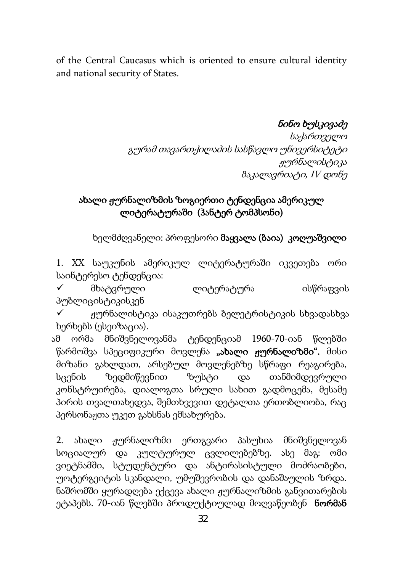of the Central Caucasus which is oriented to ensure cultural identity and national security of States.

### ნინო ხუსკივაძე

საქართველო გურამ თავართქილაძის სასწავლო უნივერსიტეტი ჟურნალისტიკა ბაკალავრიატი, IV დონე

### ახალი ჟურნალიზმის ზოგიერთი ტენდენცია ამერიკულ ლიტერატურაში (ჰანტერ ტომპსონი)

ხელმძღვანელი: პროფესორი მაყვალა (ბაია) კოღუაშვილი

1. XX საუკუნის ამერიკულ ლიტერატურაში იკვეთება ორი საინტერესო ტენდენცია:

 $\checkmark$  მხატვრული ლიტერატურა ისწრაფვის პუბლიცისტიკისკენ

 ჟურნალისტიკა ისაკუთრებს ბელეტრისტიკის სხვადასხვა ხერხებს (ესეიზაცია).

 ამ ორმა მნიშვნელოვანმა ტენდენციამ 1960-70-იან წლებში წარმოშვა სპეციფიკური მოვლენა "ახალი ჟურნალიზმი". მისი მიზანი გახლდათ, არსებულ მოვლენებზე სწრაფი რეაგირება, სცენის ზედმიწევნით ზუსტი და თანმიმდევრული კონსტრუირება, დიალოგთა სრული სახით გადმოცემა, მესამე პირის თვალთახედვა, შემთხვევით დეტალთა ერთობლიობა, რაც პერსონაჟთა უკეთ გახსნას ემსახურება.

2. ახალი ჟურნალიზმი ერთგვარი პასუხია მნიშვნელოვან სოციალურ და კულტურულ ცვლილებებზე. ასე მაგ: ომი ვიეტნამში, სტუდენტური და ანტირასისტული მოძრაობები, უოტერგეიტის სკანდალი, უმუშევრობის და დანაშაულის ზრდა. ნაშრომში ყურადღება ექცევა ახალი ჟურნალიზმის განვითარების ეტაპებს. 70-იან წლებში პროდუქტიულად მოღვაწეობენ **ნორმან**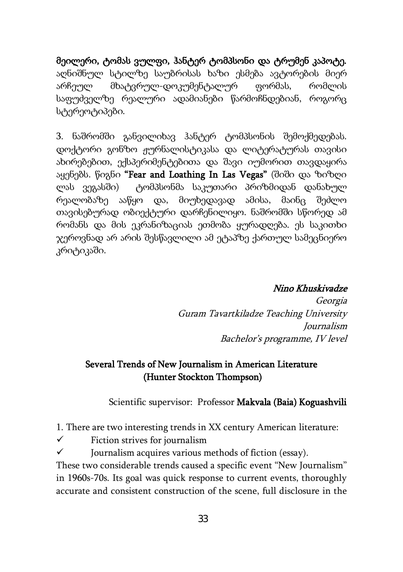მეილერი, ტომას ვულფი, ჰანტერ ტომპსონი და ტრუმენ კაპოტე. აღნიშნულ სტილზე საუბრისას ხაზი ესმება ავტორების მიერ არჩეულ მხატვრულ-დოკუმენტალურ ფორმას, რომლის საფუძველზე რეალური ადამიანები წარმოჩნდებიან, როგორც სტერეოტიპები.

3. ნაშრომში განვილიხავ ჰანტერ ტომპსონის შემოქმედებას. დოქტორი გონზო ჟურნალისტიკასა და ლიტერატურას თავისი ახირებებით, ექსპერიმენტებითა და შავი იუმორით თავდაყირა აყენებს. წიგნი "Fear and Loathing In Las Vegas" (შიში და ზიზღი ლას ვეგასში) ტომპსონმა საკუთარი პრიზმიდან დანახულ რეალობაზე ააწყო და, მიუხედავად ამისა, მაინც შეძლო თავისებურად ობიექტური დარჩენილიყო. ნაშრომში სწორედ ამ რომანს და მის ეკრანიზაციას ეთმობა ყურადღება. ეს საკითხი ჯეროვნად არ არის შესწავლილი ამ ეტაპზე ქართულ სამეცნიერო კრიტიკაში.

#### Nino Khuskivadze

Georgia Guram Tavartkiladze Teaching University Journalism Bachelor's programme, IV level

### Several Trends of New Journalism in American Literature (Hunter Stockton Thompson)

Scientific supervisor: Professor Makvala (Baia) Koguashvili

1. There are two interesting trends in XX century American literature:

 $\checkmark$  Fiction strives for journalism

 $\checkmark$  Journalism acquires various methods of fiction (essay).

 These two considerable trends caused a specific event "New Journalism" in 1960s-70s. Its goal was quick response to current events, thoroughly accurate and consistent construction of the scene, full disclosure in the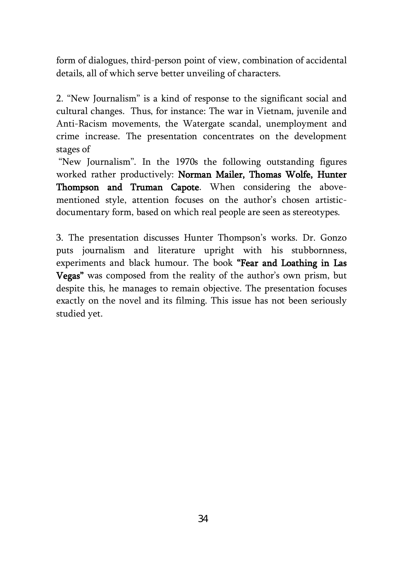form of dialogues, third-person point of view, combination of accidental details, all of which serve better unveiling of characters.

2. "New Journalism" is a kind of response to the significant social and cultural changes. Thus, for instance: The war in Vietnam, juvenile and Anti-Racism movements, the Watergate scandal, unemployment and crime increase. The presentation concentrates on the development stages of

"New Journalism". In the 1970s the following outstanding figures worked rather productively: Norman Mailer, Thomas Wolfe, Hunter Thompson and Truman Capote. When considering the abovementioned style, attention focuses on the author's chosen artisticdocumentary form, based on which real people are seen as stereotypes.

3. The presentation discusses Hunter Thompson's works. Dr. Gonzo puts journalism and literature upright with his stubbornness, experiments and black humour. The book "Fear and Loathing in Las Vegas" was composed from the reality of the author's own prism, but despite this, he manages to remain objective. The presentation focuses exactly on the novel and its filming. This issue has not been seriously studied yet.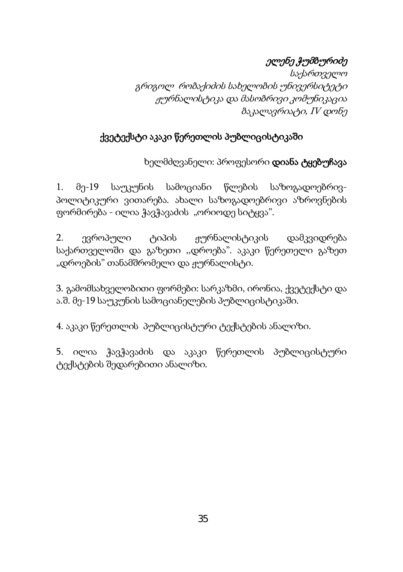# ელენე ჭუმბურიძე

საქართველო გრიგოლ რობაქიძის სახელობის უნივერსიტეტი ჟურნალისტიკა და მასობრივი კომუნიკაცია ბაკალავრიატი, IV დონე

### ქვეტექსტი აკაკი წერეთლის პუბლიცისტიკაში

ხელმძღვანელი: პროფესორი დიანა ტყებუჩავა

1. მე-19 საუკუნის სამოციანი წლების საზოგადოებრივპოლიტიკური ვითარება. ახალი საზოგადოებრივი აზროვნების ფორმირება - ილია ჭავჭავაძის "ორიოდე სიტყვა".

2. ევროპული ტიპის ჟურნალისტიკის დამკვიდრება საქართველოში და გაზეთი ,,დროება". აკაკი წერეთელი გაზეთ "დროების" თანამშრომელი და ჟურნალისტი.

3. გამომსახველობითი ფორმები: სარკაზმი, ირონია, ქვეტექსტი და ა.შ. მე-19 საუკუნის სამოციანელების პუბლიცისტიკაში.

4. აკაკი წერეთლის პუბლიცისტური ტექსტების ანალიზი.

5. ილია ჭავჭავაძის და აკაკი წერეთლის პუბლიცისტური ტექსტების შედარებითი ანალიზი.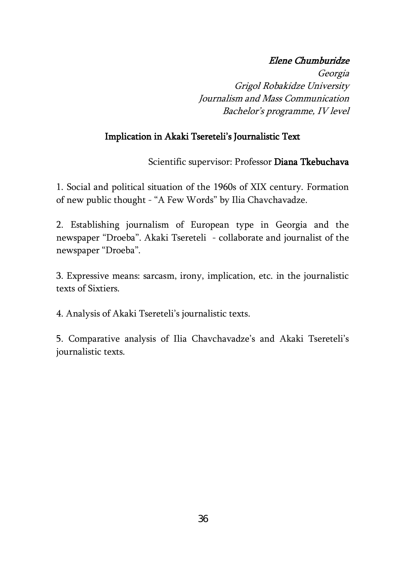#### Elene Chumburidze

Georgia Grigol Robakidze University Journalism and Mass Communication Bachelor's programme, IV level

#### Implication in Akaki Tsereteli's Journalistic Text

Scientific supervisor: Professor Diana Tkebuchava

1. Social and political situation of the 1960s of XIX century. Formation of new public thought - "A Few Words" by Ilia Chavchavadze.

2. Establishing journalism of European type in Georgia and the newspaper "Droeba". Akaki Tsereteli - collaborate and journalist of the newspaper "Droeba".

3. Expressive means: sarcasm, irony, implication, etc. in the journalistic texts of Sixtiers.

4. Analysis of Akaki Tsereteli's journalistic texts.

5. Comparative analysis of Ilia Chavchavadze's and Akaki Tsereteli's journalistic texts.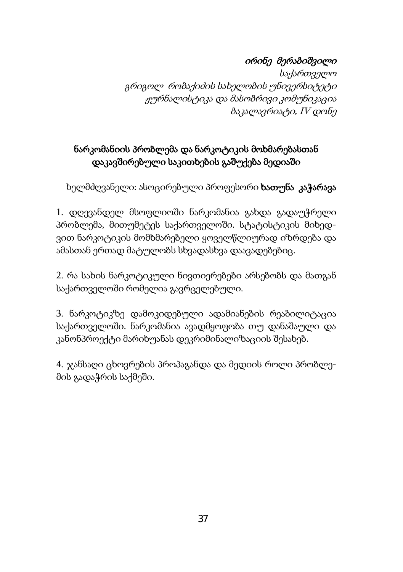# ირინე მერაბიშვილი

საქართველო გრიგოლ რობაქიძის სახელობის უნივერსიტეტი ჟურნალისტიკა და მასობრივი კომუნიკაცია ბაკალავრიატი, IV დონე

# ნარკომანიის პრობლემა და ნარკოტიკის მოხმარებასთან დაკავშირებული საკითხების გაშუქება მედიაში

ხელმძღვანელი: ასოცირებული პროფესორი **ხათუნა კაჭარავა** 

1. დღევანდელ მსოფლიოში ნარკომანია გახდა გადაუჭრელი პრობლემა, მითუმეტეს საქართველოში. სტატისტიკის მიხედვით ნარკოტიკის მომხმარებელი ყოველწლიურად იზრდება და ამასთან ერთად მატულობს სხვადასხვა დაავადებებიც.

2. რა სახის ნარკოტიკული ნივთიერებები არსებობს და მათგან საქართველოში რომელია გავრცელებული.

3. ნარკოტიკზე დამოკიდებული ადამიანების რეაბილიტაცია საქართველოში. ნარკომანია ავადმყოფობა თუ დანაშაული და კანონპროექტი მარიხუანას დეკრიმინალიზაციის შესახებ.

4. ჯანსაღი ცხოვრების პროპაგანდა და მედიის როლი პრობლემის გადაჭრის საქმეში.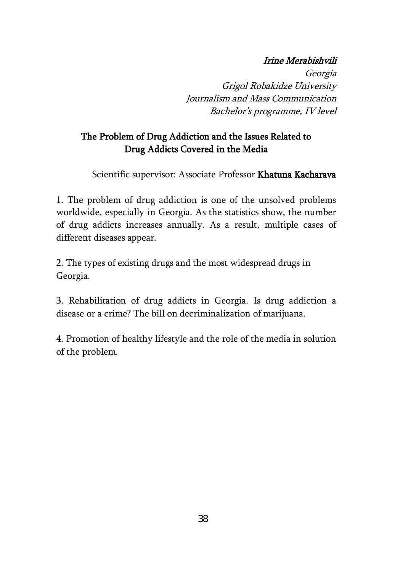### Irine Merabishvili

Georgia Grigol Robakidze University Journalism and Mass Communication Bachelor's programme, IV level

## The Problem of Drug Addiction and the Issues Related to Drug Addicts Covered in the Media

Scientific supervisor: Associate Professor Khatuna Kacharava

1. The problem of drug addiction is one of the unsolved problems worldwide, especially in Georgia. As the statistics show, the number of drug addicts increases annually. As a result, multiple cases of different diseases appear.

2. The types of existing drugs and the most widespread drugs in Georgia.

3. Rehabilitation of drug addicts in Georgia. Is drug addiction a disease or a crime? The bill on decriminalization of marijuana.

4. Promotion of healthy lifestyle and the role of the media in solution of the problem.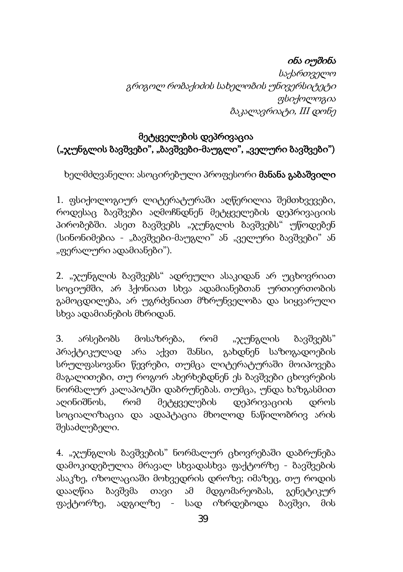## ინა იუშინა

საქართველო გრიგოლ რობაქიძის სახელობის უნივერსიტეტი ფსიქოლოგია ბაკალავრიატი, III დონე

## მეტყველების დეპრივაცია ("ჯუნგლის ბავშვები", "ბავშვები-მაუგლი", "ველური ბავშვები")

ხელმძღვანელი: ასოცირებული პროფესორი მანანა გაბაშვილი

1. ფსიქოლოგიურ ლიტერატურაში აღწერილია შემთხვევები, როდესაც ბავშვები აღმოჩნდნენ მეტყველების დეპრივაციის პირობებში. ასეთ ბავშვებს "ჯუნგლის ბავშვებს" უწოდებენ (სინონიმებია - "ბავშვები-მაუგლი" ან "ველური ბავშვები" ან "ფერალური ადამიანები").

2. "ჯუნგლის ბავშვებს" ადრეული ასაკიდან არ უცხოვრიათ სოციუმში, არ ჰქონიათ სხვა ადამიანებთან ურთიერთობის გამოცდილება, არ უგრძვნიათ მზრუნველობა და სიყვარული სხვა ადამიანების მხრიდან.

3. არსებობს მოსაზრება, რომ "ჯუნგლის ბავშვებს" პრაქტიკულად არა აქვთ შანსი, გახდნენ საზოგადოების სრულფასოვანი წევრები, თუმცა ლიტერატურაში მოიპოვება მაგალითები, თუ როგორ ახერხებდნენ ეს ბავშვები ცხოვრების ნორმალურ კალაპოტში დაბრუნებას. თუმცა, უნდა ხაზგასმით აღინიშნოს, რომ მეტყველების დეპრივაციის დროს სოციალიზაცია და ადაპტაცია მხოლოდ ნაწილობრივ არის შესაძლებელი.

4. "ჯუნგლის ბავშვების" ნორმალურ ცხოვრებაში დაბრუნება დამოკიდებულია მრავალ სხვადასხვა ფაქტორზე - ბავშვების ასაკზე, იზოლაციაში მოხვედრის დროზე; იმაზეც, თუ როდის დააღწია ბავშვმა თავი ამ მდგომარეობას, გენეტიკურ ფაქტორზე, ადგილზე - სად იზრდებოდა ბავშვი, მის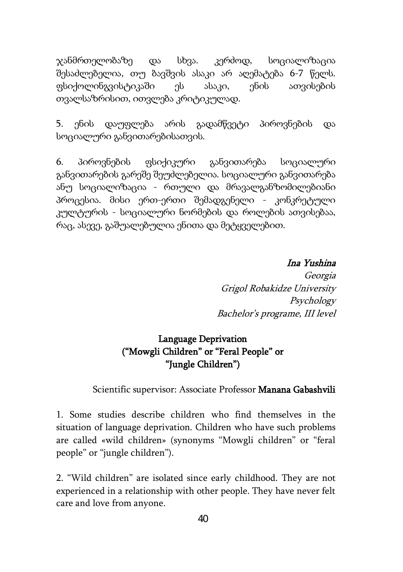ჯანმრთელობაზე და სხვა. კერძოდ, სოციალიზაცია შესაძლებელია, თუ ბავშვის ასაკი არ აღემატება 6-7 წელს. ფსიქოლინგვისტიკაში ეს ასაკი, ენის ათვისების თვალსაზრისით, ითვლება კრიტიკულად.

5. ენის დაუფლება არის გადამწვეტი პიროვნების და სოციალური განვითარებისათვის.

6. პიროვნების ფსიქიკური განვითარება სოციალური განვითარების გარეშე შეუძლებელია. სოციალური განვითარება ანუ სოციალიზაცია - რთული და მრავალგანზომილებიანი პროცესია. მისი ერთ-ერთი შემადგენელი - კონკრეტული კულტურის - სოციალური ნორმების და როლების ათვისებაა, რაც, ასევე, გაშუალებულია ენითა და მეტყველებით.

Ina Yushina

Georgia Grigol Robakidze University Psychology Bachelor's programe, III level

### Language Deprivation ("Mowgli Children" or "Feral People" or "Jungle Children")

#### Scientific supervisor: Associate Professor Manana Gabashvili

1. Some studies describe children who find themselves in the situation of language deprivation. Children who have such problems are called «wild children» (synonyms "Mowgli children" or "feral people" or "jungle children").

2. "Wild children" are isolated since early childhood. They are not experienced in a relationship with other people. They have never felt care and love from anyone.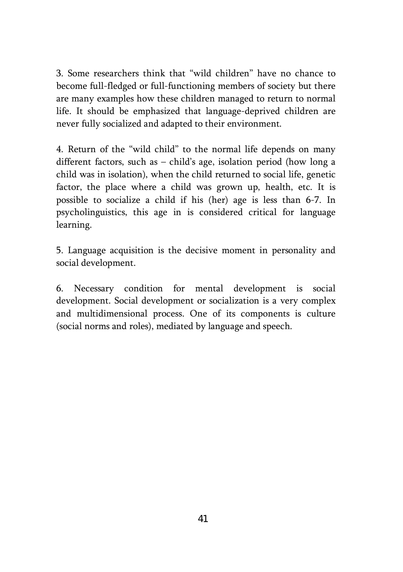3. Some researchers think that "wild children" have no chance to become full-fledged or full-functioning members of society but there are many examples how these children managed to return to normal life. It should be emphasized that language-deprived children are never fully socialized and adapted to their environment.

4. Return of the "wild child" to the normal life depends on many different factors, such as – child's age, isolation period (how long a child was in isolation), when the child returned to social life, genetic factor, the place where a child was grown up, health, etc. It is possible to socialize a child if his (her) age is less than 6-7. In psycholinguistics, this age in is considered critical for language learning.

5. Language acquisition is the decisive moment in personality and social development.

6. Necessary condition for mental development is social development. Social development or socialization is a very complex and multidimensional process. One of its components is culture (social norms and roles), mediated by language and speech.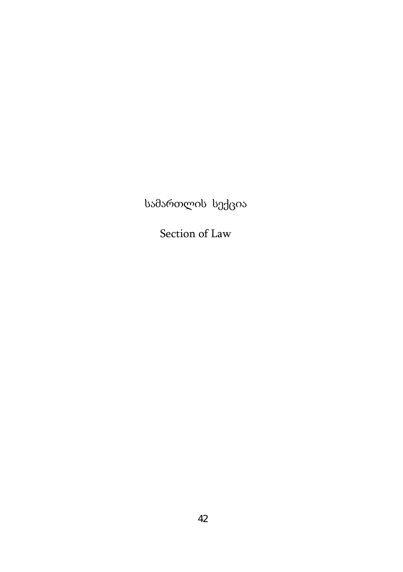სამართლის სექცია

Section of Law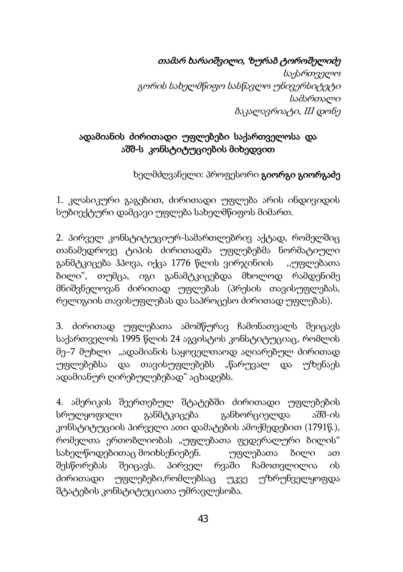თამარ ხარაიშვილი, ზურაბ ტოროშელიძე

საქართველო გორის სახელმწიფო სასწავლო უნივერსიტეტი სამართალი ბაკალავრიატი, III დონე

## ადამიანის ძირითადი უფლებები საქართველოსა და აშშ-ს კონსტიტუციების მიხედვით

ხელმძღვანელი: პროფესორი გიორგი გიორგაძე

1. კლასიკური გაგებით, ძირითადი უფლება არის ინდივიდის სუბიექტური დამცავი უფლება სახელმწიფოს მიმართ.

2. პირველ კონსტიტუციურ-სამართლებრივ აქტად, რომელშიც თანამედროვე ტიპის ძირითადმა უფლებებმა ნორმატიული განმტკიცება ჰპოვა, იქცა 1776 წლის ვირჯინიის ,,უფლებათა ბილი", თუმცა, იგი განამტკიცებდა მხოლოდ რამდენიმე მნიშვნელოვან ძირითად უფლებას (პრესის თავისუფლებას, რელიგიის თავისუფლებას და საპროცესო ძირითად უფლებას).

3. ძირითად უფლებათა ამომწურავ ჩამონათვალს შეიცავს საქართველოს 1995 წლის 24 აგვისტოს კონსტიტუციაც, რომლის მე–7 მუხლი "ადამიანის საყოველთაოდ აღიარებულ ძირითად უფლებებსა და თავისუფლებებს "წარუვალ და უზენაეს ადამიანურ ღირებულებებად" აცხადებს.

4. ამერიკის შეერთებულ შტატებში ძირითადი უფლებების სრულყოფილი განმტკიცება განხორციელდა აშშ-ის კონსტიტუციის პირველი ათი დამატების ამოქმედებით (1791წ.), რომელთა ერთობლიობას "უფლებათა ფედერალური ბილის" სახელწოდებითაც მოიხსენიებენ. უფლებათა ბილი ათ შესწორებას შეიცავს. პირველ რვაში ჩამოთვლილია ის ძირითადი უფლებები,რომლებსაც უკვე უზრუნველყოფდა შტატების კონსტიტუციათა უმრავლესობა.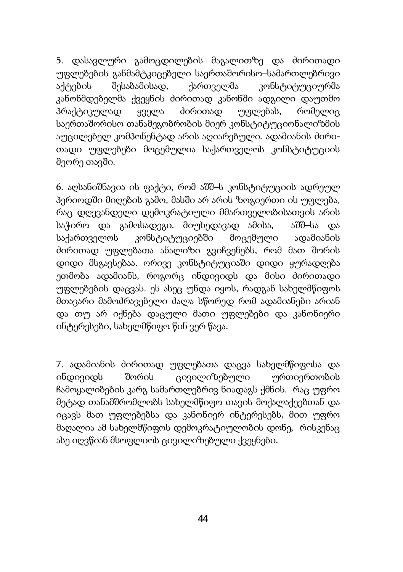5. დასავლური გამოცდილების მაგალითზე და ძირითადი უფლებების განმამტკიცებელი საერთაშორისო–სამართლებრივი აქტების შესაბამისად, ქართველმა კონსტიტუციურმა კანონმდებელმა ქვეყნის ძირითად კანონში ადგილი დაუთმო პრაქტიკულად ყველა ძირითად უფლებას, რომელიც საერთაშორისო თანამეგობრობის მიერ კონსტიტუციონალიზმის აუცილებელ კომპონენტად არის აღიარებული. ადამიანის ძირითადი უფლებები მოცემულია საქართველოს კონსტიტუციის მეორე თავში.

6. აღსანიშნავია ის ფაქტი, რომ აშშ–ს კონსტიტუციის ადრეულ პერიოდში მიღების გამო, მასში არ არის ზოგიერთი ის უფლება, რაც დღევანდელი დემოკრატიული მმართველობისათვის არის საჭირო და გამოსადეგი. მიუხედავად ამისა, აშშ–სა და საქართველოს კონსტიტუციებში მოცემული ადამიანის ძირითად უფლებათა ანალიზი გვიჩვენებს, რომ მათ შორის დიდი მსგავსებაა. ორივე კონსტიტუციაში დიდი ყურადღება ეთმობა ადამიანს, როგორც ინდივიდს და მისი ძირითადი უფლებების დაცვას. ეს ასეც უნდა იყოს, რადგან სახელმწიფოს მთავარი მამოძრავებელი ძალა სწორედ რომ ადამიანები არიან და თუ არ იქნება დაცული მათი უფლებები და კანონიერი ინტერესები, სახელმწიფო წინ ვერ წავა.

7. ადამიანის ძირითად უფლებათა დაცვა სახელმწიფოსა და ინდივიდს შორის ცივილიზებული ურთიერთობის ჩამოყალიბების კარგ სამართლებრივ ნიადაგს ქმნის. რაც უფრო მეტად თანამშრომლობს სახელმწიფო თავის მოქალაქეებთან და იცავს მათ უფლებებსა და კანონიერ ინტერესებს, მით უფრო მაღალია ამ სახელმწიფოს დემოკრატიულობის დონე, რისკენაც ასე იღვწიან მსოფლიოს ცივილიზებული ქვეყნები.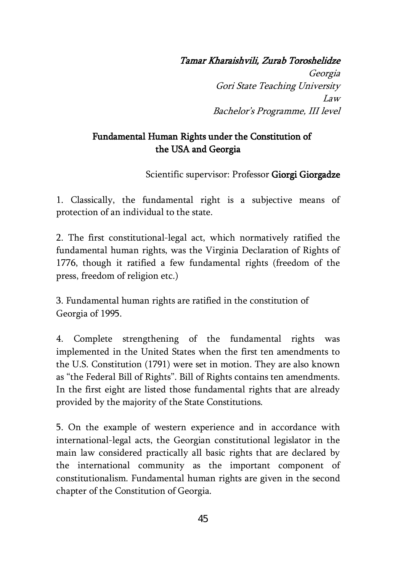#### Tamar Kharaishvili, Zurab Toroshelidze

Georgia Gori State Teaching University Law Bachelor's Programme, III level

### Fundamental Human Rights under the Constitution of the USA and Georgia

Scientific supervisor: Professor Giorgi Giorgadze

1. Classically, the fundamental right is a subjective means of protection of an individual to the state.

2. The first constitutional-legal act, which normatively ratified the fundamental human rights, was the Virginia Declaration of Rights of 1776, though it ratified a few fundamental rights (freedom of the press, freedom of religion etc.)

3. Fundamental human rights are ratified in the constitution of Georgia of 1995.

4. Complete strengthening of the fundamental rights was implemented in the United States when the first ten amendments to the U.S. Constitution (1791) were set in motion. They are also known as "the Federal Bill of Rights". Bill of Rights contains ten amendments. In the first eight are listed those fundamental rights that are already provided by the majority of the State Constitutions.

5. On the example of western experience and in accordance with international-legal acts, the Georgian constitutional legislator in the main law considered practically all basic rights that are declared by the international community as the important component of constitutionalism. Fundamental human rights are given in the second chapter of the Constitution of Georgia.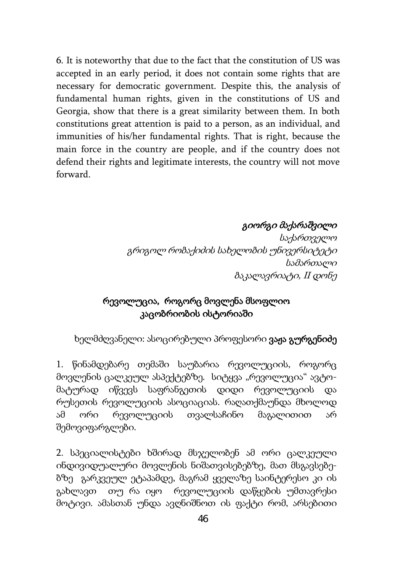6. It is noteworthy that due to the fact that the constitution of US was accepted in an early period, it does not contain some rights that are necessary for democratic government. Despite this, the analysis of fundamental human rights, given in the constitutions of US and Georgia, show that there is a great similarity between them. In both constitutions great attention is paid to a person, as an individual, and immunities of his/her fundamental rights. That is right, because the main force in the country are people, and if the country does not defend their rights and legitimate interests, the country will not move forward.

#### გიორგი მაქარაშვილი

საქართველო გრიგოლ რობაქიძის სახელობის უნივერსიტეტი სამართალი ბაკალავრიატი, II დონე

## რევოლუცია, როგორც მოვლენა მსოფლიო კაცობრიობის ისტორიაში

ხელმძღვანელი: ასოცირებული პროფესორი **ვაჟა გურგენიძე** 

1. წინამდებარე თემაში საუბარია რევოლუციის, როგორც მოვლენის ცალკეულ ასპექტებზე. სიტყვა "რევოლუცია" ავტომატურად იწვევს საფრანგეთის დიდი რევოლუციის და რუსეთის რევოლუციის ასოციაციას. რაღათქმაუნდა მხოლოდ ამ ორი რევოლუციის თვალსაჩინო მაგალითით არ შემოვიფარგლები.

2. სპეციალისტები ხშირად მსჯელობენ ამ ორი ცალკეული ინდივიდუალური მოვლენის ნიშათვისებებზე, მათ მსგავსებებზე გარკვეულ ეტაპამდე, მაგრამ ყველაზე საინტერესო კი ის გახლავთ თუ რა იყო რევოლუციის დაწყების უმთავრესი მოტივი. ამასთან უნდა ავღნიშნოთ ის ფაქტი რომ, არსებითი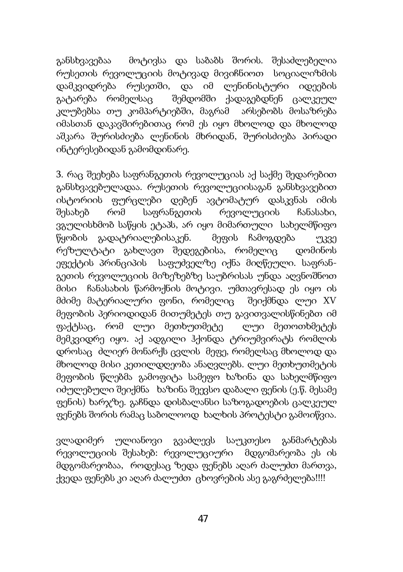განსხვავებაა მოტივსა და საბაბს შორის. შესაძლებელია რუსეთის რევოლუციის მოტივად მივიჩნიოთ სოციალიზმის დამკვიდრება რუსეთში, და იმ ლენინისტური იდეების გატარება რომელსაც შემდომში ქადაგებდნენ ცალკეულ კლუბებსა თუ კომპარტიებში, მაგრამ არსებობს მოსაზრება იმასთან დაკავშირებითაც რომ ეს იყო მხოლოდ და მხოლოდ აშკარა შურისძიება ლენინის მხრიდან, შურისძიება პირადი ინტერესებიდან გამომდინარე.

3. რაც შეეხება საფრანგეთის რევოლუციას აქ საქმე შედარებით განსხვავებულადაა. რუსეთის რევოლუციისაგან განსხვავებით ისტორიის ფურცლები დებენ ავტომატურ დასკვნას იმის შესახებ რომ საფრანგეთის რევოლუციის ჩანასახი, ვგულისხმობ საწყის ეტაპს, არ იყო მიმართული სახელმწიფო წყობის გადატრიალებისაკენ. მეფის ჩამოგდება უკვე რეზულტატი გახლავთ შედეგებისა, რომელიც დომინოს ეფექტის პრინციპის საფუძველზე იქნა მიღწეული. საფრანგეთის რევოლუციის მიზეზებზე საუბრისას უნდა აღვნოშნოთ მისი ჩანასახის წარმოქნის მოტივი. უმთავრესად ეს იყო ის მძიმე მატერიალური ფონი, რომელიც შეიქმნდა ლუი XV მეფობის პერიოდიდან მითუმეტეს თუ გავითვალისწინებთ იმ ფაქტსაც, რომ ლუი მეთხუთმეტე ლუი მეთოთხმეტეს მემკვიდრე იყო. აქ ადგილი ჰქონდა ტრიუმვირატს რომლის დროსაც ძლიერ მონარქს ცვლის მეფე, რომელსაც მხოლოდ და მხოლოდ მისი კეთილდღეობა ანაღვლებს. ლუი მეთხუთმეტის მეფობის წლებმა გამოფიტა სამეფო ხაზინა და სახელმწიფო იძულებული შეიქმნა ხაზინა შეევსო დაბალი ფენის (ე.წ. მესამე ფენის) ხარჯზე. გაჩნდა დისბალანსი საზოგადოების ცალკეულ ფენებს შორის რამაც საბოლოოდ ხალხის პროტესტი გამოიწვია.

ვლადიმერ ულიანოვი გვაძლევს საუკთესო განმარტებას რევოლუციის შესახებ: რევოლუციური მდგომარეობა ეს ის მდგომარეობაა, როდესაც ზედა ფენებს აღარ ძალუძთ მართვა, ქვედა ფენებს კი აღარ ძალუძთ ცხოვრების ასე გაგრძელება!!!!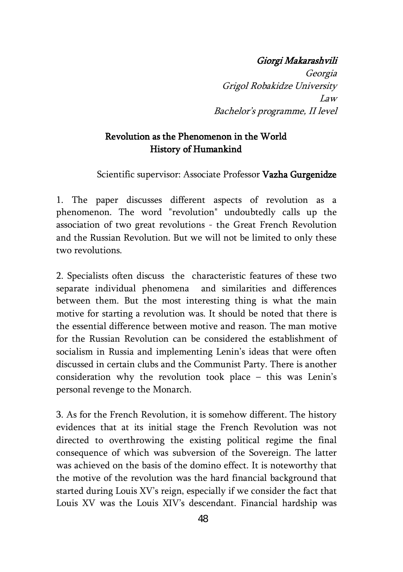#### Giorgi Makarashvili

Georgia Grigol Robakidze University Law Bachelor's programme, II level

### Revolution as the Phenomenon in the World History of Humankind

Scientific supervisor: Associate Professor Vazha Gurgenidze

1. The paper discusses different aspects of revolution as a phenomenon. The word "revolution" undoubtedly calls up the association of two great revolutions - the Great French Revolution and the Russian Revolution. But we will not be limited to only these two revolutions.

2. Specialists often discuss the characteristic features of these two separate individual phenomena and similarities and differences between them. But the most interesting thing is what the main motive for starting a revolution was. It should be noted that there is the essential difference between motive and reason. The man motive for the Russian Revolution can be considered the establishment of socialism in Russia and implementing Lenin's ideas that were often discussed in certain clubs and the Communist Party. There is another consideration why the revolution took place – this was Lenin's personal revenge to the Monarch.

3. As for the French Revolution, it is somehow different. The history evidences that at its initial stage the French Revolution was not directed to overthrowing the existing political regime the final consequence of which was subversion of the Sovereign. The latter was achieved on the basis of the domino effect. It is noteworthy that the motive of the revolution was the hard financial background that started during Louis XV's reign, especially if we consider the fact that Louis XV was the Louis XIV's descendant. Financial hardship was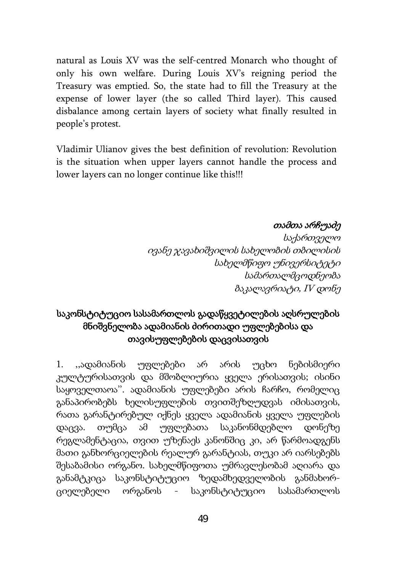natural as Louis XV was the self-centred Monarch who thought of only his own welfare. During Louis XV's reigning period the Treasury was emptied. So, the state had to fill the Treasury at the expense of lower layer (the so called Third layer). This caused disbalance among certain layers of society what finally resulted in people's protest.

Vladimir Ulianov gives the best definition of revolution: Revolution is the situation when upper layers cannot handle the process and lower layers can no longer continue like this!!!

#### თამთა არჩუაძე

საქართველო ივანე ჯავახიშვილის სახელობის თბილისის სახელმწიფო უნივერსიტეტი სამართალმცოდნეობა ბაკალავრიატი, IV დონე

## საკონსტიტუციო სასამართლოს გადაწყვეტილების აღსრულების მნიშვნელობა ადამიანის ძირითადი უფლებებისა და თავისუფლებების დაცვისათვის

1. ,,ადამიანის უფლებები არ არის უცხო ნებისმიერი კულტურისათვის და მშობლიურია ყველა ერისათვის; ისინი საყოველთაოა''. ადამიანის უფლებები არის ჩარჩო, რომელიც განაპირობებს ხელისუფლების თვითშეზღუდვას იმისათვის, რათა გარანტირებულ იქნეს ყველა ადამიანის ყველა უფლების დაცვა. თუმცა ამ უფლებათა საკანონმდებლო დონეზე რეგლამენტაცია, თვით უზენაეს კანონშიც კი, არ წარმოადგენს მათი განხორციელების რეალურ გარანტიას, თუკი არ იარსებებს შესაბამისი ორგანო. სახელმწიფოთა უმრავლესობამ აღიარა და განამტკიცა საკონსტიტუციო ზედამხედველობის განმახორციელებელი ორგანოს - საკონსტიტუციო სასამართლოს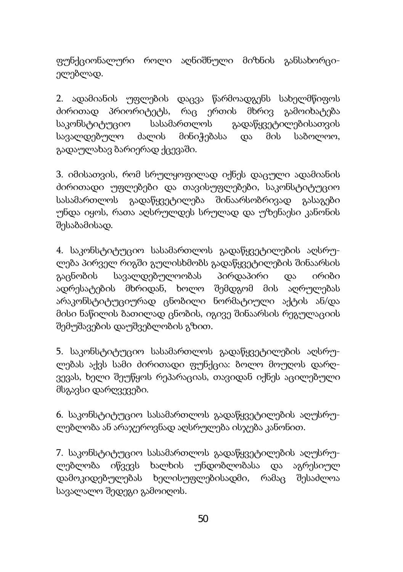ფუნქციონალური როლი აღნიშნული მიზნის განსახორციელებლად.

2. ადამიანის უფლების დაცვა წარმოადგენს სახელმწიფოს ძირითად პრიორიტეტს, რაც ერთის მხრივ გამოიხატება საკონსტიტუციო სასამართლოს გადაწყვეტილებისათვის სავალდებულო ძალის მინიჭებასა და მის საბოლოო, გადაულახავ ბარიერად ქცევაში.

3. იმისათვის, რომ სრულყოფილად იქნეს დაცული ადამიანის ძირითადი უფლებები და თავისუფლებები, საკონსტიტუციო სასამართლოს გადაწყვეტილება შინაარსობრივად გასაგები უნდა იყოს, რათა აღსრულდეს სრულად და უზენაესი კანონის შესაბამისად.

4. საკონსტიტუციო სასამართლოს გადაწყვეტილების აღსრულება პირველ რიგში გულისხმობს გადაწყვეტილების შინაარსის გაცნობის სავალდებულოობას პირდაპირი და ირიბი ადრესატების მხრიდან, ხოლო შემდგომ მის აღრულებას არაკონსტიტუციურად ცნობილი ნორმატიული აქტის ან/და მისი ნაწილის ბათილად ცნობის, იგივე შინაარსის რეგულაციის შემუშავების დაუშვებლობის გზით.

5. საკონსტიტუციო სასამართლოს გადაწყვეტილების აღსრულებას აქვს სამი ძირითადი ფუნქცია: ბოლო მოუღოს დარღვევას, ხელი შეუწყოს რეპარაციას, თავიდან იქნეს აცილებული მსგავსი დარღვევები.

6. საკონსტიტუციო სასამართლოს გადაწყვეტილების აღუსრულებლობა ან არაჯეროვნად აღსრულება ისჯება კანონით.

7. საკონსტიტუციო სასამართლოს გადაწყვეტილების აღუსრულებლობა იწვევს ხალხის უნდობლობასა და აგრესიულ დამოკიდებულებას ხელისუფლებისადმი, რამაც შესაძლოა სავალალო შედეგი გამოიღოს.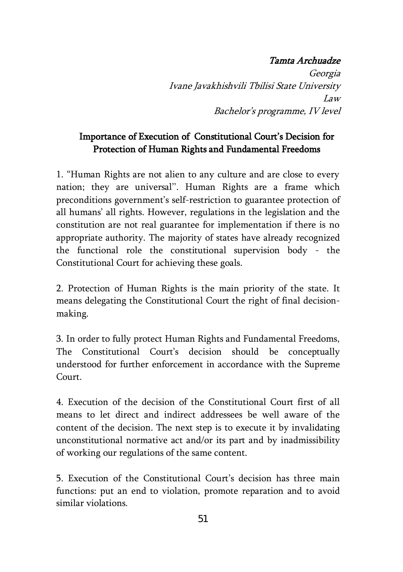### Tamta Archuadze

Georgia Ivane Javakhishvili Tbilisi State University Law Bachelor's programme, IV level

## Importance of Execution of Constitutional Court's Decision for Protection of Human Rights and Fundamental Freedoms

1. "Human Rights are not alien to any culture and are close to every nation; they are universal''. Human Rights are a frame which preconditions government's self-restriction to guarantee protection of all humans' all rights. However, regulations in the legislation and the constitution are not real guarantee for implementation if there is no appropriate authority. The majority of states have already recognized the functional role the constitutional supervision body - the Constitutional Court for achieving these goals.

2. Protection of Human Rights is the main priority of the state. It means delegating the Constitutional Court the right of final decisionmaking.

3. In order to fully protect Human Rights and Fundamental Freedoms, The Constitutional Court's decision should be conceptually understood for further enforcement in accordance with the Supreme Court.

4. Execution of the decision of the Constitutional Court first of all means to let direct and indirect addressees be well aware of the content of the decision. The next step is to execute it by invalidating unconstitutional normative act and/or its part and by inadmissibility of working our regulations of the same content.

5. Execution of the Constitutional Court's decision has three main functions: put an end to violation, promote reparation and to avoid similar violations.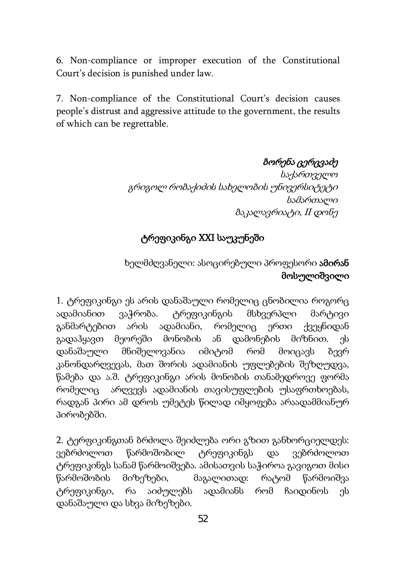6. Non-compliance or improper execution of the Constitutional Court's decision is punished under law.

7. Non-compliance of the Constitutional Court's decision causes people's distrust and aggressive attitude to the government, the results of which can be regrettable.

ბორენა ცერცვაძე

საქართველო გრიგოლ რობაქიძის სახელობის უნივერსიტეტი სამართალი ბაკალავრიატი, II დონე

# ტრეფიკინგი XXI საუკუნეში

## ხელმძღვანელი: ასოცირებული პროფესორი ამირან მოსულიშვილი

1. ტრეფიკინგი ეს არის დანაშაული რომელიც ცნობილია როგორც ადამიანით ვაჭრობა. ტრეფიკინგის მსხვერპლი მარტივი განმარტებით არის ადამიანი, რომელიც ერთი ქვეყნიდან გადაჰყავთ მეორეში მონობის ან დამონების მიზნით. ეს დანაშაული მნიშელოვანია იმიტომ რომ მოიცავს ბევრ კანონდარღვევას, მათ შორის ადამიანის უფლებების შეზღუდვა, წამება და ა.შ. ტრეფიკინგი არის მონობის თანამედროვე ფორმა რომელიც არღვევს ადამიანის თავისუფლების უსაფრთხოებას, რადგან პირი ამ დროს უმეტეს წილად იმყოფება არაადამმიანურ პირობებში.

2. ტერფიკინგთან ბრძოლა შეიძლება ორი გზით განხორციელდეს: ვებრძოლოთ წარმოშობილ ტრეფიკინგს და ვებრძოლოთ ტრეფიკინგს სანამ წარმოიშვება. ამისათვის საჭიროა გავიგოთ მისი წარმოშობის მიზეზები, მაგალითად: რატომ წარმოიშვა ტრეფიკინგი, რა აიძულებს ადამიანს რომ ჩაიდინოს ეს დანაშაული და სხვა მიზეზები.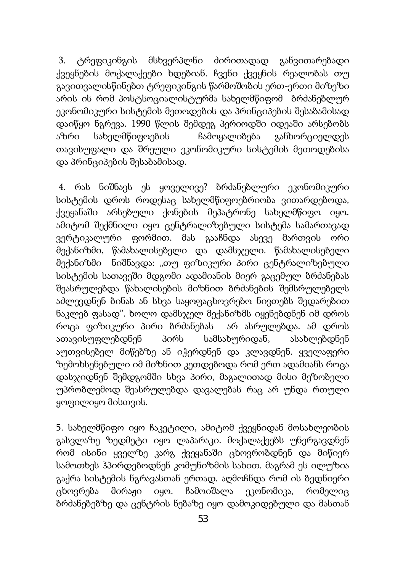3. ტრეფიკინგის მსხვერპლნი ძირითადად განვითარებადი ქვეყნების მოქალაქეები ხდებიან. ჩვენი ქვეყნის რეალობას თუ გავითვალისწინებთ ტრეფიკინგის წარმოშობის ერთ-ერთი მიზეზი არის ის რომ პოსტსოციალისტურმა სახელმწიფომ ბრძანებლურ ეკონომიკური სისტემის მეთოდების და პრინციპების შესაბამისად დაიწყო ნგრევა. 1990 წლის შემდეგ პერიოდში იდეაში არსებობს აზრი სახელმწიფოების ჩამოყალიბება განხორციელდეს თავისუფალი და შრეული ეკონომიკური სისტემის მეთოდებისა და პრინციპების შესაბამისად.

4. რას ნიშნავს ეს ყოველივე? ბრძანებლური ეკონომიკური სისტემის დროს როდესაც სახელმწიფოებრიობა ვითარდებოდა, ქვეყანაში არსებული ქონების მეპატრონე სახელმწიფო იყო. ამიტომ შექმნილი იყო ცენტრალიზებული სისტემა სამართავად ვერტიკალური ფორმით. მას გააჩნდა ასევე მართვის ორი მექანიზმი, წამახალისებელი და დამსჯელი. წამახალისებელი მექანიზმი ნიშნავდა: "თუ ფიზიკური პირი ცენტრალიზებული სისტემის სათავეში მდგომი ადამიანის მიერ გაცემულ ბრძანებას შეასრულებდა წახალისების მიზნით ბრძანების შემსრულებელს აძლევდნენ ბინას ან სხვა საყოფაცხოვრებო ნივთებს შედარებით ნაკლებ ფასად". ხოლო დამსჯელ მექანიზმს იყენებდნენ იმ დროს როცა ფიზიკური პირი ბრძანებას არ ასრულებდა. ამ დროს ათავისუფლებდნენ პირს სამსახურიდან, ასახლებდნენ აუთვისებელ მიწებზე ან იჭერდნენ და კლავდნენ. ყველაფერი ზემოხსენებული იმ მიზნით კეთდებოდა რომ ერთ ადამიანს როცა დასჯიდნენ შემდგომში სხვა პირი, მაგალითად მისი მეზობელი უპრობლემოდ შეასრულებდა დავალებას რაც არ უნდა რთული ყოფილიყო მისთვის.

5. სახელმწიფო იყო ჩაკეტილი, ამიტომ ქვეყნიდან მოსახლეობის გასვლაზე ზედმეტი იყო ლაპარაკი. მოქალაქეებს უნერგავდნენ რომ ისინი ყველზე კარგ ქვეყანაში ცხოვრობდნენ და მიწიერ სამოთხეს ჰპირდებოდნენ კომუნიზმის სახით. მაგრამ ეს ილუზია გაქრა სისტემის ნგრავასთან ერთად. აღმოჩნდა რომ ის ბედნიერი ცხოვრება მირაჟი იყო. ჩამოიშალა ეკონომიკა, რომელიც ბრძანებებზე და ცენტრის ნებაზე იყო დამოკიდებული და მასთან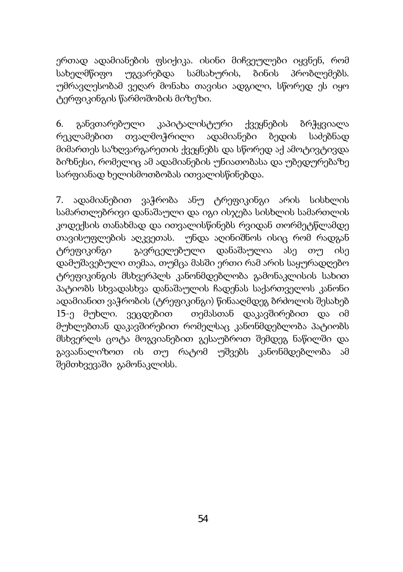ერთად ადამიანების ფსიქიკა. ისინი მიჩვეულები იყვნენ, რომ სახელმწიფო უგვარებდა სამსახურის, ბინის პრობლემებს. უმრავლესობამ ვეღარ მონახა თავისი ადგილი, სწორედ ეს იყო ტერფიკინგის წარმოშობის მიზეზი.

6. განვთარებული კაპიტალისტური ქვეყნების ბრჭყვიალა რეკლამებით თვალმოჭრილი ადამიანები ბედის საძებნად მიმართეს საზღვარგარეთის ქვეყნებს და სწორედ აქ ამოტივტივდა ბიზნესი, რომელიც ამ ადამიანების უნიათობასა და უბედურებაზე სარფიანად ხელისმოთბობას ითვალისწინებდა.

7. ადამიანებით ვაჭრობა ანუ ტრეფიკინგი არის სისხლის სამართლებრივი დანაშაული და იგი ისჯება სისხლის სამართლის კოდექსის თანახმად და ითვალისწინებს რვიდან თორმეტწლამდე თავისუფლების აღკვეთას. უნდა აღინიშნოს ისიც რომ რადგან ტრეფიკინგი გავრცელებული დანაშაულია ასე თუ ისე დამუშავებული თემაა, თუმცა მასში ერთი რამ არის საყურადღებო ტრეფიკინგის მსხვერპლს კანონმდებლობა გამონაკლისის სახით პატიობს სხვადასხვა დანაშაულის ჩადენას საქართველოს კანონი ადამიანით ვაჭრობის (ტრეფიკინგი) წინააღმდეგ ბრძოლის შესახებ 15-ე მუხლი. ვეცდებით თემასთან დაკავშირებით და იმ მუხლებთან დაკავშირებით რომელსაც კანონმდებლობა პატიობს მსხვერლს ცოტა მოგვიანებით გესაუბროთ შემდეგ ნაწილში და გავაანალიზოთ ის თუ რატომ უშვებს კანონმდებლობა ამ შემთხვევაში გამონაკლისს.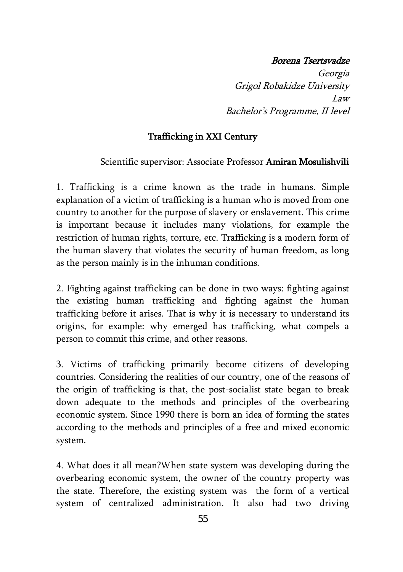#### Borena Tsertsvadze

Georgia Grigol Robakidze University Law Bachelor's Programme, II level

## Trafficking in XXI Century

#### Scientific supervisor: Associate Professor Amiran Mosulishvili

1. Trafficking is a crime known as the trade in humans. Simple explanation of a victim of trafficking is a human who is moved from one country to another for the purpose of slavery or enslavement. This crime is important because it includes many violations, for example the restriction of human rights, torture, etc. Trafficking is a modern form of the human slavery that violates the security of human freedom, as long as the person mainly is in the inhuman conditions.

2. Fighting against trafficking can be done in two ways: fighting against the existing human trafficking and fighting against the human trafficking before it arises. That is why it is necessary to understand its origins, for example: why emerged has trafficking, what compels a person to commit this crime, and other reasons.

3. Victims of trafficking primarily become citizens of developing countries. Considering the realities of our country, one of the reasons of the origin of trafficking is that, the post-socialist state began to break down adequate to the methods and principles of the overbearing economic system. Since 1990 there is born an idea of forming the states according to the methods and principles of a free and mixed economic system.

4. What does it all mean?When state system was developing during the overbearing economic system, the owner of the country property was the state. Therefore, the existing system was the form of a vertical system of centralized administration. It also had two driving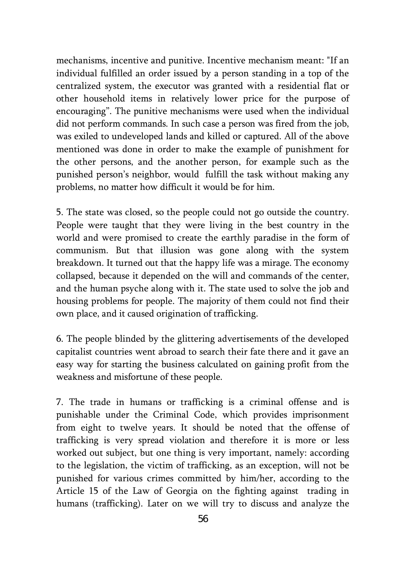mechanisms, incentive and punitive. Incentive mechanism meant: "If an individual fulfilled an order issued by a person standing in a top of the centralized system, the executor was granted with a residential flat or other household items in relatively lower price for the purpose of encouraging". The punitive mechanisms were used when the individual did not perform commands. In such case a person was fired from the job, was exiled to undeveloped lands and killed or captured. All of the above mentioned was done in order to make the example of punishment for the other persons, and the another person, for example such as the punished person's neighbor, would fulfill the task without making any problems, no matter how difficult it would be for him.

5. The state was closed, so the people could not go outside the country. People were taught that they were living in the best country in the world and were promised to create the earthly paradise in the form of communism. But that illusion was gone along with the system breakdown. It turned out that the happy life was a mirage. The economy collapsed, because it depended on the will and commands of the center, and the human psyche along with it. The state used to solve the job and housing problems for people. The majority of them could not find their own place, and it caused origination of trafficking.

6. The people blinded by the glittering advertisements of the developed capitalist countries went abroad to search their fate there and it gave an easy way for starting the business calculated on gaining profit from the weakness and misfortune of these people.

7. The trade in humans or trafficking is a criminal offense and is punishable under the Criminal Code, which provides imprisonment from eight to twelve years. It should be noted that the offense of trafficking is very spread violation and therefore it is more or less worked out subject, but one thing is very important, namely: according to the legislation, the victim of trafficking, as an exception, will not be punished for various crimes committed by him/her, according to the Article 15 of the Law of Georgia on the fighting against trading in humans (trafficking). Later on we will try to discuss and analyze the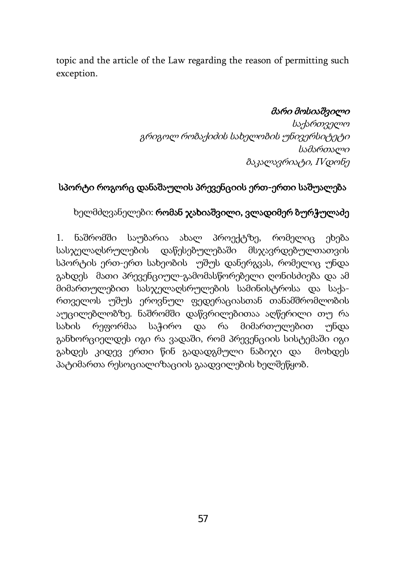topic and the article of the Law regarding the reason of permitting such exception.

#### მარი მოსიაშვილი

საქართველო გრიგოლ რობაქიძის სახელობის უნივერსიტეტი სამართალი ბაკალავრიატი, IVდონე

## სპორტი როგორც დანაშაულის პრევენციის ერთ-ერთი საშუალება

#### ხელმძღვანელები: რომან ჯახიაშვილი, ვლადიმერ ბურჭულაძე

1. ნაშრომში საუბარია ახალ პროექტზე, რომელიც ეხება სასჯელაღსრულების დაწესებულებაში მსჯავრდებულთათვის სპორტის ერთ-ერთ სახეობის უშუს დანერგვას, რომელიც უნდა გახდეს მათი პრევენციულ-გამომასწორებელი ღონისძიება და ამ მიმართულებით სასჯელაღსრულების სამინისტროსა და საქართველოს უშუს ეროვნულ ფედერაციასთან თანამშრომლობის აუცილებლობზე. ნაშრომში დაწვრილებითაა აღწერილი თუ რა სახის რეფორმაა საჭირო და რა მიმართულებით უნდა განხორციელდეს იგი რა ვადაში, რომ პრევენციის სისტემაში იგი გახდეს კიდევ ერთი წინ გადადგმული ნაბიჯი და მოხდეს პატიმართა რესოციალიზაციის გაადვილების ხელშეწყობ.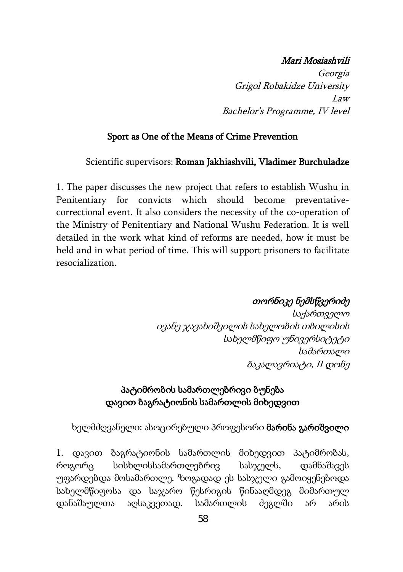#### Mari Mosiashvili

Georgia Grigol Robakidze University Law Bachelor's Programme, IV level

### Sport as One of the Means of Crime Prevention

#### Scientific supervisors: Roman Jakhiashvili, Vladimer Burchuladze

1. The paper discusses the new project that refers to establish Wushu in Penitentiary for convicts which should become preventativecorrectional event. It also considers the necessity of the co-operation of the Ministry of Penitentiary and National Wushu Federation. It is well detailed in the work what kind of reforms are needed, how it must be held and in what period of time. This will support prisoners to facilitate resocialization.

### თორნიკე ნემსწვერიძე

საქართველო ივანე ჯავახიშვილის სახელობის თბილისის სახელმწიფო უნივერსიტეტი სამართალი ბაკალავრიატი, II დონე

### პატიმრობის სამართლებრივი ბუნება დავით ბაგრატიონის სამართლის მიხედვით

#### ხელმძღვანელი: ასოცირებული პროფესორი მარინა გარიშვილი

1. დავით ბაგრატიონის სამართლის მიხედვით პატიმრობას, როგორც სისხლისსამართლებრივ სასჯელს, დამნაშავეს უფარდებდა მოსამართლე. ზოგადად ეს სასჯელი გამოიყენებოდა სახელმწიფოსა და საჯარო წესრიგის წინააღმდეგ მიმართულ დანაშაულთა აღსაკვეთად. სამართლის ძეგლში არ არის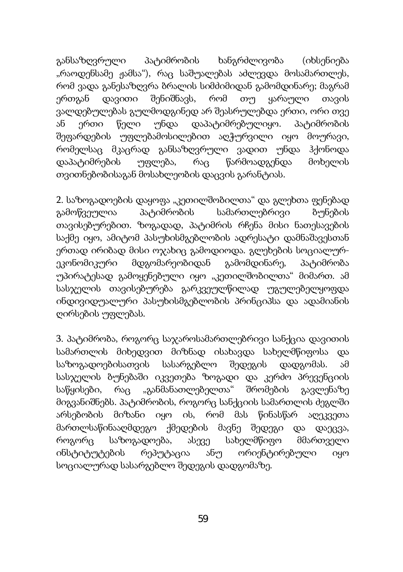განსაზღვრული პატიმრობის ხანგრძლივობა (იხსენიება "რაოდენსამე ჟამსა"), რაც საშუალებას აძლევდა მოსამართლეს, რომ ვადა განესაზღვრა ბრალის სიმძიმიდან გამომდინარე; მაგრამ ერთგან დავითი შენიშნავს, რომ თუ ყარაული თავის ვალდებულებას გულმოდგინედ არ შეასრულებდა ერთი, ორი თვე ან ერთი წელი უნდა დაპატიმრებულიყო. პატიმრობის შეფარდების უფლებამოსილებით აღჭურვილი იყო მოურავი, რომელსაც მკაცრად განსაზღვრული ვადით უნდა ჰქონოდა დაპატიმრების უფლება, რაც წარმოადგენდა მოხელის თვითნებობისაგან მოსახლეობის დაცვის გარანტიას.

2. საზოგადოების დაყოფა "კეთილშობილთა" და გლეხთა ფენებად გამოწვეულია პატიმრობის სამართლებრივი ბუნების თავისებურებით. ზოგადად, პატიმრის რჩენა მისი ნათესავების საქმე იყო, ამიტომ პასუხისმგებლობის ადრესატი დამნაშავესთან ერთად ირიბად მისი ოჯახიც გამოდიოდა. გლეხების სოციალურეკონომიკური მდგომარეობიდან გამომდინარე, პატიმრობა უპირატესად გამოყენებული იყო "კეთილშობილთა" მიმართ. ამ სასჯელის თავისებურება გარკვეულწილად უგულებელყოფდა ინდივიდუალური პასუხისმგებლობის პრინციპსა და ადამიანის ღირსების უფლებას.

3. პატიმრობა, როგორც საჯაროსამართლებრივი სანქცია დავითის სამართლის მიხედვით მიზნად ისახავდა სახელმწიფოსა და საზოგადოებისათვის სასარგებლო შედეგის დადგომას. ამ სასჯელის ბუნებაში იკვეთება ზოგადი და კერძო პრევენციის საწყისები, რაც "განმანათლებელთა" შრომების გავლენაზე მიგვანიშნებს. პატიმრობის, როგორც სანქციის სამართლის ძეგლში არსებობის მიზანი იყო ის, რომ მას წინასწარ აღეკვეთა მართლსაწინააღმდეგო ქმედების მავნე შედეგი და დაეცვა, როგორც საზოგადოება, ასევე სახელმწიფო მმართველი ინსტიტუტების რეპუტაცია ანუ ორიენტირებული იყო სოციალურად სასარგებლო შედეგის დადგომაზე.

59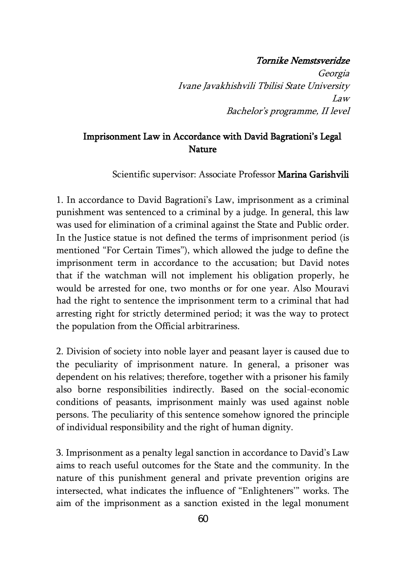#### Tornike Nemstsveridze

Georgia Ivane Javakhishvili Tbilisi State University Law Bachelor's programme, II level

### Imprisonment Law in Accordance with David Bagrationi's Legal Nature

Scientific supervisor: Associate Professor Marina Garishvili

1. In accordance to David Bagrationi's Law, imprisonment as a criminal punishment was sentenced to a criminal by a judge. In general, this law was used for elimination of a criminal against the State and Public order. In the Justice statue is not defined the terms of imprisonment period (is mentioned "For Certain Times"), which allowed the judge to define the imprisonment term in accordance to the accusation; but David notes that if the watchman will not implement his obligation properly, he would be arrested for one, two months or for one year. Also Mouravi had the right to sentence the imprisonment term to a criminal that had arresting right for strictly determined period; it was the way to protect the population from the Official arbitrariness.

2. Division of society into noble layer and peasant layer is caused due to the peculiarity of imprisonment nature. In general, a prisoner was dependent on his relatives; therefore, together with a prisoner his family also borne responsibilities indirectly. Based on the social-economic conditions of peasants, imprisonment mainly was used against noble persons. The peculiarity of this sentence somehow ignored the principle of individual responsibility and the right of human dignity.

3. Imprisonment as a penalty legal sanction in accordance to David's Law aims to reach useful outcomes for the State and the community. In the nature of this punishment general and private prevention origins are intersected, what indicates the influence of "Enlighteners'" works. The aim of the imprisonment as a sanction existed in the legal monument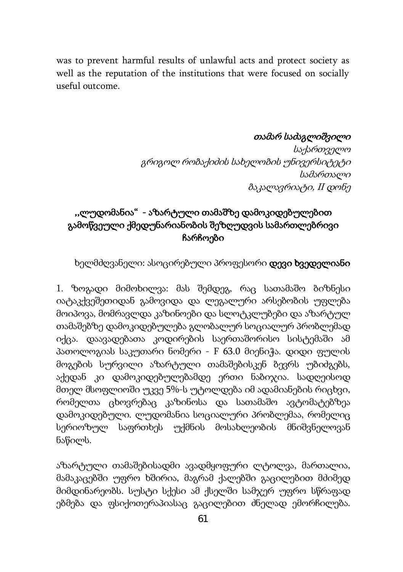was to prevent harmful results of unlawful acts and protect society as well as the reputation of the institutions that were focused on socially useful outcome.

### თამარ საძაგლიშვილი

საქართველო გრიგოლ რობაქიძის სახელობის უნივერსიტეტი სამართალი ბაკალავრიატი, II დონე

## ,,ლუდომანია" - აზარტული თამაშზე დამოკიდებულებით გამოწვეული ქმედუნარიანობის შეზღუდვის სამართლებრივი ჩარჩოები

ხელმძღვანელი: ასოცირებული პროფესორი **დევი ხვედელიანი** 

1. ზოგადი მიმოხილვა: მას შემდეგ, რაც სათამაშო ბიზნესი იატაკქვეშეთიდან გამოვიდა და ლეგალური არსებობის უფლება მოიპოვა, მომრავლდა კაზინოები და სლოტკლუბები და აზარტულ თამაშებზე დამოკიდებულება გლობალურ სოციალურ პრობლემად იქცა. დაავადებათა კოდირების საერთაშორისო სისტემაში ამ პათოლოგიას საკუთარი ნომერი - F 63.0 მიენიჭა. დიდი ფულის მოგების სურვილი აზარტული თამაშებისკენ ბევრს უბიძგებს, აქედან კი დამოკიდებულებამდე ერთი ნაბიჯია. სადღეისოდ მთელ მსოფლიოში უკვე 5%-ს უტოლდება იმ ადამიანების რიცხვი, რომელთა ცხოვრებაც კაზინოსა და სათამაშო ავტომატებზეა დამოკიდებული. ლუდომანია სოციალური პრობლემაა, რომელიც სერიოზულ საფრთხეს უქმნის მოსახლეობის მნიშვნელოვან ნაწილს.

აზარტული თამაშებისადმი ავადმყოფური ლტოლვა, მართალია, მამაკაცებში უფრო ხშირია, მაგრამ ქალებში გაცილებით მძიმედ მიმდინარეობს. სუსტი სქესი ამ ქსელში სამჯერ უფრო სწრაფად ებმება და ფსიქოთერაპიასაც გაცილებით ძნელად ემორჩილება.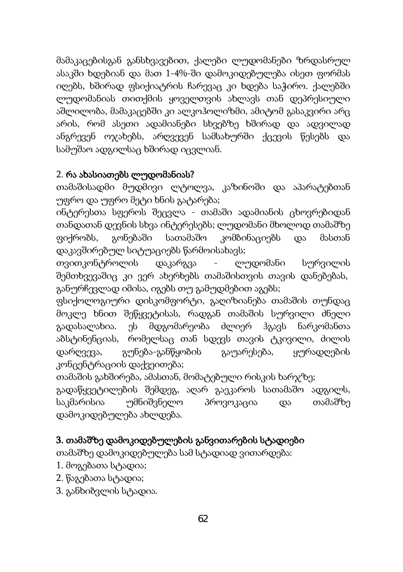მამაკაცებისგან განსხვავებით, ქალები ლუდომანები ზრდასრულ ასაკში ხდებიან და მათ 1-4%-ში დამოკიდებულება ისეთ ფორმას იღებს, ხშირად ფსიქიატრის ჩარევაც კი ხდება საჭირო. ქალებში ლუდომანიას თითქმის ყოველთვის ახლავს თან დეპრესიული აშლილობა, მამაკაცებში კი ალკოჰოლიზმი, ამიტომ გასაკვირი არც არის, რომ ასეთი ადამიანები სხვებზე ხშირად და ადვილად ანგრევენ ოჯახებს, არღვევენ სამსახურში ქცევის წესებს და სამუშაო ადგილსაც ხშირად იცვლიან.

#### 2. რა ახასიათებს ლუდომანიას?

თამაშისადმი მუდმივი ლტოლვა, კაზინოში და აპარატებთან უფრო და უფრო მეტი ხნის გატარება;

ინტერესთა სფეროს შეცვლა - თამაში ადამიანის ცხოვრებიდან თანდათან დევნის სხვა ინტერესებს; ლუდომანი მხოლოდ თამაშზე ფიქრობს, გონებაში სათამაშო კომბინაციებს და მასთან დაკავშირებულ სიტუაციებს წარმოისახავს;

თვითკონტროლის დაკარგვა - ლუდომანი სურვილის შემთხვევაშიც კი ვერ ახერხებს თამაშისთვის თავის დანებებას, განურჩევლად იმისა, იგებს თუ გამუდმებით აგებს;

ფსიქოლოგიური დისკომფორტი, გაღიზიანება თამაშის თუნდაც მოკლე ხნით შეწყვეტისას, რადგან თამაშის სურვილი ძნელი გადასალახია. ეს მდგომარეობა ძლიერ ჰგავს ნარკომანთა აბსტინენციას, რომელსაც თან სდევს თავის ტკივილი, ძილის დარღვევა, გუნება-განწყობის გაუარესება, ყურადღების კონცენტრაციის დაქვეითება;

თამაშის გახშირება, ამასთან, მომატებული რისკის ხარჯზე;

გადაწყვეტილების შემდეგ, აღარ გაეკაროს სათამაშო ადგილს, საკმარისია უმნიშვნელო პროვოკაცია და თამაშზე დამოკიდებულება ახლდება.

### 3. თამაშზე დამოკიდებულების განვითარების სტადიები

თამაშზე დამოკიდებულება სამ სტადიად ვითარდება:

- 1. მოგებათა სტადია;
- 2. წაგებათა სტადია;
- 3. განხიბვლის სტადია.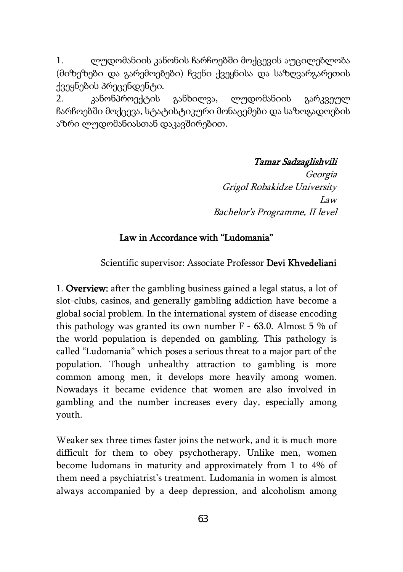1. ლუდომანიის კანონის ჩარჩოებში მოქცევის აუცილებლობა (მიზეზები და გარემოებები) ჩვენი ქვეყნისა და საზღვარგარეთის ქვეყნების პრეცენდენტი.

2. კანონპროექტის განხილვა, ლუდომანიის გარკვეულ ჩარჩოებში მოქცევა, სტატისტიკური მონაცემები და საზოგადოების აზრი ლუდომანიასთან დაკავშირებით.

Tamar Sadzaglishvili

Georgia Grigol Robakidze University Law Bachelor's Programme, II level

#### Law in Accordance with "Ludomania"

Scientific supervisor: Associate Professor Devi Khvedeliani

1. Overview: after the gambling business gained a legal status, a lot of slot-clubs, casinos, and generally gambling addiction have become a global social problem. In the international system of disease encoding this pathology was granted its own number F - 63.0. Almost 5 % of the world population is depended on gambling. This pathology is called "Ludomania" which poses a serious threat to a major part of the population. Though unhealthy attraction to gambling is more common among men, it develops more heavily among women. Nowadays it became evidence that women are also involved in gambling and the number increases every day, especially among youth.

Weaker sex three times faster joins the network, and it is much more difficult for them to obey psychotherapy. Unlike men, women become ludomans in maturity and approximately from 1 to 4% of them need a psychiatrist's treatment. Ludomania in women is almost always accompanied by a deep depression, and alcoholism among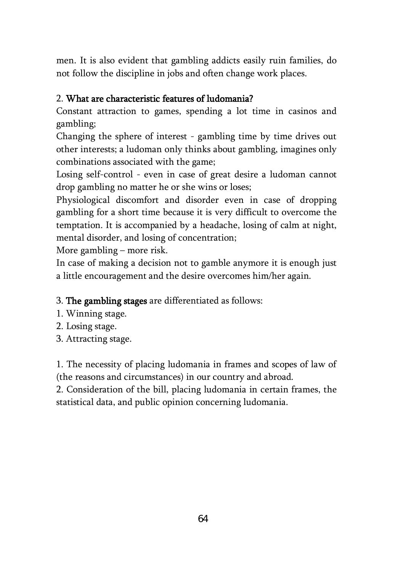men. It is also evident that gambling addicts easily ruin families, do not follow the discipline in jobs and often change work places.

#### 2. What are characteristic features of ludomania?

Constant attraction to games, spending a lot time in casinos and gambling;

Changing the sphere of interest - gambling time by time drives out other interests; a ludoman only thinks about gambling, imagines only combinations associated with the game;

Losing self-control - even in case of great desire a ludoman cannot drop gambling no matter he or she wins or loses;

Physiological discomfort and disorder even in case of dropping gambling for a short time because it is very difficult to overcome the temptation. It is accompanied by a headache, losing of calm at night, mental disorder, and losing of concentration;

More gambling – more risk.

In case of making a decision not to gamble anymore it is enough just a little encouragement and the desire overcomes him/her again.

3. The gambling stages are differentiated as follows:

- 1. Winning stage.
- 2. Losing stage.
- 3. Attracting stage.

1. The necessity of placing ludomania in frames and scopes of law of (the reasons and circumstances) in our country and abroad.

2. Consideration of the bill, placing ludomania in certain frames, the statistical data, and public opinion concerning ludomania.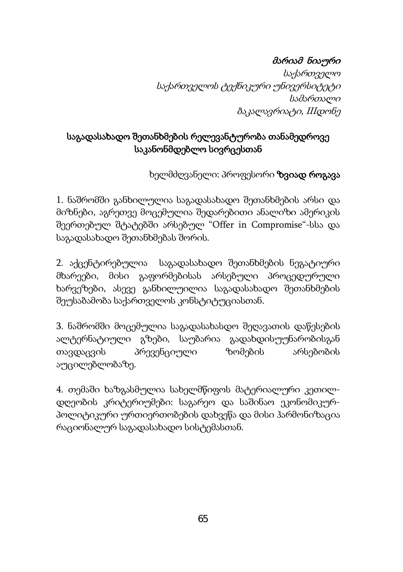# მარიამ ნიაური

საქართველო საქართველოს ტექნიკური უნივერსიტეტი სამართალი ბაკალავრიატი, IIIდონე

## საგადასახადო შეთანხმების რელევანტურობა თანამედროვე საკანონმდებლო სივრცესთან

ხელმძღვანელი: პროფესორი **ზვიად როგავა** 

1. ნაშრომში განხილულია საგადასახადო შეთანხმების არსი და მიზნები, აგრეთვე მოცემულია შედარებითი ანალიზი ამერიკის შეერთებულ შტატებში არსებულ "Offer in Compromise"-სსა და საგადასახადო შეთანხმებას შორის.

2. აქცენტირებულია საგადასახადო შეთანხმების ნეგატიური მხარეები, მისი გაფორმებისას არსებული პროცედურული ხარვეზები, ასევე განხილუილია საგადასახადო შეთანხმების შეუსაბამობა საქართველოს კონსტიტუციასთან.

3. ნაშრომში მოცემულია საგადასახასდო შეღავათის დაწესების ალტერნატიული გზები, საუბარია გადახდისუუნარობისგან თავდაცვის პრევენციული ზომების არსებობის აუცილებლობაზე.

4. თემაში ხაზგასმულია სახელმწიფოს მატერიალური კეთილდღეობის კრიტერიუმები: საგარეო და საშინაო ეკონომიკურპოლიტიკური ურთიერთობების დახვეწა და მისი ჰარმონიზაცია რაციონალურ საგადასახადო სისტემასთან.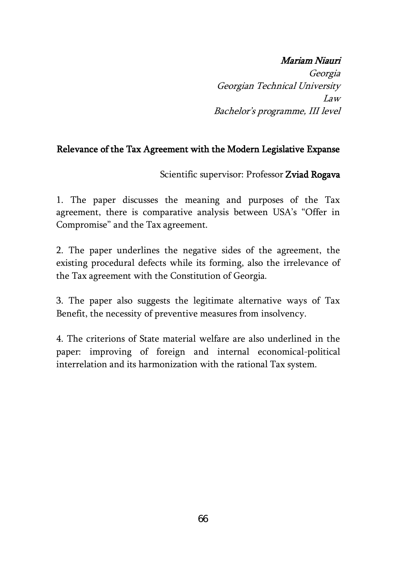#### Mariam Niauri

Georgia Georgian Technical University Law Bachelor's programme, III level

### Relevance of the Tax Agreement with the Modern Legislative Expanse

Scientific supervisor: Professor Zviad Rogava

1. The paper discusses the meaning and purposes of the Tax agreement, there is comparative analysis between USA's "Offer in Compromise" and the Tax agreement.

2. The paper underlines the negative sides of the agreement, the existing procedural defects while its forming, also the irrelevance of the Tax agreement with the Constitution of Georgia.

3. The paper also suggests the legitimate alternative ways of Tax Benefit, the necessity of preventive measures from insolvency.

4. The criterions of State material welfare are also underlined in the paper: improving of foreign and internal economical-political interrelation and its harmonization with the rational Tax system.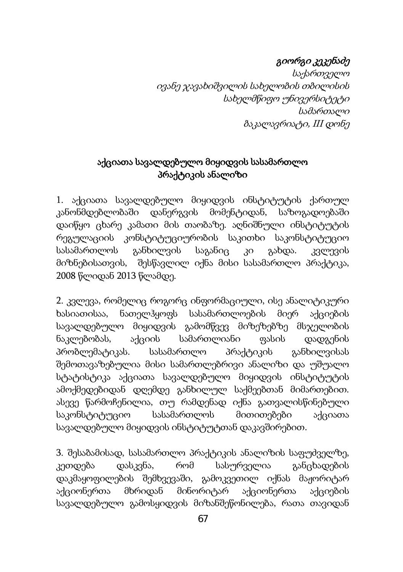# გიორგი კეკენაძე

საქართველო ივანე ჯავახიშვილის სახელობის თბილისის სახელმწიფო უნივერსიტეტი სამართალი ბაკალავრიატი, III დონე

## აქციათა სავალდებულო მიყიდვის სასამართლო პრაქტიკის ანალიზი

1. აქციათა სავალდებულო მიყიდვის ინსტიტუტის ქართულ კანონმდებლობაში დანერგვის მომენტიდან, საზოგადოებაში დაიწყო ცხარე კამათი მის თაობაზე. აღნიშნული ინსტიტუტის რეგულაციის კონსტიტუციურობის საკითხი საკონსტიტუციო სასამართლოს განხილვის საგანიც კი გახდა. კვლევის მიზნებისათვის, შესწავლილ იქნა მისი სასამართლო პრაქტიკა, 2008 წლიდან 2013 წლამდე.

2. კვლევა, რომელიც როგორც ინფორმაციული, ისე ანალიტიკური ხასიათისაა, ნათელჰყოფს სასამართლოების მიერ აქციების სავალდებულო მიყიდვის გამომწვევ მიზეზებზე მსჯელობის ნაკლებობას, აქციის სამართლიანი ფასის დადგენის პრობლემატიკას. სასამართლო პრაქტიკის განხილვისას შემოთავაზებულია მისი სამართლებრივი ანალიზი და უშუალო სტატისტიკა აქციათა სავალდებულო მიყიდვის ინსტიტუტის ამოქმედებიდან დღემდე განხილულ საქმეებთან მიმართებით. ასევე წარმოჩენილია, თუ რამდენად იქნა გათვალისწინებული საკონსტიტუციო სასამართლოს მითითებები აქციათა სავალდებულო მიყიდვის ინსტიტუტთან დაკავშირებით.

3. შესაბამისად, სასამართლო პრაქტიკის ანალიზის საფუძველზე, კეთდება დასკვნა, რომ სასურველია განცხადების დაკმაყოფილების შემხვევაში, გამოკვეთილ იქნას მაჟორიტარ აქციონერთა მხრიდან მინორიტარ აქციონერთა აქციების სავალდებულო გამოსყიდვის მიზანშეწონილება, რათა თავიდან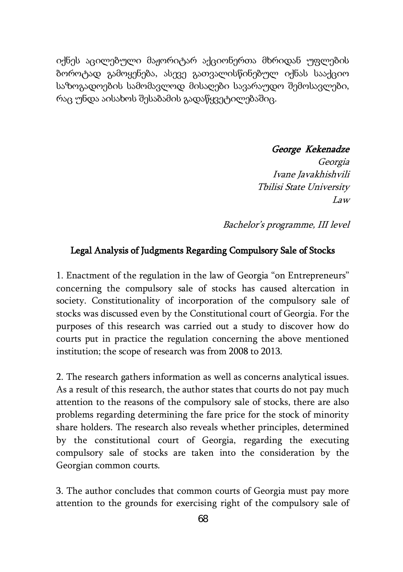იქნეს აცილებული მაჟორიტარ აქციონერთა მხრიდან უფლების ბოროტად გამოყენება, ასევე გათვალისწინებულ იქნას სააქციო საზოგადოების სამომავლოდ მისაღები სავარაუდო შემოსავლები, რაც უნდა აისახოს შესაბამის გადაწყვეტილებაშიც.

George Kekenadze

Georgia Ivane Javakhishvili Tbilisi State University Law

Bachelor's programme, III level

#### Legal Analysis of Judgments Regarding Compulsory Sale of Stocks

1. Enactment of the regulation in the law of Georgia "on Entrepreneurs" concerning the compulsory sale of stocks has caused altercation in society. Constitutionality of incorporation of the compulsory sale of stocks was discussed even by the Constitutional court of Georgia. For the purposes of this research was carried out a study to discover how do courts put in practice the regulation concerning the above mentioned institution; the scope of research was from 2008 to 2013.

2. The research gathers information as well as concerns analytical issues. As a result of this research, the author states that courts do not pay much attention to the reasons of the compulsory sale of stocks, there are also problems regarding determining the fare price for the stock of minority share holders. The research also reveals whether principles, determined by the constitutional court of Georgia, regarding the executing compulsory sale of stocks are taken into the consideration by the Georgian common courts.

3. The author concludes that common courts of Georgia must pay more attention to the grounds for exercising right of the compulsory sale of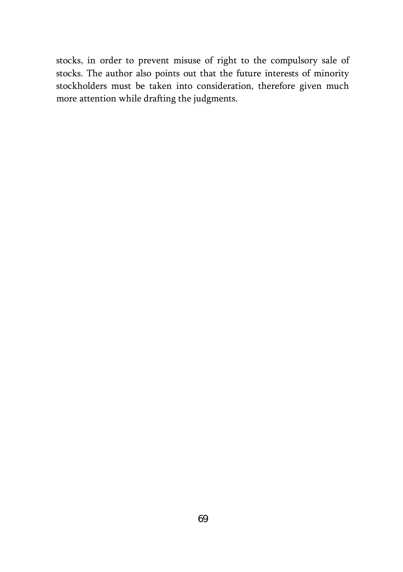stocks, in order to prevent misuse of right to the compulsory sale of stocks. The author also points out that the future interests of minority stockholders must be taken into consideration, therefore given much more attention while drafting the judgments.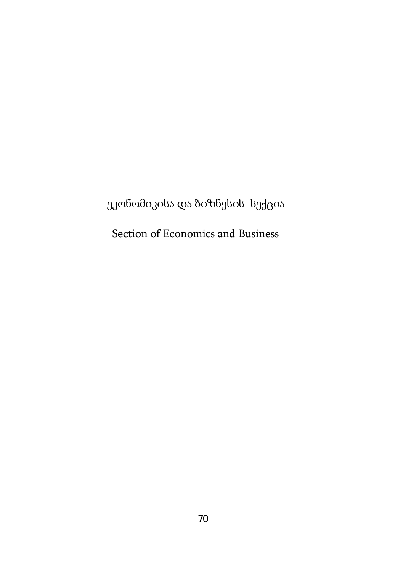ეკონომიკისა და ბიზნესის სექცია

Section of Economics and Business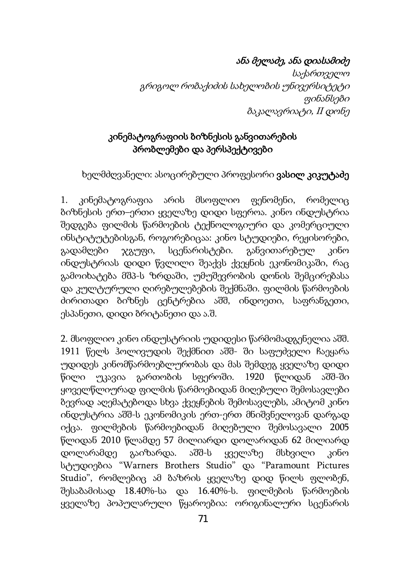## ანა მელაძე, ანა დიასამიძე

საქართველო გრიგოლ რობაქიძის სახელობის უნივერსიტეტი ფინანსები ბაკალავრიატი, II დონე

## კინემატოგრაფიის ბიზნესის განვითარების პრობლემები და პერსპექტივები

ხელმძღვანელი: ასოცირებული პროფესორი **ვასილ კიკუტაძე** 

1. კინემატოგრაფია არის მსოფლიო ფენომენი, რომელიც ბიზნესის ერთ–ერთი ყველაზე დიდი სფეროა. კინო ინდუსტრია შედგება ფილმის წარმოების ტექნოლოგიური და კომერციული ინსტიტუტებისგან, როგორებიცაა: კინო სტუდიები, რეჟისორები, გადამღები ჯგუფი, სცენარისტები. განვითარებულ კინო ინდუსტრიას დიდი წვლილი შეაქვს ქვეყნის ეკონომიკაში, რაც გამოიხატება მშპ-ს ზრდაში, უმუშევრობის დონის შემცირებასა და კულტურული ღირებულებების შექმნაში. ფილმის წარმოების ძირითადი ბიზნეს ცენტრებია აშშ, ინდოეთი, საფრანგეთი, ესპანეთი, დიდი ბრიტანეთი და ა.შ.

2. მსოფლიო კინო ინდუსტრიის უდიდესი წარმომადგენელია აშშ. 1911 წელს ჰოლივუდის შექმნით აშშ- ში საფუძველი ჩაეყარა უდიდეს კინომწარმოებლურობას და მას შემდეგ ყველაზე დიდი წილი უკავია გართობის სფეროში. 1920 წლიდან აშშ-ში ყოველწლიურად ფილმის წარმოებიდან მიღებული შემოსავლები ბევრად აღემატებოდა სხვა ქვეყნების შემოსავლებს, ამიტომ კინო ინდუსტრია აშშ-ს ეკონომიკის ერთ-ერთ მნიშვნელოვან დარგად იქცა. ფილმების წარმოებიდან მიღებული შემოსავალი 2005 წლიდან 2010 წლამდე 57 მილიარდი დოლარიდან 62 მილიარდ დოლარამდე გაიზარდა. აშშ-ს ყველაზე მსხვილი კინო სტუდიებია "Warners Brothers Studio" და "Paramount Pictures Studio", რომლებიც ამ ბაზრის ყველაზე დიდ წილს ფლობენ, შესაბამისად 18.40%-სა და 16.40%-ს. ფილმების წარმოების ყველაზე პოპულარული წყაროებია: ორიგინალური სცენარის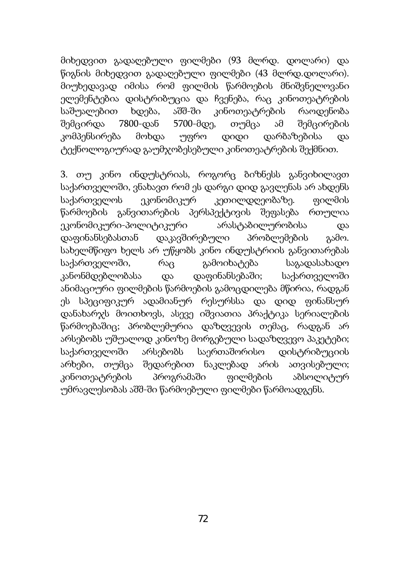მიხედვით გადაღებული ფილმები (93 მლრდ. დოლარი) და წიგნის მიხედვით გადაღებული ფილმები (43 მლრდ.დოლარი). მიუხედავად იმისა რომ ფილმის წარმოების მნიშვნელოვანი ელემენტებია დისტრიბუცია და ჩვენება, რაც კინოთეატრების საშუალებით ხდება, აშშ-ში კინოთეატრების რაოდენობა შემცირდა 7800-დან 5700-მდე, თუმცა ამ შემცირების კომპენსირება მოხდა უფრო დიდი დარბაზებისა და ტექნოლოგიურად გაუმჯობესებული კინოთეატრების შექმნით.

3. თუ კინო ინდუსტრიას, როგორც ბიზნესს განვიხილავთ საქართველოში, ვნახავთ რომ ეს დარგი დიდ გავლენას არ ახდენს საქართველოს ეკონომიკურ კეთილდღეობაზე. ფილმის წარმოების განვითარების პერსპექტივის შეფასება რთულია ეკონომიკური-პოლიტიკური არასტაბილურობისა და დაფინანსებასთან დაკავშირებული პრობლემების გამო. სახელმწიფო ხელს არ უწყობს კინო ინდუსტრიის განვითარებას საქართველოში, რაც გამოიხატება საგადასახადო კანონმდებლობასა და დაფინანსებაში; საქართველოში ანიმაციური ფილმების წარმოების გამოცდილება მწირია, რადგან ეს სპეციფიკურ ადამიანურ რესურსსა და დიდ ფინანსურ დანახარჯს მოითხოვს, ასევე იშვიათია პრაქტიკა სერიალების წარმოებაშიც; პრობლემურია დაზღვევის თემაც, რადგან არ არსებობს უშუალოდ კინოზე მორგებული სადაზღვევო პაკეტები; საქართველოში არსებობს საერთაშორისო დისტრიბუციის არხები, თუმცა შედარებით ნაკლებად არის ათვისებული; კინოთეატრების პროგრამაში ფილმების აბსოლიტურ უმრავლესობას აშშ-ში წარმოებული ფილმები წარმოადგენს.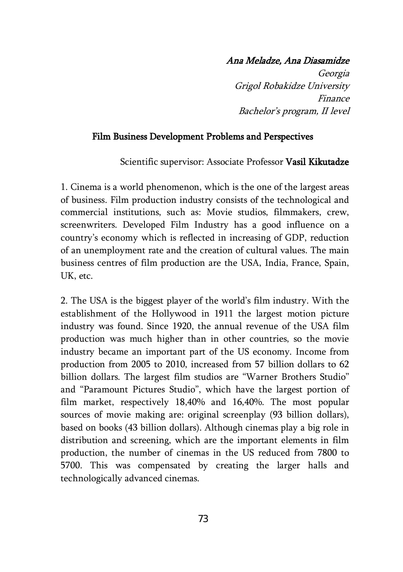#### Ana Meladze, Ana Diasamidze

Georgia Grigol Robakidze University Finance Bachelor's program, II level

#### Film Business Development Problems and Perspectives

Scientific supervisor: Associate Professor Vasil Kikutadze

1. Cinema is a world phenomenon, which is the one of the largest areas of business. Film production industry consists of the technological and commercial institutions, such as: Movie studios, filmmakers, crew, screenwriters. Developed Film Industry has a good influence on a country's economy which is reflected in increasing of GDP, reduction of an unemployment rate and the creation of cultural values. The main business centres of film production are the USA, India, France, Spain, UK, etc.

2. The USA is the biggest player of the world's film industry. With the establishment of the Hollywood in 1911 the largest motion picture industry was found. Since 1920, the annual revenue of the USA film production was much higher than in other countries, so the movie industry became an important part of the US economy. Income from production from 2005 to 2010, increased from 57 billion dollars to 62 billion dollars. The largest film studios are "Warner Brothers Studio" and "Paramount Pictures Studio", which have the largest portion of film market, respectively 18,40% and 16,40%. The most popular sources of movie making are: original screenplay (93 billion dollars), based on books (43 billion dollars). Although cinemas play a big role in distribution and screening, which are the important elements in film production, the number of cinemas in the US reduced from 7800 to 5700. This was compensated by creating the larger halls and technologically advanced cinemas.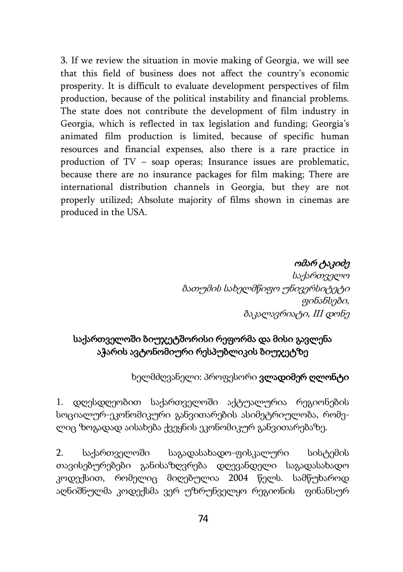3. If we review the situation in movie making of Georgia, we will see that this field of business does not affect the country's economic prosperity. It is difficult to evaluate development perspectives of film production, because of the political instability and financial problems. The state does not contribute the development of film industry in Georgia, which is reflected in tax legislation and funding; Georgia's animated film production is limited, because of specific human resources and financial expenses, also there is a rare practice in production of TV – soap operas; Insurance issues are problematic, because there are no insurance packages for film making; There are international distribution channels in Georgia, but they are not properly utilized; Absolute majority of films shown in cinemas are produced in the USA.

> ომარ ტაკიძე საქართველო ბათუმის სახელმწიფო უნივერსიტეტი ფინანსები, ბაკალავრიატი, III დონე

# საქართველოში ბიუჯეტშორისი რეფორმა და მისი გავლენა აჭარის ავტონომიური რესპუბლიკის ბიუჯეტზე

#### ხელმძღვანელი: პროფესორი ვლადიმერ ღლონტი

1. დღესდღეობით საქართველოში აქტუალურია რეგიონების სოციალურ-ეკონომიკური განვითარების ასიმეტრიულობა, რომელიც ზოგადად აისახება ქვეყნის ეკონომიკურ განვითარებაზე.

2. საქართველოში საგადასახადო-ფისკალური სისტემის თავისებურებები განისაზღვრება დღევანდელი საგადასახადო კოდექსით, რომელიც მიღებულია 2004 წელს. სამწუხაროდ აღნიშნულმა კოდექსმა ვერ უზრუნველყო რეგიონის ფინანსურ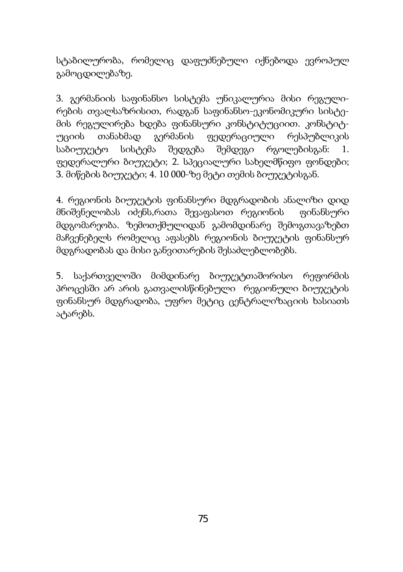სტაბილურობა, რომელიც დაფუძნებული იქნებოდა ევროპულ გამოცდილებაზე.

3. გერმანიის საფინანსო სისტემა უნიკალურია მისი რეგულირების თვალსაზრისით, რადგან საფინანსო-ეკონომიკური სისტემის რეგულირება ხდება ფინანსური კონსტიტუციით. კონსტიტუციის თანახმად გერმანის ფედერაციული რესპუბლიკის საბიუჯეტო სისტემა შედგება შემდეგი რგოლებისგან: 1. ფედერალური ბიუჯეტი; 2. სპეციალური სახელმწიფო ფონდები; 3. მიწების ბიუჯეტი; 4. 10 000-ზე მეტი თემის ბიუჯეტისგან.

4. რეგიონის ბიუჯეტის ფინანსური მდგრადობის ანალიზი დიდ მნიშვნელობას იძენს,რათა შევაფასოთ რეგიონის ფინანსური მდგომარეობა. ზემოთქმულიდან გამომდინარე შემოგთავაზებთ მაჩვენებელს რომელიც აფასებს რეგიონის ბიუჯეტის ფინანსურ მდგრადობას და მისი განვითარების შესაძლებლობებს.

5. საქართველოში მიმდინარე ბიუჯეტთაშორისო რეფორმის პროცესში არ არის გათვალისწინებული რეგიონული ბიუჯეტის ფინანსურ მდგრადობა, უფრო მეტიც ცენტრალიზაციის ხასიათს ატარებს.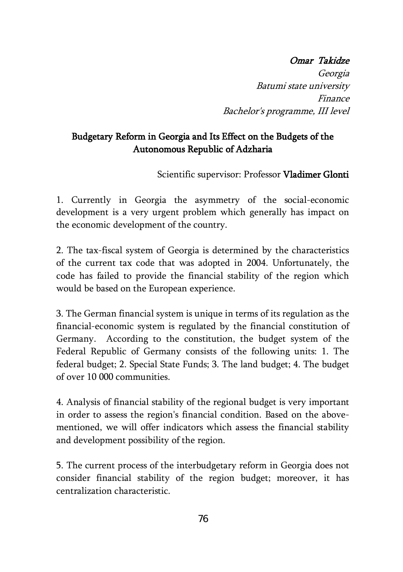## Omar Takidze

Georgia Batumi state university Finance Bachelor's programme, III level

## Budgetary Reform in Georgia and Its Effect on the Budgets of the Autonomous Republic of Adzharia

Scientific supervisor: Professor Vladimer Glonti

1. Currently in Georgia the asymmetry of the social-economic development is a very urgent problem which generally has impact on the economic development of the country.

2. The tax-fiscal system of Georgia is determined by the characteristics of the current tax code that was adopted in 2004. Unfortunately, the code has failed to provide the financial stability of the region which would be based on the European experience.

3. The German financial system is unique in terms of its regulation as the financial-economic system is regulated by the financial constitution of Germany. According to the constitution, the budget system of the Federal Republic of Germany consists of the following units: 1. The federal budget; 2. Special State Funds; 3. The land budget; 4. The budget of over 10 000 communities.

4. Analysis of financial stability of the regional budget is very important in order to assess the region's financial condition. Based on the abovementioned, we will offer indicators which assess the financial stability and development possibility of the region.

5. The current process of the interbudgetary reform in Georgia does not consider financial stability of the region budget; moreover, it has centralization characteristic.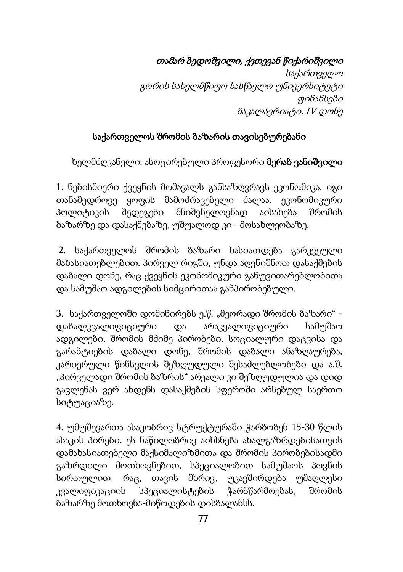# თამარ ბედოშვილი, ქეთევან წიქარიშვილი

საქართველო გორის სახელმწიფო სასწავლო უნივერსიტეტი ფინანსები ბაკალავრიატი, IV დონე

## საქართველოს შრომის ბაზარის თავისებურებანი

ხელმძღვანელი: ასოცირებული პროფესორი მერაბ ვანიშვილი

1. ნებისმიერი ქვეყნის მომავალს განსაზღვრავს ეკონომიკა. იგი თანამედროვე ყოფის მამოძრავებელი ძალაა. ეკონომიკური პოლიტიკის შედეგები მნიშვნელოვნად აისახება შრომის ბაზარზე და დასაქმებაზე, უშუალოდ კი - მოსახლეობაზე.

2. საქართველოს შრომის ბაზარი ხასიათდება გარკვეული მახასიათებლებით. პირველ რიგში, უნდა აღვნიშნოთ დასაქმების დაბალი დონე, რაც ქვეყნის ეკონომიკური განუვითარებლობითა და სამუშაო ადგილების სიმცირითაა განპირობებული.

 $3.$  საქართველოში დომინირებს ე.წ. "მეორადი შრომის ბაზარი" დაბალკვალიფიციური და არაკვალიფიციური სამუშაო ადგილები, შრომის მძიმე პირობები, სოციალური დაცვისა და გარანტიების დაბალი დონე, შრომის დაბალი ანაზღაურება, კარიერული წინსვლის შეზღუდული შესაძლებლობები და ა.შ. "პირველადი შრომის ბაზრის" არეალი კი შეზღუდულია და დიდ გავლენას ვერ ახდენს დასაქმების სფეროში არსებულ საერთო სიტუაციაზე.

4. უმუშევართა ასაკობრივ სტრუქტურაში ჭარბობენ 15-30 წლის ასაკის პირები. ეს ნაწილობრივ აიხსნება ახალგაზრდებისათვის დამახასიათებელი მაქსიმალიზმითა და შრომის პირობებისადმი გაზრდილი მოთხოვნებით, სპეციალობით სამუშაოს პოვნის სირთულით, რაც, თავის მხრივ, უკავშირდება უმაღლესი კვალიფიკაციის სპეციალისტების ჭარბწარმოებას, შრომის ბაზარზე მოთხოვნა-მიწოდების დისბალანსს.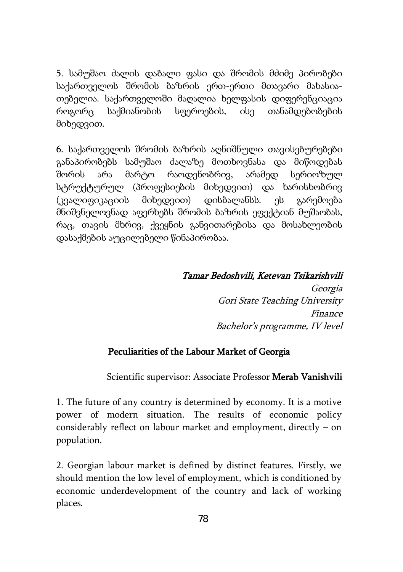5. სამუშაო ძალის დაბალი ფასი და შრომის მძიმე პირობები საქართველოს შრომის ბაზრის ერთ-ერთი მთავარი მახასიათებელია. საქართველოში მაღალია ხელფასის დიფერენციაცია როგორც საქმიანობის სფეროების, ისე თანამდებობების მიხედვით.

6. საქართველოს შრომის ბაზრის აღნიშნული თავისებურებები განაპირობებს სამუშაო ძალაზე მოთხოვნასა და მიწოდებას შორის არა მარტო რაოდენობრივ, არამედ სერიოზულ სტრუქტურულ (პროფესიების მიხედვით) და ხარისხობრივ (კვალიფიკაციის მიხედვით) დისბალანსს. ეს გარემოება მნიშვნელოვნად აფერხებს შრომის ბაზრის ეფექტიან მუშაობას, რაც, თავის მხრივ, ქვეყნის განვითარებისა და მოსახლეობის დასაქმების აუცილებელი წინაპირობაა.

#### Tamar Bedoshvili, Ketevan Tsikarishvili

Georgia Gori State Teaching University Finance Bachelor's programme, IV level

### Peculiarities of the Labour Market of Georgia

Scientific supervisor: Associate Professor Merab Vanishvili

1. The future of any country is determined by economy. It is a motive power of modern situation. The results of economic policy considerably reflect on labour market and employment, directly – on population.

2. Georgian labour market is defined by distinct features. Firstly, we should mention the low level of employment, which is conditioned by economic underdevelopment of the country and lack of working places.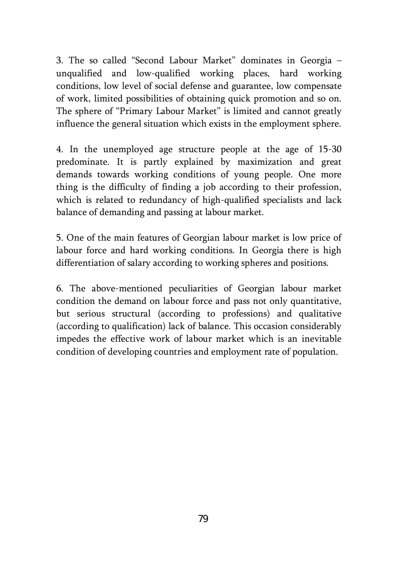3. The so called "Second Labour Market" dominates in Georgia – unqualified and low-qualified working places, hard working conditions, low level of social defense and guarantee, low compensate of work, limited possibilities of obtaining quick promotion and so on. The sphere of "Primary Labour Market" is limited and cannot greatly influence the general situation which exists in the employment sphere.

4. In the unemployed age structure people at the age of 15-30 predominate. It is partly explained by maximization and great demands towards working conditions of young people. One more thing is the difficulty of finding a job according to their profession, which is related to redundancy of high-qualified specialists and lack balance of demanding and passing at labour market.

5. One of the main features of Georgian labour market is low price of labour force and hard working conditions. In Georgia there is high differentiation of salary according to working spheres and positions.

6. The above-mentioned peculiarities of Georgian labour market condition the demand on labour force and pass not only quantitative, but serious structural (according to professions) and qualitative (according to qualification) lack of balance. This occasion considerably impedes the effective work of labour market which is an inevitable condition of developing countries and employment rate of population.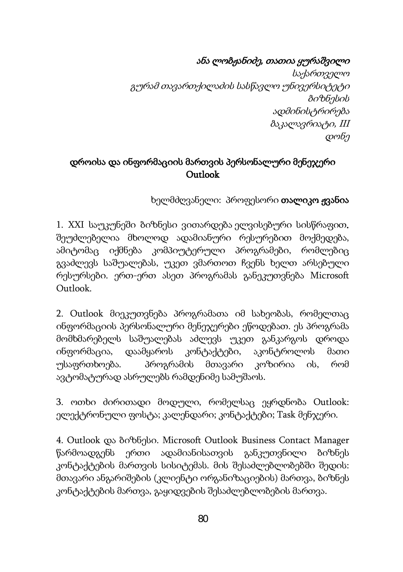# ანა ლობჟანიძე, თათია ყურაშვილი

 საქართველო გურამ თავართქილაძის სასწავლო უნივერსიტეტი ბიზნესის ადმინისტრირება ბაკალავრიატი, III დონე

## დროისა და ინფორმაციის მართვის პერსონალური მენეჯერი Outlook

ხელმძღვანელი: პროფესორი თალიკო ჟვანია

1. XXI საუკუნეში ბიზნესი ვითარდება ელვისებური სისწრაფით. შეუძლებელია მხოლოდ ადამიანური რესურებით მოქმედება, ამიტომაც იქმნება კომპიუტერული პროგრამები, რომლებიც გვაძლევს საშუალებას, უკეთ ვმართოთ ჩვენს ხელთ არსებული რესურსები. ერთ-ერთ ასეთ პროგრამას განეკუთვნება Microsoft Outlook.

2. Outlook მიეკუთვნება პროგრამათა იმ სახეობას, რომელთაც ინფორმაციის პერსონალური მენეჯერები ეწოდებათ. ეს პროგრამა მომხმარებელს საშუალებას აძლევს უკეთ განკარგოს დროდა ინფორმაცია, დაამყაროს კონტაქტები, აკონტროლოს მათი უსაფრთხოება. პროგრამის მთავარი კოზირია ის, რომ ავტომატურად ასრულებს რამდენიმე სამუშაოს.

3. ოთხი ძირითადი მოდული, რომელსაც ეყრდნობა Outlook: ელექტრონული ფოსტა; კალენდარი; კონტაქტები; Task მენჯერი.

4. Outlook და ბიზნესი. Microsoft Outlook Business Contact Manager წარმოადგენს ერთი ადამიანისათვის განკუთვნილი ბიზნეს კონტაქტების მართვის სისიტემას. მის შესაძლებლობებში შედის: მთავარი ანგარიშების (კლიენტი ორგანიზაციების) მართვა, ბიზნეს კონტაქტების მართვა, გაყიდვების შესაძლებლობების მართვა.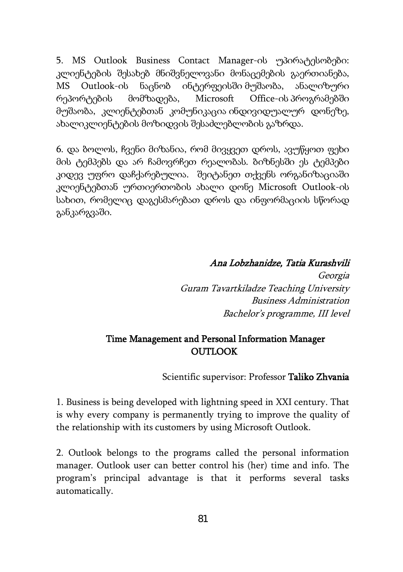5. MS Outlook Business Contact Manager-ის უპირატესობები: კლიენტების შესახებ მნიშვნელოვანი მონაცემების გაერთიანება, MS Outlook-ის ნაცნობ ინტერფეისში მუშაობა, ანალიზური რეპორტების მომზადება, Microsoft Office-ის პროგრამებში მუშაობა, კლიენტებთან კომუნიკაცია ინდივიდუალურ დონეზე, ახალიკლიენტების მოზიდვის შესაძლებლობის გაზრდა.

6. და ბოლოს, ჩვენი მიზანია, რომ მივყვეთ დროს, ავუწყოთ ფეხი მის ტემპებს და არ ჩამოვრჩეთ რეალობას. ბიზნესში ეს ტემპები კიდევ უფრო დაჩქარებულია. შეიტანეთ თქვენს ორგანიზაციაში კლიენტებთან ურთიერთობის ახალი დონე Microsoft Outlook-ის სახით, რომელიც დაგესმარებათ დროს და ინფორმაციის სწორად განკარგვაში.

## Ana Lobzhanidze, Tatia Kurashvili

Georgia Guram Tavartkiladze Teaching University Business Administration Bachelor's programme, III level

### Time Management and Personal Information Manager **OUTLOOK**

Scientific supervisor: Professor Taliko Zhvania

1. Business is being developed with lightning speed in XXI century. That is why every company is permanently trying to improve the quality of the relationship with its customers by using Microsoft Outlook.

2. Outlook belongs to the programs called the personal information manager. Outlook user can better control his (her) time and info. The program's principal advantage is that it performs several tasks automatically.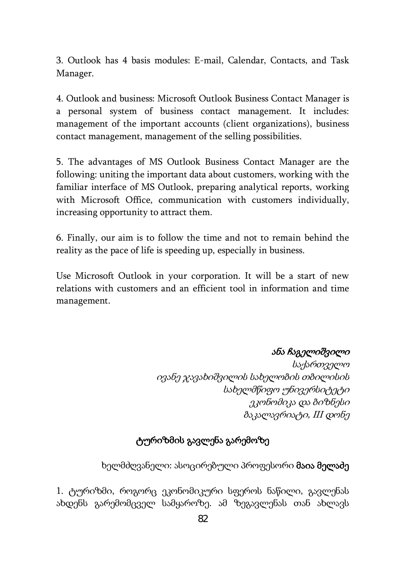3. Outlook has 4 basis modules: E-mail, Calendar, Contacts, and Task Manager.

4. Outlook and business: Microsoft Outlook Business Contact Manager is a personal system of business contact management. It includes: management of the important accounts (client organizations), business contact management, management of the selling possibilities.

5. The advantages of MS Outlook Business Contact Manager are the following: uniting the important data about customers, working with the familiar interface of MS Outlook, preparing analytical reports, working with Microsoft Office, communication with customers individually, increasing opportunity to attract them.

6. Finally, our aim is to follow the time and not to remain behind the reality as the pace of life is speeding up, especially in business.

Use Microsoft Outlook in your corporation. It will be a start of new relations with customers and an efficient tool in information and time management.

## ანა ჩაგელიშვილი

საქართველო ივანე ჯავახიშვილის სახელობის თბილისის სახელმწიფო უნივერსიტეტი ეკონომიკა და ბიზნესი ბაკალავრიატი, III დონე

## ტურიზმის გავლენა გარემოზე

ხელმძღვანელი: ასოცირებული პროფესორი მაია მელაძე

1. ტურიზმი, როგორც ეკონომიკური სფეროს ნაწილი, გავლენას ახდენს გარემომცველ სამყაროზე. ამ ზეგავლენას თან ახლავს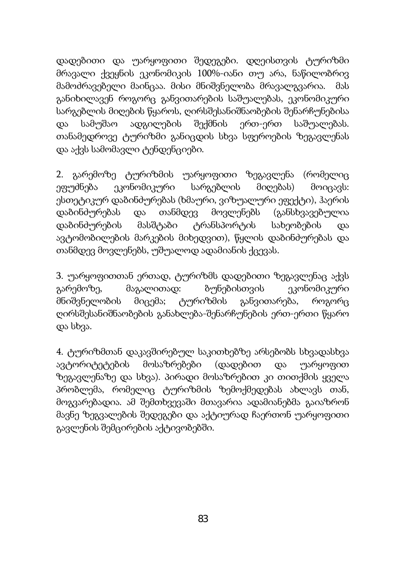დადებითი და უარყოფითი შედეგები. დღეისთვის ტურიზმი მრავალი ქვეყნის ეკონომიკის 100%-იანი თუ არა, ნაწილობრივ მამოძრავებელი მაინცაა. მისი მნიშვნელობა მრავალგვარია. მას განიხილავენ როგორც განვითარების საშუალებას, ეკონომიკური სარგებლის მიღების წყაროს, ღირსშესანიშნაობების შენარჩუნებისა და სამუშაო ადგილების შექმნის ერთ-ერთ საშუალებას. თანამედროვე ტურიზმი განიცდის სხვა სფეროების ზეგავლენას და აქვს სამომავლი ტენდენციები.

2. გარემოზე ტურიზმის უარყოფითი ზეგავლენა (რომელიც ეფუძნება ეკონომიკური სარგებლის მიღებას) მოიცავს: ესთეტიკურ დაბინძურებას (ხმაური, ვიზუალური ეფექტი), ჰაერის დაბინძურებას და თანმდევ მოვლენებს (განსხვავებულია დაბინძურების მასშტაბი ტრანსპორტის სახეობების და ავტომობილების მარკების მიხედვით), წყლის დაბინძურებას და თანმდევ მოვლენებს, უშუალოდ ადამიანის ქცევას.

3. უარყოფითთან ერთად, ტურიზმს დადებითი ზეგავლენაც აქვს გარემოზე, მაგალითად: ბუნებისთვის ეკონომიკური მნიშვნელობის მიცემა; ტურიზმის განვითარება, როგორც ღირსშესანიშნაობების განახლება-შენარჩუნების ერთ-ერთი წყარო და სხვა.

4. ტურიზმთან დაკავშირებულ საკითხებზე არსებობს სხვადასხვა ავტორიტეტების მოსაზრებები (დადებით და უარყოფით ზეგავლენაზე და სხვა). პირადი მოსაზრებით კი თითქმის ყველა პრობლემა, რომელიც ტურიზმის ზემოქმედებას ახლავს თან, მოგვარებადია. ამ შემთხვევაში მთავარია ადამიანებმა გაიაზრონ მავნე ზეგვალების შედეგები და აქტიურად ჩაერთონ უარყოფითი გავლენის შემცირების აქტივობებში.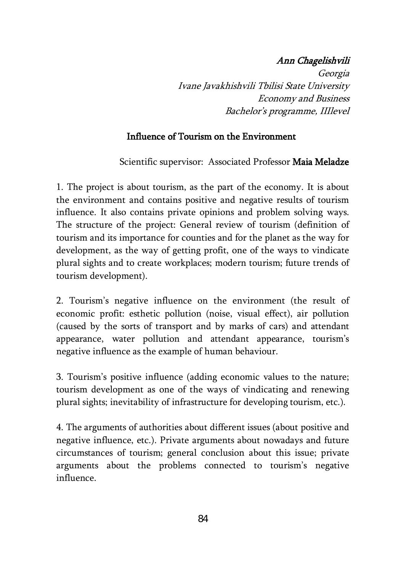## Ann Chagelishvili

Georgia Ivane Javakhishvili Tbilisi State University Economy and Business Bachelor's programme, IIIlevel

## Influence of Tourism on the Environment

Scientific supervisor: Associated Professor Maia Meladze

1. The project is about tourism, as the part of the economy. It is about the environment and contains positive and negative results of tourism influence. It also contains private opinions and problem solving ways. The structure of the project: General review of tourism (definition of tourism and its importance for counties and for the planet as the way for development, as the way of getting profit, one of the ways to vindicate plural sights and to create workplaces; modern tourism; future trends of tourism development).

2. Tourism's negative influence on the environment (the result of economic profit: esthetic pollution (noise, visual effect), air pollution (caused by the sorts of transport and by marks of cars) and attendant appearance, water pollution and attendant appearance, tourism's negative influence as the example of human behaviour.

3. Tourism's positive influence (adding economic values to the nature; tourism development as one of the ways of vindicating and renewing plural sights; inevitability of infrastructure for developing tourism, etc.).

4. The arguments of authorities about different issues (about positive and negative influence, etc.). Private arguments about nowadays and future circumstances of tourism; general conclusion about this issue; private arguments about the problems connected to tourism's negative influence.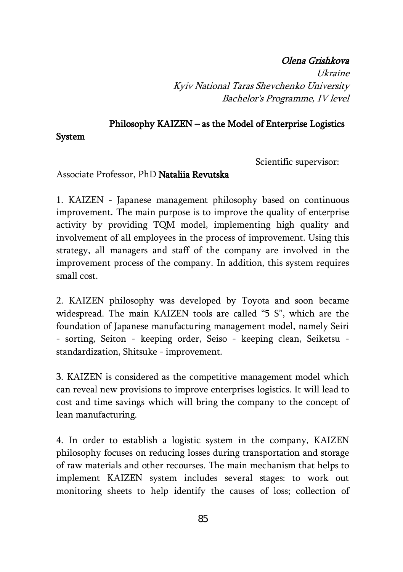## Olena Grishkova

Ukraine Kyiv National Taras Shevchenko University Bachelor's Programme, IV level

#### Philosophy KAIZEN – as the Model of Enterprise Logistics

System

Scientific supervisor:

#### Associate Professor, PhD Nataliia Revutska

1. KAIZEN - Japanese management philosophy based on continuous improvement. The main purpose is to improve the quality of enterprise activity by providing TQM model, implementing high quality and involvement of all employees in the process of improvement. Using this strategy, all managers and staff of the company are involved in the improvement process of the company. In addition, this system requires small cost.

2. KAIZEN philosophy was developed by Toyota and soon became widespread. The main KAIZEN tools are called "5 S", which are the foundation of Japanese manufacturing management model, namely Seiri - sorting, Seiton - keeping order, Seiso - keeping clean, Seiketsu standardization, Shitsuke - improvement.

3. KAIZEN is considered as the competitive management model which can reveal new provisions to improve enterprises logistics. It will lead to cost and time savings which will bring the company to the concept of lean manufacturing.

4. In order to establish a logistic system in the company, KAIZEN philosophy focuses on reducing losses during transportation and storage of raw materials and other recourses. The main mechanism that helps to implement KAIZEN system includes several stages: to work out monitoring sheets to help identify the causes of loss; collection of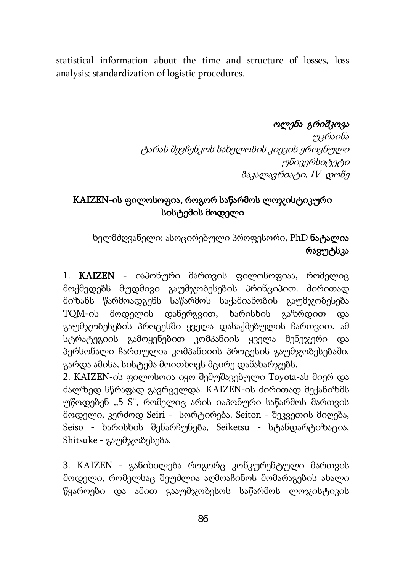statistical information about the time and structure of losses, loss analysis; standardization of logistic procedures.

#### ოლენა გრიშკოვა

უკრაინა ტარას შევჩენკოს სახელობის კიევის ეროვნული უნივერსიტეტი ბაკალავრიატი, IV დონე

# KAIZEN-ის ფილოსოფია, როგორ საწარმოს ლოჯისტიკური სისტემის მოდელი

ხელმძღვანელი: ასოცირებული პროფესორი, PhD ნატალია რავუტსკა

1. KAIZEN - იაპონური მართვის ფილოსოფიაა, რომელიც მოქმედებს მუდმივი გაუმჯობესების პრინციპით. ძირითად მიზანს წარმოადგენს საწარმოს საქამიანობის გაუმჯობესება TQM-ის მოდელის დანერგვით, ხარისხის გაზრდით და გაუმჯობესების პროცესში ყველა დასაქმებულის ჩართვით. ამ სტრატეგიის გამოყენებით კომპანიის ყველა მენეჯერი და პერსონალი ჩართულია კომპანიიის პროცესის გაუმჯობესებაში. გარდა ამისა, სისტემა მოითხოვს მცირე დანახარჯებს.

2. KAIZEN-ის ფილოსოია იყო შემუშავებული Toyota-ას მიერ და ძალზედ სწრაფად გავრცელდა. KAIZEN-ის ძირითად მექანიზმს უწოდებენ ,,5 S", რომელიც არის იაპონური საწარმოს მართვის მოდელი, კერძოდ Seiri - სორტირება. Seiton - შეკვეთის მიღება, Seiso - ხარისხის შენარჩუნება, Seiketsu - სტანდარტიზაცია, Shitsuke - გაუმჯობესება.

3. KAIZEN - განიხილება როგორც კონკურენტული მართვის მოდელი, რომელსაც შეუძლია აღმოაჩინოს მომარაგების ახალი წყაროები და ამით გააუმჯობესოს საწარმოს ლოჯისტიკის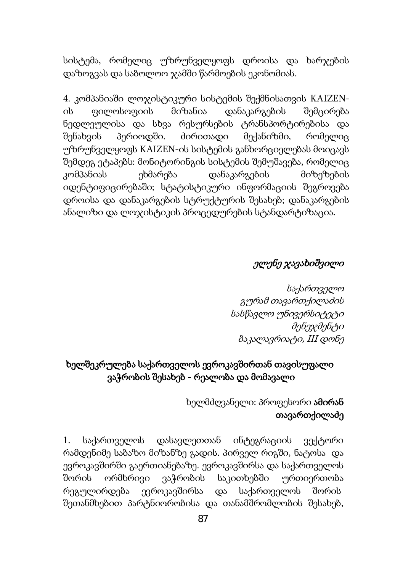სისტემა, რომელიც უზრუნველყოფს დროისა და ხარჯების დაზოგვას და საბოლოო ჯამში წარმოების ეკონომიას.

4. კომპანიაში ლოჯისტიკური სისტემის შექმნისათვის KAIZENის ფილოსოფიის მიზანია დანაკარგების შემცირება ნედლეულისა და სხვა რესურსების ტრანსპორტირებისა და შენახვის პერიოდში. ძირითადი მექანიზმი, რომელიც უზრუნველყოფს KAIZEN-ის სისტემის განხორციელებას მოიცავს შემდეგ ეტაპებს: მონიტორინგის სისტემის შემუშავება, რომელიც კომპანიას ეხმარება დანაკარგების მიზეზების იდენტიფიცირებაში; სტატისტიკური ინფორმაციის შეგროვება დროისა და დანაკარგების სტრუქტურის შესახებ; დანაკარგების ანალიზი და ლოჯისტიკის პროცედურების სტანდარტიზაცია.

#### ელენე ჯავახიშვილი

საქართველო გურამ თავართქილაძის სასწავლო უნივერსიტეტი მენეჯმენტი ბაკალავრიატი, III დონე

## ხელშეკრულება საქართველოს ევროკავშირთან თავისუფალი ვაჭრობის შესახებ - რეალობა და მომავალი

ხელმძღვანელი: პროფესორი **ამირან** თავართქილაძე

1. საქართველოს დასავლეთთან ინტეგრაციის ვექტორი რამდენიმე საბაზო მიზანზე გადის. პირველ რიგში, ნატოსა და ევროკავშირში გაერთიანებაზე. ევროკავშირსა და საქართველოს შორის ორმხრივი ვაჭრობის საკითხებში ურთიერთობა რეგულირდება ევროკავშირსა და საქართველოს შორის შეთანმხებით პარტნიორობისა და თანამშრომლობის შესახებ,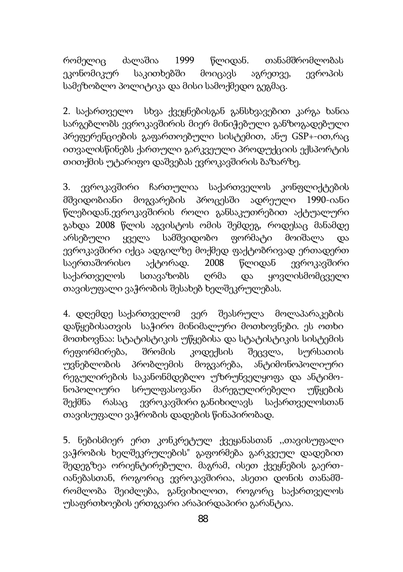რომელიც ძალაშია 1999 წლიდან. თანამშრომლობას ეკონომიკურ საკითხებში მოიცავს აგრეთვე, ევროპის სამეზობლო პოლიტიკა და მისი სამოქმედო გეგმაც.

2. საქართველო სხვა ქვეყნებისგან განსხვავებით კარგა ხანია სარგებლობს ევროკავშირის მიერ მინიჭებული განზოგადებული პრეფერენციების გაფართოებული სისტემით, ანუ GSP+-ით,რაც ითვალისწინებს ქართული გარკვეული პროდუქციის ექსპორტის თითქმის უტარიფო დაშვებას ევროკავშირის ბაზარზე.

3. ევროკავშირი ჩართულია საქართველოს კონფლიქტების მშვიდობიანი მოგვარების პროცესში ადრეული 1990-იანი წლებიდან.ევროკავშირის როლი განსაკუთრებით აქტუალური გახდა 2008 წლის აგვისტოს ომის შემდეგ, როდესაც მანამდე არსებული ყველა სამშვიდობო ფორმატი მოიშალა და ევროკავშირი იქცა ადგილზე მოქმედ ფაქტობრივად ერთადერთ საერთაშორისო აქტორად. 2008 წლიდან ევროკავშირი საქართველოს სთავაზობს ღრმა და ყოვლისმომცველი თავისუფალი ვაჭრობის შესახებ ხელშეკრულებას.

4. დღემდე საქართველომ ვერ შეასრულა მოლაპარაკების დაწყებისათვის საჭირო მინიმალური მოთხოვნები. ეს ოთხი მოთხოვნაა: სტატისტიკის უწყებისა და სტატისტიკის სისტემის რეფორმირება, შრომის კოდექსის შეცვლა, სურსათის უვნებლობის პრობლემის მოგვარება, ანტიმონოპოლიური რეგულირების საკანონმდებლო უზრუნველყოფა და ანტიმონოპოლიური სრულფასოვანი მარეგულირებელი უწყების შექმნა რასაც [ევროკავშირი](http://news.ge/ge/page/evrosabcho) განიხილავს საქართველოსთან თავისუფალი ვაჭრობის დადების წინაპირობად.

5. ნებისმიერ ერთ კონკრეტულ ქვეყანასთან ,,თავისუფალი ვაჭრობის ხელშეკრულების" გაფორმება გარკვეულ დადებით შედეგზეა ორიენტირებული. მაგრამ, ისეთ ქვეყნების გაერთიანებასთან, როგორიც ევროკავშირია, ასეთი დონის თანამშრომლობა შეიძლება, განვიხილოთ, როგორც საქართველოს უსაფრთხოების ერთგვარი არაპირდაპირი გარანტია.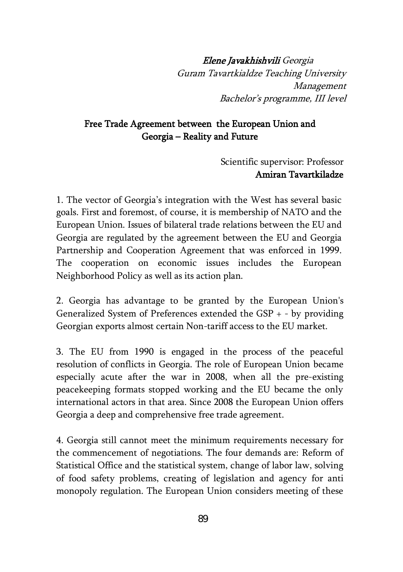Elene Javakhishvili Georgia Guram Tavartkialdze Teaching University Management Bachelor's programme, III level

#### Free Trade Agreement between the European Union and Georgia – Reality and Future

 Scientific supervisor: Professor Amiran Tavartkiladze

1. The vector of Georgia's integration with the West has several basic goals. First and foremost, of course, it is membership of NATO and the European Union. Issues of bilateral trade relations between the EU and Georgia are regulated by the agreement between the EU and Georgia Partnership and Cooperation Agreement that was enforced in 1999. The cooperation on economic issues includes the European Neighborhood Policy as well as its action plan.

2. Georgia has advantage to be granted by the European Union's Generalized System of Preferences extended the GSP + - by providing Georgian exports almost certain Non-tariff access to the EU market.

3. The EU from 1990 is engaged in the process of the peaceful resolution of conflicts in Georgia. The role of European Union became especially acute after the war in 2008, when all the pre-existing peacekeeping formats stopped working and the EU became the only international actors in that area. Since 2008 the European Union offers Georgia a deep and comprehensive free trade agreement.

4. Georgia still cannot meet the minimum requirements necessary for the commencement of negotiations. The four demands are: Reform of Statistical Office and the statistical system, change of labor law, solving of food safety problems, creating of legislation and agency for anti monopoly regulation. The European Union considers meeting of these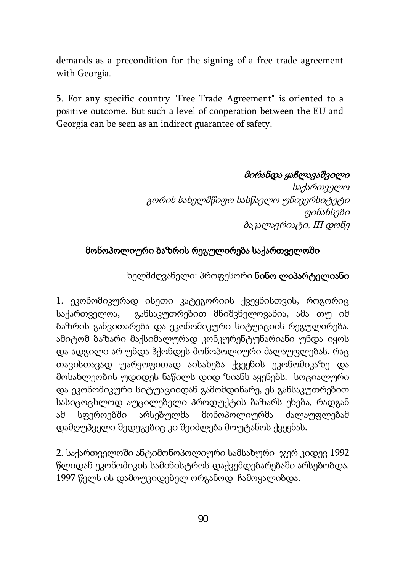demands as a precondition for the signing of a free trade agreement with Georgia.

5. For any specific country "Free Trade Agreement" is oriented to a positive outcome. But such a level of cooperation between the EU and Georgia can be seen as an indirect guarantee of safety.

#### მირანდა ყაჩლავაშვილი

 საქართველო გორის სახელმწიფო სასწავლო უნივერსიტეტი ფინანსები ბაკალავრიატი, III დონე

#### მონოპოლიური ბაზრის რეგულირება საქართველოში

## ხელმძღვანელი: პროფესორი ნინო ლიპარტელიანი

1. ეკონომიკურად ისეთი კატეგორიის ქვეყნისთვის, როგორიც საქართველოა, განსაკუთრებით მნიშვნელოვანია, ამა თუ იმ ბაზრის განვითარება და ეკონომიკური სიტუაციის რეგულირება. ამიტომ ბაზარი მაქსიმალურად კონკურენტუნარიანი უნდა იყოს და ადგილი არ უნდა ჰქონდეს მონოპოლიური ძალაუფლებას, რაც თავისთავად უარყოფითად აისახება ქვეყნის ეკონომიკაზე და მოსახლეობის უდიდეს ნაწილს დიდ ზიანს აყენებს. სოციალური და ეკონომიკური სიტუაციიდან გამომდინარე, ეს განსაკუთრებით სასიცოცხლოდ აუცილებელი პროდუქტის ბაზარს ეხება, რადგან ამ სფეროებში არსებულმა მონოპოლიურმა ძალაუფლებამ დამღუპველი შედეგებიც კი შეიძლება მოუტანოს ქვეყნას.

2. საქართველოში ანტიმონოპოლიური სამსახური ჯერ კიდევ 1992 წლიდან ეკონომიკის სამინისტროს დაქვემდებარებაში არსებობდა. 1997 წელს ის დამოუკიდებელ ორგანოდ ჩამოყალიბდა.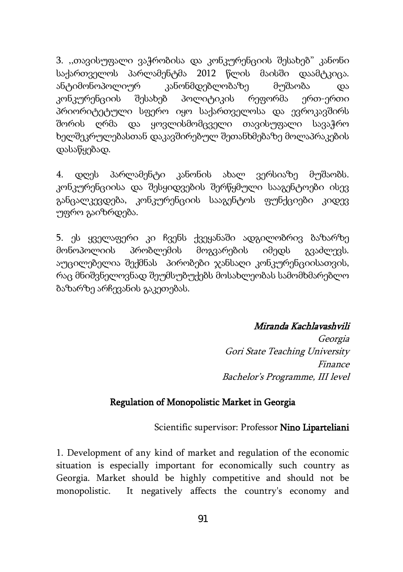3. ,,თავისუფალი ვაჭრობისა და კონკურენციის შესახებ" კანონი საქართველოს პარლამენტმა 2012 წლის მაისში დაამტკიცა. ანტიმონოპოლიურ კანონმდებლობაზე მუშაობა და კონკურენციის შესახებ პოლიტიკის რეფორმა ერთ-ერთი პრიორიტეტული სფერო იყო საქართველოსა და ევროკავშირს შორის ღრმა და ყოვლისმომცველი თავისუფალი სავაჭრო ხელშეკრულებასთან დაკავშირებულ შეთანხმებაზე მოლაპრაკების დასაწყებად.

4. დღეს პარლამენტი კანონის ახალ ვერსიაზე მუშაობს. კონკურენციისა და შესყიდვების შერწყმული სააგენტოები ისევ განცალკევდება, კონკურენციის სააგენტოს ფუნქციები კიდევ უფრო გაიზრდება.

5. ეს ყველაფერი კი ჩვენს ქვეყანაში ადგილობრივ ბაზარზე მონოპოლიის პრობლემის მოგვარების იმედს გვაძლევს. აუცილებელია შექმნას პირობები ჯანსაღი კონკურენციისათვის, რაც მნიშვნელოვნად შეუმსუბუქებს მოსახლეობას სამომხმარებლო ბაზარზე არჩევანის გაკეთებას.

#### Miranda Kachlavashvili

 Georgia Gori State Teaching University Finance Bachelor's Programme, III level

#### Regulation of Monopolistic Market in Georgia

Scientific supervisor: Professor Nino Liparteliani

1. Development of any kind of market and regulation of the economic situation is especially important for economically such country as Georgia. Market should be highly competitive and should not be monopolistic. It negatively affects the country's economy and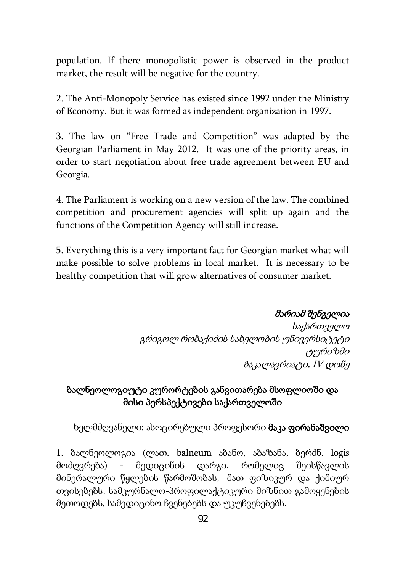population. If there monopolistic power is observed in the product market, the result will be negative for the country.

2. The Anti-Monopoly Service has existed since 1992 under the Ministry of Economy. But it was formed as independent organization in 1997.

3. The law on "Free Trade and Competition" was adapted by the Georgian Parliament in May 2012. It was one of the priority areas, in order to start negotiation about free trade agreement between EU and Georgia.

4. The Parliament is working on a new version of the law. The combined competition and procurement agencies will split up again and the functions of the Competition Agency will still increase.

5. Everything this is a very important fact for Georgian market what will make possible to solve problems in local market. It is necessary to be healthy competition that will grow alternatives of consumer market.

მარიამ შენგელია

საქართველო გრიგოლ რობაქიძის სახელობის უნივერსიტეტი ტურიზმი ბაკალავრიატი, IV დონე

## ბალნეოლოგიუტი კურორტების განვითარება მსოფლიოში და მისი პერსპექტივები საქართველოში

ხელმძღვანელი: ასოცირებული პროფესორი **მაკა ფირანაშვილი** 

1. ბალნეოლოგია (ლათ. balneum აბანო, აბაზანა, ბერძნ. logis მოძღვრება) - მედიცინის დარგი, რომელიც შეისწავლის მინერალური წყლების წარმოშობას, მათ ფიზიკურ და ქიმიურ თვისებებს, სამკურნალო-პროფილაქტიკური მიზნით გამოყენების მეთოდებს, სამედიცინო ჩვენებებს და უკუჩვენებებს.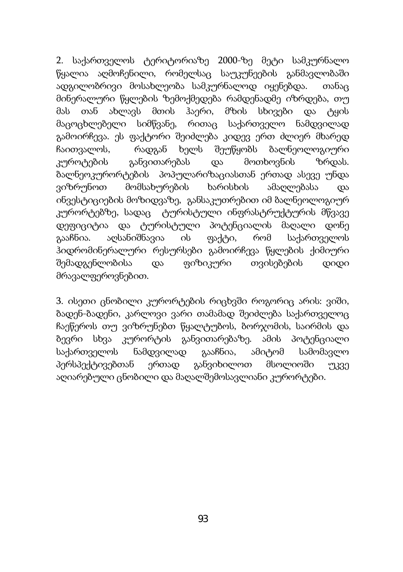2. საქართველოს ტერიტორიაზე 2000-ზე მეტი სამკურნალო წყალია აღმოჩენილი, რომელსაც საუკუნეების განმავლობაში ადგილობრივი მოსახლეობა სამკურნალოდ იყენებდა. თანაც მინერალური წყლების ზემოქმედება რამდენადმე იზრდება, თუ მას თან ახლავს მთის ჰაერი, მზის სხივები და ტყის მაცოცხლებელი სიმწვანე, რითაც საქართველო ნამდვილად გამოირჩევა. ეს ფაქტორი შეიძლება კიდევ ერთ ძლიერ მხარედ ჩაითვალოს, რადგან ხელს შეუწყობს ბალნეოლოგიური კუროტების განვითარებას და მოთხოვნის ზრდას. ბალნეოკურორტების პოპულარიზაციასთან ერთად ასევე უნდა ვიზრუნოთ მომსახურების ხარისხის ამაღლებასა და ინვესტიციების მოზიდვაზე, განსაკუთრებით იმ ბალნეოლოგიურ კურორტებზე, სადაც ტურისტული ინფრასტრუქტურის მწვავე დეფიციტია და ტურისტული პოტენციალის მაღალი დონე გააჩნია. აღსანიშნავია ის ფაქტი, რომ საქართველოს ჰიდრომინერალური რესურსები გამოირჩევა წყლების ქიმიური შემადგენლობისა და ფიზიკური თვისებების დიდი მრავალფეროვნებით.

3. ისეთი ცნობილი კურორტების რიცხვში როგორიც არის: ვიში, ბადენ-ბადენი, კარლოვი ვარი თამამად შეიძლება საქართველოც ჩაეწეროს თუ ვიზრუნებთ წყალტუბოს, ბორჯომის, საირმის და ბევრი სხვა კურორტის განვითარებაზე. ამის პოტენციალი საქართველოს ნამდვილად გააჩნია, ამიტომ სამომავლო პერსპექტივებთან ერთად განვიხილოთ მსოლიოში უკვე აღიარებული ცნობილი და მაღალშემოსავლიანი კურორტები.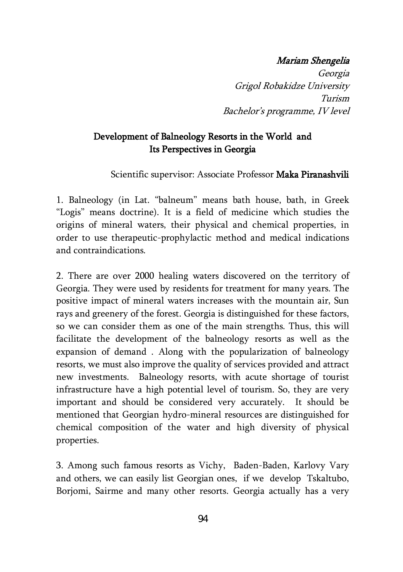#### Mariam Shengelia

Georgia Grigol Robakidze University Turism Bachelor's programme, IV level

## Development of Balneology Resorts in the World and Its Perspectives in Georgia

Scientific supervisor: Associate Professor Maka Piranashvili

1. Balneology (in Lat. "balneum" means bath house, bath, in Greek "Logis" means doctrine). It is a field of medicine which studies the origins of mineral waters, their physical and chemical properties, in order to use therapeutic-prophylactic method and medical indications and contraindications.

2. There are over 2000 healing waters discovered on the territory of Georgia. They were used by residents for treatment for many years. The positive impact of mineral waters increases with the mountain air, Sun rays and greenery of the forest. Georgia is distinguished for these factors, so we can consider them as one of the main strengths. Thus, this will facilitate the development of the balneology resorts as well as the expansion of demand . Along with the popularization of balneology resorts, we must also improve the quality of services provided and attract new investments. Balneology resorts, with acute shortage of tourist infrastructure have a high potential level of tourism. So, they are very important and should be considered very accurately. It should be mentioned that Georgian hydro-mineral resources are distinguished for chemical composition of the water and high diversity of physical properties.

3. Among such famous resorts as Vichy, Baden-Baden, Karlovy Vary and others, we can easily list Georgian ones, if we develop Tskaltubo, Borjomi, Sairme and many other resorts. Georgia actually has a very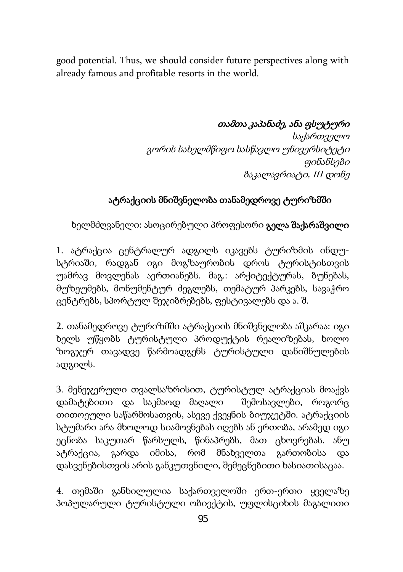good potential. Thus, we should consider future perspectives along with already famous and profitable resorts in the world.

## თამთა კაპანაძე, ანა ფსუტური

საქართველო გორის სახელმწიფო სასწავლო უნივერსიტეტი ფინანსები ბაკალავრიატი, III დონე

# ატრაქციის მნიშვნელობა თანამედროვე ტურიზმში

ხელმძღვანელი: ასოცირებული პროფესორი გელა შაქარაშვილი

1. ატრაქცია ცენტრალურ ადგილს იკავებს ტურიზმის ინდუსტრიაში, რადგან იგი მოგზაურობის დროს ტურისტისთვის უამრავ მოვლენას აერთიანებს. მაგ.: არქიტექტურას, ბუნებას, მუზეუმებს, მონუმენტურ ძეგლებს, თემატურ პარკებს, სავაჭრო ცენტრებს, სპორტულ შეჯიბრებებს, ფესტივალებს და ა. შ.

2. თანამედროვე ტურიზმში ატრაქციის მნიშვნელობა აშკარაა: იგი ხელს უწყობს ტურისტული პროდუქტის რეალიზებას, ხოლო ზოგჯერ თავადვე წარმოადგენს ტურისტული დანიშნულების ადგილს.

3. მენეჯერული თვალსაზრისით, ტურისტულ ატრაქციას მოაქვს დამატებითი და საკმაოდ მაღალი შემოსავლები, როგორც თითოეული საწარმოსათვის, ასევე ქვეყნის ბიუჯეტში. ატრაქციის სტუმარი არა მხოლოდ სიამოვნებას იღებს ან ერთობა, არამედ იგი ეცნობა საკუთარ წარსულს, წინაპრებს, მათ ცხოვრებას. ანუ ატრაქცია, გარდა იმისა, რომ მნახველთა გართობისა და დასვენებისთვის არის განკუთვნილი, შემეცნებითი ხასიათისაცაა.

4. თემაში განხილულია საქართველოში ერთ-ერთი ყველაზე პოპულარული ტურისტული ობიექტის, უფლისციხის მაგალითი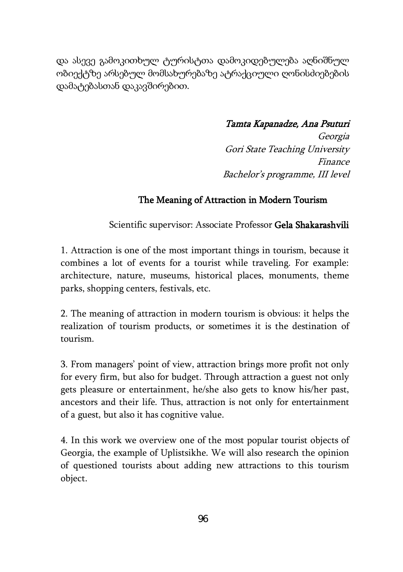და ასევე გამოკითხულ ტურისტთა დამოკიდებულება აღნიშნულ ობიექტზე არსებულ მომსახურებაზე ატრაქციული ღონისძიებების დამატებასთან დაკავშირებით.

## Tamta Kapanadze, Ana Psuturi

Georgia Gori State Teaching University Finance Bachelor's programme, III level

### The Meaning of Attraction in Modern Tourism

Scientific supervisor: Associate Professor Gela Shakarashvili

1. Attraction is one of the most important things in tourism, because it combines a lot of events for a tourist while traveling. For example: architecture, nature, museums, historical places, monuments, theme parks, shopping centers, festivals, etc.

2. The meaning of attraction in modern tourism is obvious: it helps the realization of tourism products, or sometimes it is the destination of tourism.

3. From managers' point of view, attraction brings more profit not only for every firm, but also for budget. Through attraction a guest not only gets pleasure or entertainment, he/she also gets to know his/her past, ancestors and their life. Thus, attraction is not only for entertainment of a guest, but also it has cognitive value.

4. In this work we overview one of the most popular tourist objects of Georgia, the example of Uplistsikhe. We will also research the opinion of questioned tourists about adding new attractions to this tourism object.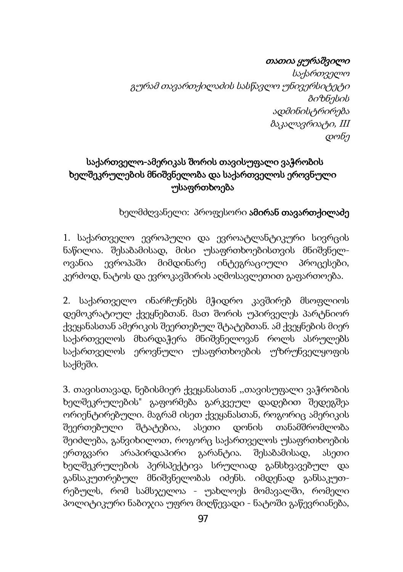### თათია ყურაშვილი

 საქართველო გურამ თავართქილაძის სასწავლო უნივერსიტეტი ბიზნესის ადმინისტრირება ბაკალავრიატი, III დონე

# საქართველო-ამერიკას შორის თავისუფალი ვაჭრობის ხელშეკრულების მნიშვნელობა და საქართველოს ეროვნული უსაფრთხოება

ხელმძღვანელი: პროფესორი ამირან თავართქილაძე

1. საქართველო ევროპული და ევროატლანტიკური სივრცის ნაწილია. შესაბამისად, მისი უსაფრთხოებისთვის მნიშვნელოვანია ევროპაში მიმდინარე ინტეგრაციული პროცესები, კერძოდ, ნატოს და ევროკავშირის აღმოსავლეთით გაფართოება.

2. საქართველო ინარჩუნებს მჭიდრო კავშირებ მსოფლიოს დემოკრატიულ ქვეყნებთან. მათ შორის უპირველეს პარტნიორ ქვეყანასთან ამერიკის შეერთებულ შტატებთან. ამ ქვეყნების მიერ საქართველოს მხარდაჭერა მნიშვნელოვან როლს ასრულებს საქართველოს ეროვნული უსაფრთხოების უზრუნველყოფის საქმეში.

3. თავისთავად, ნებისმიერ ქვეყანასთან ,,თავისუფალი ვაჭრობის ხელშეკრულების" გაფორმება გარკვეულ დადებით შედეგშეა ორიენტირებული. მაგრამ ისეთ ქვეყანასთან, როგორიც ამერიკის შეერთებული შტატებია, ასეთი დონის თანამშრომლობა შეიძლება, განვიხილოთ, როგორც საქართველოს უსაფრთხოების ერთგვარი არაპირდაპირი გარანტია. შესაბამისად, ასეთი ხელშეკრულების პერსპექტივა სრულიად განსხვავებულ და განსაკუთრებულ მნიშვნელობას იძენს. იმდენად განსაკუთრებულს, რომ სამსჯელოა - უახლოეს მომავალში, რომელი პოლიტიკური ნაბიჯია უფრო მიღწევადი - ნატოში გაწევრიანება,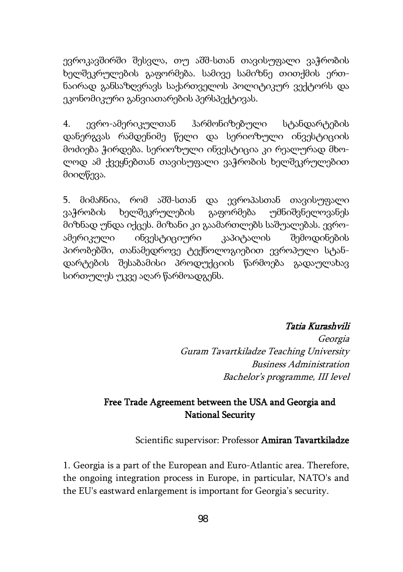ევროკავშირში შესვლა, თუ აშშ-სთან თავისუფალი ვაჭრობის ხელშეკრულების გაფორმება. სამივე სამიზნე თითქმის ერთნაირად განსაზღვრავს საქართველოს პოლიტიკურ ვექტორს და ეკონომიკური განვიათარების პერსპექტივას.

4. ევრო-ამერიკულთან ჰარმონიზებული სტანდარტების დანერგვას რამდენიმე წელი და სერიოზული ინვესტიციის მოძიება ჭირდება. სერიოზული ინვესტიცია კი რეალურად მხოლოდ ამ ქვეყნებთან თავისუფალი ვაჭრობის ხელშეკრულებით მიიღწევა.

5. მიმაჩნია, რომ აშშ-სთან და ევროპასთან თავისუფალი ვაჭრობის ხელშეკრულების გაფორმება უმნიშვნელოვანეს მიზნად უნდა იქცეს. მიზანი კი გაამართლებს საშუალებას. ევროამერიკული ინვესტიციური კაპიტალის შემოდინების პირობებში, თანამედროვე ტექნოლოგიებით ევროპული სტანდარტების შესაბამისი პროდუქციის წარმოება გადაულახავ სირთულეს უკვე აღარ წარმოადგენს.

#### Tatia Kurashvili

Georgia Guram Tavartkiladze Teaching University Business Administration Bachelor's programme, III level

## Free Trade Agreement between the USA and Georgia and National Security

#### Scientific supervisor: Professor Amiran Tavartkiladze

1. Georgia is a part of the European and Euro-Atlantic area. Therefore, the ongoing integration process in Europe, in particular, NATO's and the EU's eastward enlargement is important for Georgia's security.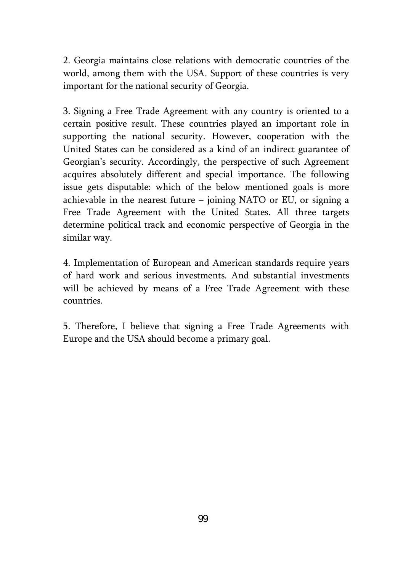2. Georgia maintains close relations with democratic countries of the world, among them with the USA. Support of these countries is very important for the national security of Georgia.

3. Signing a Free Trade Agreement with any country is oriented to a certain positive result. These countries played an important role in supporting the national security. However, cooperation with the United States can be considered as a kind of an indirect guarantee of Georgian's security. Accordingly, the perspective of such Agreement acquires absolutely different and special importance. The following issue gets disputable: which of the below mentioned goals is more achievable in the nearest future – joining NATO or EU, or signing a Free Trade Agreement with the United States. All three targets determine political track and economic perspective of Georgia in the similar way.

4. Implementation of European and American standards require years of hard work and serious investments. And substantial investments will be achieved by means of a Free Trade Agreement with these countries.

5. Therefore, I believe that signing a Free Trade Agreements with Europe and the USA should become a primary goal.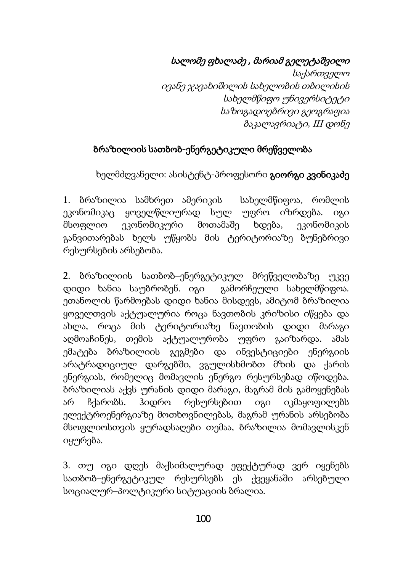სალომე ფხალაძე , მარიამ გელეტაშვილი

 საქართველო ივანე ჯავახიშილის სახელობის თბილისის სახელმწიფო უნივერსიტეტი საზოგადოებრივი გეოგრაფია ბაკალავრიატი, III დონე

# ბრაზილიის სათბობ-ენერგეტიკული მრეწველობა

ხელმძღვანელი: ასისტენტ-პროფესორი **გიორგი კვინიკაძე** 

1. ბრაზილია სამხრეთ ამერიკის სახელმწიფოა, რომლის ეკონომიკაც ყოველწლიურად სულ უფრო იზრდება. იგი მსოფლიო ეკონომიკური მოთამაშე ხდება, ეკონომიკის განვითარებას ხელს უწყობს მის ტერიტორიაზე ბუნებრივი რესურსების არსებობა.

2. ბრაზილიის სათბობ–ენერგეტიკულ მრეწველობაზე უკვე დიდი ხანია საუბრობენ. იგი გამორჩეული სახელმწიფოა. ეთანოლის წარმოებას დიდი ხანია მისდევს, ამიტომ ბრაზილია ყოველთვის აქტუალურია როცა ნავთობის კრიზისი იწყება და ახლა, როცა მის ტერიტორიაზე ნავთობის დიდი მარაგი აღმოაჩინეს, თემის აქტუალურობა უფრო გაიზარდა. ამას ემატება ბრაზილიის გეგმები და ინვესტიციები ენერგიის არატრადიციულ დარგებში, ვგულისხმობთ მზის და ქარის ენერგიას, რომელიც მომავლის ენერგო რესურსებად იწოდება. ბრაზილიას აქვს ურანის დიდი მარაგი, მაგრამ მის გამოყენებას არ ჩქარობს. ჰიდრო რესურსებით იგი იკმაყოფილებს ელექტროენერგიაზე მოთხოვნილებას, მაგრამ ურანის არსებობა მსოფლიოსთვის ყურადსაღები თემაა, ბრაზილია მომავლისკენ იყურება.

3. თუ იგი დღეს მაქსიმალურად ეფექტურად ვერ იყენებს სათბობ–ენერგეტიკულ რესურსებს ეს ქვეყანაში არსებული სოციალურ–პოლტიკური სიტუაციის ბრალია.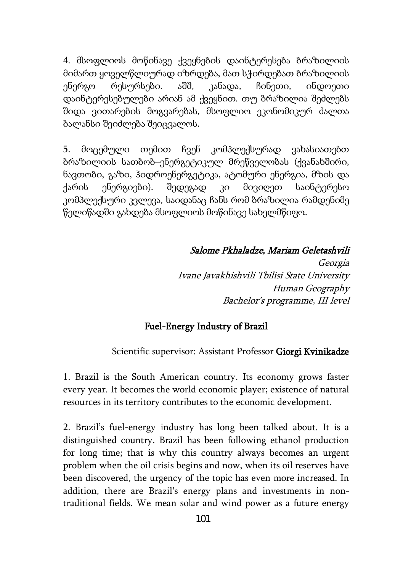4. მსოფლიოს მოწინავე ქვეყნების დაინტერესება ბრაზილიის მიმართ ყოველწლიურად იზრდება, მათ სჭირდებათ ბრაზილიის ენერგო რესურსები. აშშ, კანადა, ჩინეთი, ინდოეთი დაინტერესებულები არიან ამ ქვეყნით. თუ ბრაზილია შეძლებს შიდა ვითარების მოგვარებას, მსოფლიო ეკონომიკურ ძალთა ბალანსი შეიძლება შეიცვალოს.

5. მოცემული თემით ჩვენ კომპლექსურად ვახასიათებთ ბრაზილიის სათბობ–ენერგეტიკულ მრეწველობას (ქვანახშირი, ნავთობი, გაზი, ჰიდროენერგეტიკა, ატომური ენერგია, მზის და ქარის ენერგიები). შედეგად კი მივიღეთ საინტერესო კომპლექსური კვლევა, საიდანაც ჩანს რომ ბრაზილია რამდენიმე წელიწადში გახდება მსოფლიოს მოწინავე სახელმწიფო.

Salome Pkhaladze, Mariam Geletashvili

Georgia Ivane Javakhishvili Tbilisi State University Human Geography Bachelor's programme, III level

#### Fuel-Energy Industry of Brazil

#### Scientific supervisor: Assistant Professor Giorgi Kvinikadze

1. Brazil is the South American country. Its economy grows faster every year. It becomes the world economic player; existence of natural resources in its territory contributes to the economic development.

2. Brazil's fuel-energy industry has long been talked about. It is a distinguished country. Brazil has been following ethanol production for long time; that is why this country always becomes an urgent problem when the oil crisis begins and now, when its oil reserves have been discovered, the urgency of the topic has even more increased. In addition, there are Brazil's energy plans and investments in nontraditional fields. We mean solar and wind power as a future energy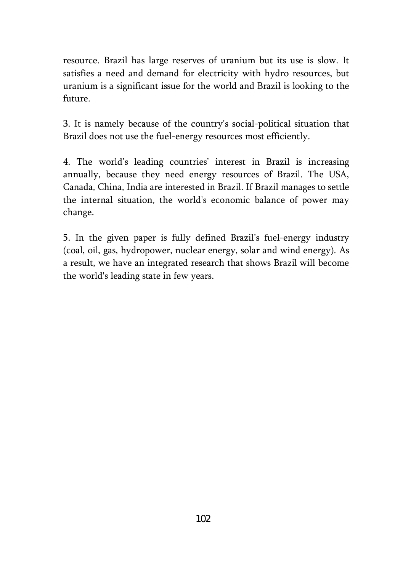resource. Brazil has large reserves of uranium but its use is slow. It satisfies a need and demand for electricity with hydro resources, but uranium is a significant issue for the world and Brazil is looking to the future.

3. It is namely because of the country's social-political situation that Brazil does not use the fuel-energy resources most efficiently.

4. The world's leading countries' interest in Brazil is increasing annually, because they need energy resources of Brazil. The USA, Canada, China, India are interested in Brazil. If Brazil manages to settle the internal situation, the world's economic balance of power may change.

5. In the given paper is fully defined Brazil's fuel-energy industry (coal, oil, gas, hydropower, nuclear energy, solar and wind energy). As a result, we have an integrated research that shows Brazil will become the world's leading state in few years.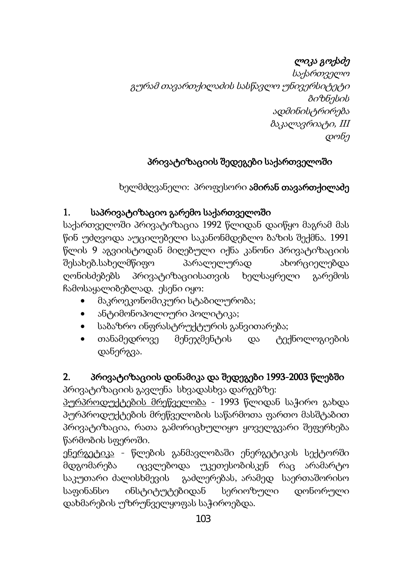# ლიკა გოქაძე

 საქართველო გურამ თავართქილაძის სასწავლო უნივერსიტეტი ბიზნესის ადმინისტრირება ბაკალავრიატი, III დონე

# პრივატიზაციის შედეგები საქართველოში

ხელმძღვანელი: პროფესორი <mark>ამირან თავართქილაძე</mark>

# 1. საპრივატიზაციო გარემო საქართველოში

საქართველოში პრივატიზაცია 1992 წლიდან დაიწყო მაგრამ მას წინ უძღვოდა აუცილებელი საკანონმდებლო ბაზის შექმნა. 1991 წლის 9 აგვიისტოდან მიღებული იქნა კანონი პრივატიზაციის შესახებ.სახელმწიფო პარალელურად ახორციელებდა ღონისძებებს პრივატიზაციისათვის ხელსაყრელი გარემოს ჩამოსაყალიბებლად. ესენი იყო:

- მაკროეკონომიკური სტაბილურობა;
- ანტიმონოპოლიური პოლიტიკა;
- საბაზრო ინფრასტრუქტურის განვითარება;
- თანამედროვე მენეჯმენტის და ტექნოლოგიების დანერგვა.

# 2. პრივატიზაციის დინამიკა და შედეგები 1993-2003 წლებში

პრივატიზაციის გავლენა სხვადასხვა დარგებზე:

პურპროდუქტების მრეწველობა - 1993 წლიდან საჭირო გახდა პურპროდუქტების მრეწველობის საწარმოთა ფართო მასშტაბით პრივატიზაცია, რათა გამორიცხულიყო ყოველგვარი შეფერხება წარმობის სფეროში.

ენერგეტიკა - წლების განმავლობაში ენერგეტიკის სექტორში მდგომარება იცვლებოდა უკეთესობისკენ რაც არამარტო საკუთარი ძალისხმევის გაძლერებას, არამედ საერთაშორისო საფინანსო ინსტიტუტებიდან სერიოზული დონორული დახმარების უზრუნველყოფას საჭიროებდა.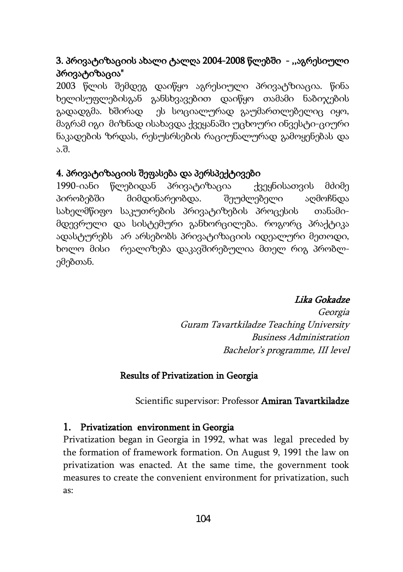# 3. პრივატიზაციის ახალი ტალღა 2004-2008 წლებში - ,,აგრესიული პრივატიზაცია"

2003 წლის შემდეგ დაიწყო აგრესიული პრივატზიაცია. წინა ხელისუფლებისგან განსხვავებით დაიწყო თამამი ნაბიჯების გადადგმა. ხშირად ეს სოციალურად გაუმართლებელიც იყო, მაგრამ იგი მიზნად ისახავდა ქვეყანაში უცხოური ინვესტი-ციური ნაკადების ზრდას, რესუსრსების რაციუნალურად გამოყენებას და ა.შ.

#### 4. პრივატიზაციის შეფასება და პერსპექტივები

1990-იანი წლებიდან პრივატიზაცია ქვეყნისათვის მძიმე პირობებში მიმდინარეობდა. შეუძლებელი აღმოჩნდა სახელმწიფო საკუთრების პრივატიზების პროცესის თანამიმდევრული და სისტემური განხორცილება. როგორც პრაქტიკა ადასტურებს არ არსებობს პრივატიზაციის იდეალური მეთოდი, ხოლო მისი რეალიზება დაკავშირებულია მთელ რიგ პრობლემებთან.

### Lika Gokadze

Georgia Guram Tavartkiladze Teaching University Business Administration Bachelor's programme, III level

#### Results of Privatization in Georgia

Scientific supervisor: Professor Amiran Tavartkiladze

#### 1. Privatization environment in Georgia

Privatization began in Georgia in 1992, what was legal preceded by the formation of framework formation. On August 9, 1991 the law on privatization was enacted. At the same time, the government took measures to create the convenient environment for privatization, such as: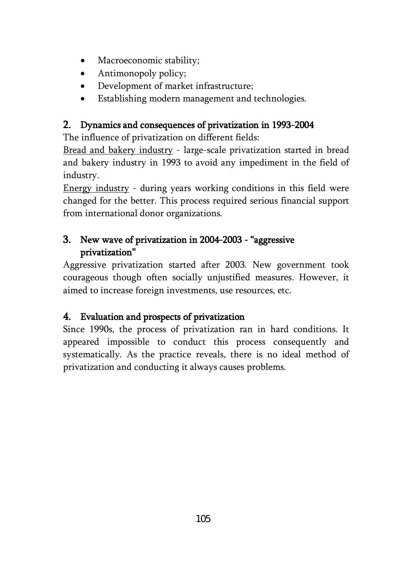- Macroeconomic stability;
- Antimonopoly policy;
- Development of market infrastructure;
- Establishing modern management and technologies.

# 2. Dynamics and consequences of privatization in 1993-2004

The influence of privatization on different fields:

Bread and bakery industry - large-scale privatization started in bread and bakery industry in 1993 to avoid any impediment in the field of industry.

Energy industry - during years working conditions in this field were changed for the better. This process required serious financial support from international donor organizations.

# 3. New wave of privatization in 2004-2003 - "aggressive privatization"

Aggressive privatization started after 2003. New government took courageous though often socially unjustified measures. However, it aimed to increase foreign investments, use resources, etc.

# 4. Evaluation and prospects of privatization

Since 1990s, the process of privatization ran in hard conditions. It appeared impossible to conduct this process consequently and systematically. As the practice reveals, there is no ideal method of privatization and conducting it always causes problems.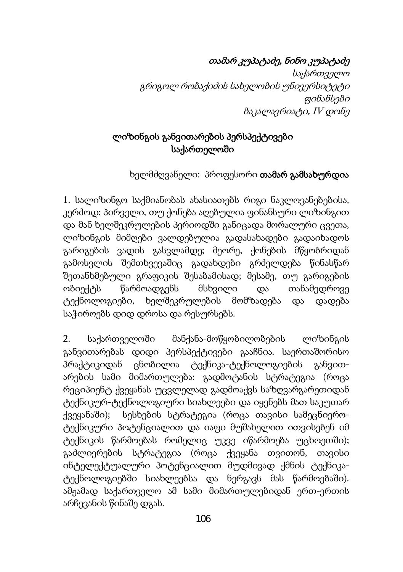# თამარ კუპატაძე, ნინო კუპატაძე

საქართველო გრიგოლ რობაქიძის სახელობის უნივერსიტეტი ფინანსები ბაკალავრიატი, IV დონე

## ლიზინგის განვითარების პერსპექტივები საქართელოში

## ხელმძღვანელი: პროფესორი თამარ გამსახურდია

1. სალიზინგო საქმიანობას ახასიათებს რიგი ნაკლოვანებებისა, კერძოდ: პირველი, თუ ქონება აღებულია ფინანსური ლიზინგით და მან ხელშეკრულების პერიოდში განიცადა მორალური ცვეთა, ლიზინგის მიმღები ვალდებულია გადასახადები გადაიხადოს გარიგების ვადის გასვლამდე; მეორე, ქონების მწყობრიდან გამოსვლის შემთხვევაშიც გადახდები გრძელდება წინასწარ შეთანხმებული გრაფიკის შესაბამისად; მესამე, თუ გარიგების ობიექტს წარმოადგენს მსხვილი და თანამედროვე ტექნოლოგიები, ხელშეკრულების მომზადება და დადება საჭიროებს დიდ დროსა და რესურსებს.

2. საქართველოში მანქანა-მოწყობილობების ლიზინგის განვითარებას დიდი პერსპექტივები გააჩნია. საერთაშორისო პრაქტიკიდან ცნობილია ტექნიკა-ტექნოლოგიების განვითარების სამი მიმართულება: გადმოტანის სტრატეგია (როცა რეციპიენტ ქვეყანას უცვლელად გადმოაქვს საზღვარგარეთიდან ტექნიკურ-ტექნოლოგიური სიახლეები და იყენებს მათ საკუთარ ქვეყანაში); სესხების სტრატეგია (როცა თავისი სამეცნიეროტექნიკური პოტენციალით და იაფი მუშახელით ითვისებენ იმ ტექნიკის წარმოებას რომელიც უკვე იწარმოება უცხოეთში); გაძლიერების სტრატეგია (როცა ქვეყანა თვითონ, თავისი ინტელექტუალური პოტენციალით მუდმივად ქმნის ტექნიკატექნოლოგიებში სიახლეებსა და ნერგავს მას წარმოებაში). ამჟამად საქართველო ამ სამი მიმართულებიდან ერთ-ერთის არჩევანის წინაშე დგას.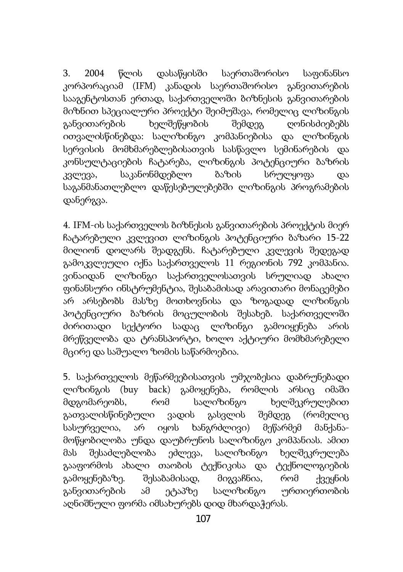3. 2004 წლის დასაწყისში საერთაშორისო საფინანსო კორპორაციამ (IFM) კანადის საერთაშორისო განვითარების სააგენტოსთან ერთად, საქართველოში ბიზნესის განვითარების მიზნით სპეციალური პროექტი შეიმუშავა, რომელიც ლიზინგის განვითარების ხელშეწყობის შემდეგ ღონისძიებებს ითვალისწინებდა: სალიზინგო კომპანიებისა და ლიზინგის სერვისის მომხმარებლებისათვის სასწავლო სემინარების და კონსულტაციების ჩატარება, ლიზინგის პოტენციური ბაზრის კვლევა, საკანონმდებლო ბაზის სრულყოფა და საგანმანათლებლო დაწესებულებებში ლიზინგის პროგრამების დანერგვა.

4. IFM-ის საქართველოს ბიზნესის განვითარების პროექტის მიერ ჩატარებული კვლევით ლიზინგის პოტენციური ბაზარი 15-22 მილიონ დოლარს შეადგენს. ჩატარებული კვლევის შედეგად გამოკვლეული იქნა საქართველოს 11 რეგიონის 792 კომპანია. ვინაიდან ლიზინგი საქართველოსათვის სრულიად ახალი ფინანსური ინსტრუმენტია, შესაბამისად არავითარი მონაცემები არ არსებობს მასზე მოთხოვნისა და ზოგადად ლიზინგის პოტენციური ბაზრის მოცულობის შესახებ. საქართველოში ძირითადი სექტორი სადაც ლიზინგი გამოიყენება არის მრეწველობა და ტრანსპორტი, ხოლო აქტიური მომხმარებელი მცირე და საშუალო ზომის საწარმოებია.

5. საქართველოს მეწარმეებისათვის უმჯობესია დაბრუნებადი ლიზინგის (buy back) გამოყენება, რომლის არსიც იმაში მდგომარეობს, რომ სალიზინგო ხელშეკრულებით გათვალისწინებული ვადის გასვლის შემდეგ (რომელიც სასურველია, არ იყოს ხანგრძლივი) მეწარმემ მანქანამოწყობილობა უნდა დაუბრუნოს სალიზინგო კომპანიას. ამით მას შესაძლებლობა ეძლევა, სალიზინგო ხელშეკრულება გააფორმოს ახალი თაობის ტექნიკისა და ტექნოლოგიების გამოყენებაზე. შესაბამისად, მიგვაჩნია, რომ ქვეყნის განვითარების ამ ეტაპზე სალიზინგო ურთიერთობის აღნიშნული ფორმა იმსახურებს დიდ მხარდაჭერას.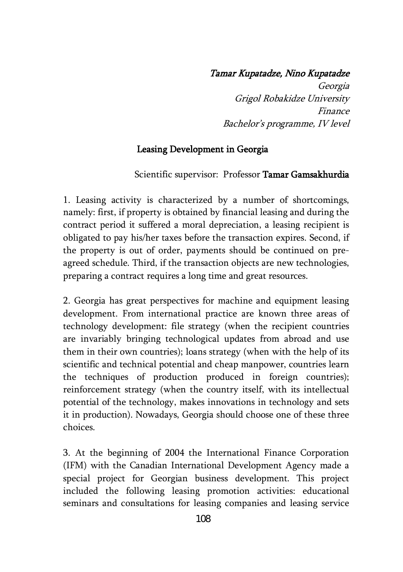#### Tamar Kupatadze, Nino Kupatadze

Georgia Grigol Robakidze University Finance Bachelor's programme, IV level

## Leasing Development in Georgia

Scientific supervisor: Professor Tamar Gamsakhurdia

1. Leasing activity is characterized by a number of shortcomings, namely: first, if property is obtained by financial leasing and during the contract period it suffered a moral depreciation, a leasing recipient is obligated to pay his/her taxes before the transaction expires. Second, if the property is out of order, payments should be continued on preagreed schedule. Third, if the transaction objects are new technologies, preparing a contract requires a long time and great resources.

2. Georgia has great perspectives for machine and equipment leasing development. From international practice are known three areas of technology development: file strategy (when the recipient countries are invariably bringing technological updates from abroad and use them in their own countries); loans strategy (when with the help of its scientific and technical potential and cheap manpower, countries learn the techniques of production produced in foreign countries); reinforcement strategy (when the country itself, with its intellectual potential of the technology, makes innovations in technology and sets it in production). Nowadays, Georgia should choose one of these three choices.

3. At the beginning of 2004 the International Finance Corporation (IFM) with the Canadian International Development Agency made a special project for Georgian business development. This project included the following leasing promotion activities: educational seminars and consultations for leasing companies and leasing service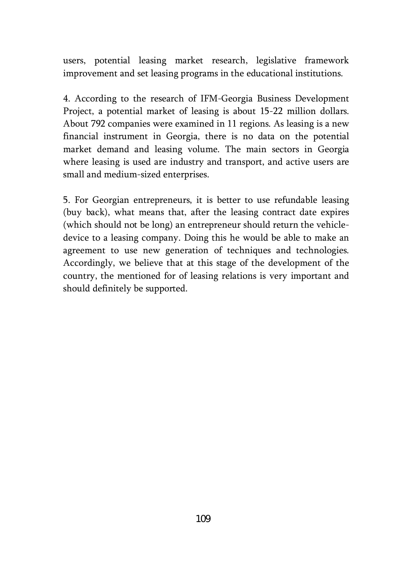users, potential leasing market research, legislative framework improvement and set leasing programs in the educational institutions.

4. According to the research of IFM-Georgia Business Development Project, a potential market of leasing is about 15-22 million dollars. About 792 companies were examined in 11 regions. As leasing is a new financial instrument in Georgia, there is no data on the potential market demand and leasing volume. The main sectors in Georgia where leasing is used are industry and transport, and active users are small and medium-sized enterprises.

5. For Georgian entrepreneurs, it is better to use refundable leasing (buy back), what means that, after the leasing contract date expires (which should not be long) an entrepreneur should return the vehicledevice to a leasing company. Doing this he would be able to make an agreement to use new generation of techniques and technologies. Accordingly, we believe that at this stage of the development of the country, the mentioned for of leasing relations is very important and should definitely be supported.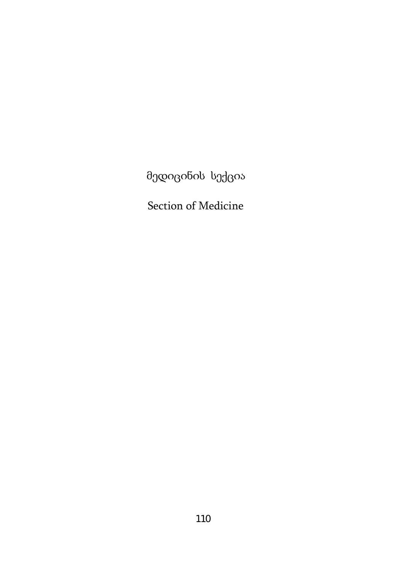მედიცინის სექცია

Section of Medicine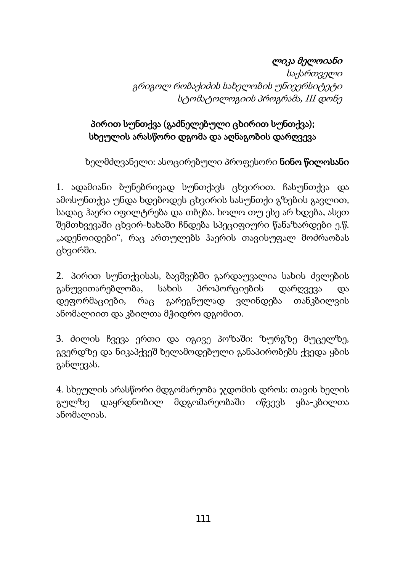# ლიკა მელოიანი

საქართველი გრიგოლ რობაქიძის სახელობის უნივერსიტეტი სტომატოლოგიის პროგრამა, III დონე

## პირით სუნთქვა (გაძნელებული ცხირით სუნთქვა); სხეულის არასწორი დგომა და აღნაგობის დარღვევა

ხელმძღვანელი: ასოცირებული პროფესორი **ნინო წილოსანი** 

1. ადამიანი ბუნებრივად სუნთქავს ცხვირით. ჩასუნთქვა და ამოსუნთქვა უნდა ხდებოდეს ცხვირის სასუნთქი გზების გავლით, სადაც ჰაერი იფილტრება და თბება. ხოლო თუ ესე არ ხდება, ასეთ შემთხვევაში ცხვირ-ხახაში ჩნდება სპეციფიური წანაზარდები ე.წ. "ადენოიდები", რაც ართულებს ჰაერის თავისუფალ მოძრაობას ცხვირში.

2. პირით სუნთქვისას, ბავშვებში გარდაუვალია სახის ძვლების განუვითარებლობა, სახის პროპორციების დარღვევა და დეფორმაციები, რაც გარეგნულად ვლინდება თანკბილვის ანომალიით და კბილთა მჭიდრო დგომით.

3. ძილის ჩვევა ერთი და იგივე პოზაში: ზურგზე მუცელზე, გვერდზე და ნიკაპქვეშ ხელამოდებული განაპირობებს ქვედა ყბის განლევას.

4. სხეულის არასწორი მდგომარეობა ჯდომის დროს: თავის ხელის გულზე დაყრდნობილ მდგომარეობაში იწვევს ყბა-კბილთა ანომალიას.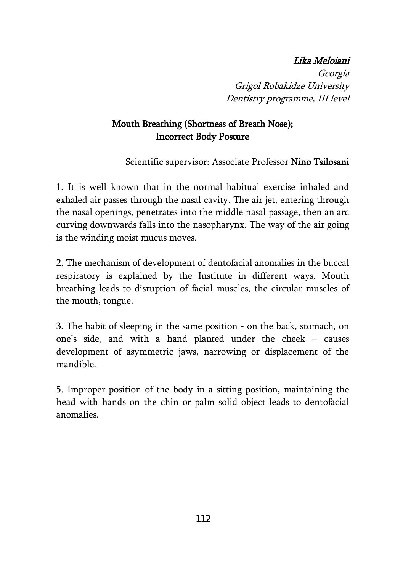#### Lika Meloiani

Georgia Grigol Robakidze University Dentistry programme, III level

### Mouth Breathing (Shortness of Breath Nose); Incorrect Body Posture

Scientific supervisor: Associate Professor Nino Tsilosani

1. It is well known that in the normal habitual exercise inhaled and exhaled air passes through the nasal cavity. The air jet, entering through the nasal openings, penetrates into the middle nasal passage, then an arc curving downwards falls into the nasopharynx. The way of the air going is the winding moist mucus moves.

2. The mechanism of development of dentofacial anomalies in the buccal respiratory is explained by the Institute in different ways. Mouth breathing leads to disruption of facial muscles, the circular muscles of the mouth, tongue.

3. The habit of sleeping in the same position - on the back, stomach, on one's side, and with a hand planted under the cheek – causes development of asymmetric jaws, narrowing or displacement of the mandible.

5. Improper position of the body in a sitting position, maintaining the head with hands on the chin or palm solid object leads to dentofacial anomalies.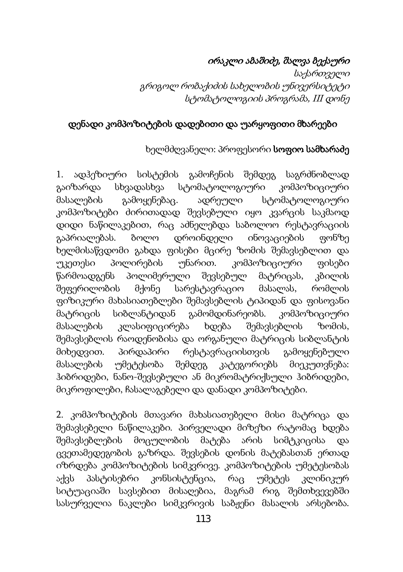### ირაკლი აბაშიძე, შალვა ბექაური

საქართველი გრიგოლ რობაქიძის სახელობის უნივერსიტეტი სტომატოლოგიის პროგრამა, III დონე

#### დენადი კომპოზიტების დადებითი და უარყოფითი მხარეები

### ხელმძღვანელი: პროფესორი **სოფიო სამხარაძე**

1. ადჰეზიური სისტემის გამოჩენის შემდეგ საგრძნობლად გაიზარდა სხვადასხვა სტომატოლოგიური კომპოზიციური მასალების გამოყენებაც. ადრეული სტომატოლოგიური კომპოზიტები ძირითადად შევსებული იყო კვარცის საკმაოდ დიდი ნაწილაკებით, რაც აძნელებდა საბოლოო რესტავრაციის გაპრიალებას. ბოლო დროინდელი ინოვაციების ფონზე ხელმისაწვდომი გახდა ფისები მცირე ზომის შემავსებლით და უკეთესი პოლირების უნარით. კომპოზიციური ფისები წარმოადგენს პოლიმერული შევსებულ მატრიცას, კბილის შეფერილობის მქონე სარესტავრაციო მასალას, რომლის ფიზიკური მახასიათებლები შემავსებლის ტიპიდან და ფისოვანი მატრიცის სიბლანტიდან გამომდინარეობს. კომპოზიციური მასალების კლასიფიცირება ხდება შემავსებლის ზომის, შემავსებლის რაოდენობისა და ორგანული მატრიცის სიბლანტის მიხედვით. პირდაპირი რესტავრაციისთვის გამოყენებული მასალების უმეტესობა შემდეგ კატეგორიებს მიეკუთვნება: ჰიბრიდები, ნანო-შევსებული ან მიკრომატრიქსული ჰიბრიდები, მიკროფილები, ჩასალაგებელი და დანადი კომპოზიტები.

2. კომპოზიტების მთავარი მახასიათებელი მისი მატრიცა და შემავსებელი ნაწილაკები. პირველადი მიზეზი რატომაც ხდება შემავსებლების მოცულობის მატება არის სიმტკიცისა და ცვეთამედეგობის გაზრდა. შევსების დონის მატებასთან ერთად იზრდება კომპოზიტების სიმკვრივე. კომპოზიტების უმეტესობას აქვს პასტისებრი კონსისტენცია, რაც უმეტეს კლინიკურ სიტუაციაში სავსებით მისაღებია, მაგრამ რიგ შემთხვევებში სასურველია ნაკლები სიმკვრივის საბჟენი მასალის არსებობა.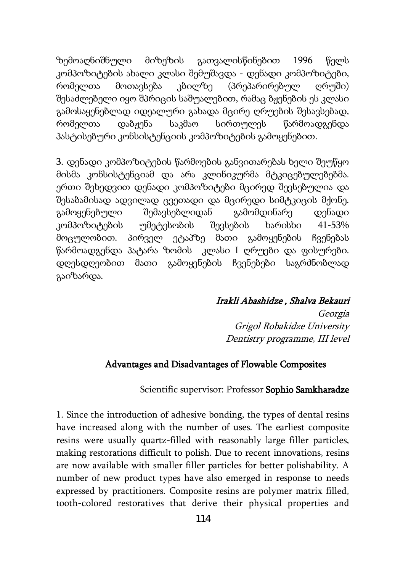ზემოაღნიშნული მიზეზის გათვალისწინებით 1996 წელს კომპოზიტების ახალი კლასი შემუშავდა - დენადი კომპოზიტები, რომელთა მოთავსება კბილზე (პრეპარირებულ ღრუში) შესაძლებელი იყო შპრიცის საშუალებით, რამაც ბჟენების ეს კლასი გამოსაყენებლად იდეალური გახადა მცირე ღრუების შესავსებად, რომელთა დაბჟენა საკმაო სირთულეს წარმოადგენდა პასტისებური კონსისტენციის კომპოზიტების გამოყენებით.

3. დენადი კომპოზიტების წარმოების განვითარებას ხელი შეუწყო მისმა კონსისტენციამ და არა კლინიკურმა მტკიცებულებებმა. ერთი შეხედვით დენადი კომპოზიტები მცირედ შევსებულია და შესაბამისად ადვილად ცვეთადი და მცირედი სიმტკიცის მქონე. გამოყენებული შემავსებლიდან გამომდინარე დენადი კომპოზიტების უმეტესობის შევსების ხარისხი 41-53% მოცულობით. პირველ ეტაპზე მათი გამოყენების ჩვენებას წარმოადგენდა პატარა ზომის კლასი I ღრუები და ფისურები. დღესდღეობით მათი გამოყენების ჩვენებები საგრძნობლად გაიზარდა.

#### Irakli Abashidze , Shalva Bekauri

Georgia Grigol Robakidze University Dentistry programme, III level

### Advantages and Disadvantages of Flowable Composites

#### Scientific supervisor: Professor Sophio Samkharadze

1. Since the introduction of adhesive bonding, the types of dental resins have increased along with the number of uses. The earliest composite resins were usually quartz-filled with reasonably large filler particles, making restorations difficult to polish. Due to recent innovations, resins are now available with smaller filler particles for better polishability. A number of new product types have also emerged in response to needs expressed by practitioners. Composite resins are polymer matrix filled, tooth-colored restoratives that derive their physical properties and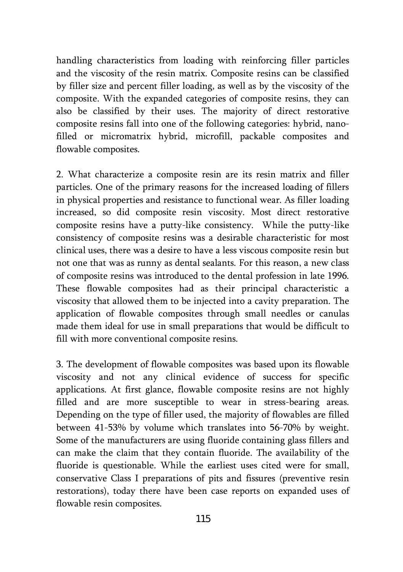handling characteristics from loading with reinforcing filler particles and the viscosity of the resin matrix. Composite resins can be classified by filler size and percent filler loading, as well as by the viscosity of the composite. With the expanded categories of composite resins, they can also be classified by their uses. The majority of direct restorative composite resins fall into one of the following categories: hybrid, nanofilled or micromatrix hybrid, microfill, packable composites and flowable composites.

2. What characterize a composite resin are its resin matrix and filler particles. One of the primary reasons for the increased loading of fillers in physical properties and resistance to functional wear. As filler loading increased, so did composite resin viscosity. Most direct restorative composite resins have a putty-like consistency. While the putty-like consistency of composite resins was a desirable characteristic for most clinical uses, there was a desire to have a less viscous composite resin but not one that was as runny as dental sealants. For this reason, a new class of composite resins was introduced to the dental profession in late 1996. These flowable composites had as their principal characteristic a viscosity that allowed them to be injected into a cavity preparation. The application of flowable composites through small needles or canulas made them ideal for use in small preparations that would be difficult to fill with more conventional composite resins.

3. The development of flowable composites was based upon its flowable viscosity and not any clinical evidence of success for specific applications. At first glance, flowable composite resins are not highly filled and are more susceptible to wear in stress-bearing areas. Depending on the type of filler used, the majority of flowables are filled between 41-53% by volume which translates into 56-70% by weight. Some of the manufacturers are using fluoride containing glass fillers and can make the claim that they contain fluoride. The availability of the fluoride is questionable. While the earliest uses cited were for small, conservative Class I preparations of pits and fissures (preventive resin restorations), today there have been case reports on expanded uses of flowable resin composites.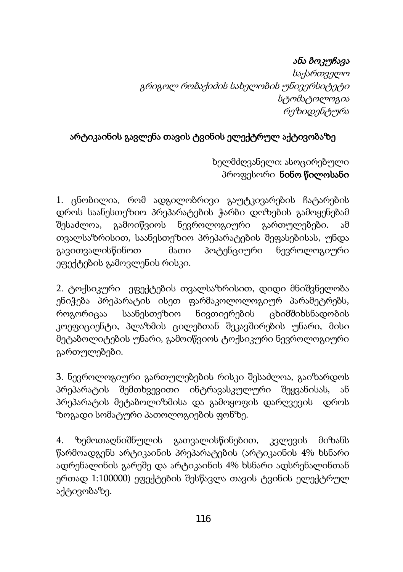## ანა ბოკუჩავა

 საქართველო გრიგოლ რობაქიძის სახელობის უნივერსიტეტი სტომატოლოგია რეზიდენტურა

## არტიკაინის გავლენა თავის ტვინის ელექტრულ აქტივობაზე

 ხელმძღვანელი: ასოცირებული პროფესორი ნინო წილოსანი

1. ცნობილია, რომ ადგილობრივი გაუტკივარების ჩატარების დროს საანესთეზიო პრეპარატების ჭარბი დოზების გამოყენებამ შესაძლოა, გამოიწვიოს ნევროლოგიური გართულებები. ამ თვალსაზრისით, საანესთეზიო პრეპარატების შეფასებისას, უნდა გავითვალისწინოთ მათი პოტენციური ნევროლოგიური ეფექტების გამოვლენის რისკი.

2. ტოქსიკური ეფექტების თვალსაზრისით, დიდი მნიშვნელობა ენიჭება პრეპარატის ისეთ ფარმაკოლოლოგიურ პარამეტრებს, როგორიცაა საანესთეზიო ნივთიერების ცხიმშიხსნადობის კოეფიციენტი, პლაზმის ცილებთან შეკავშირების უნარი, მისი მეტაბოლიტების უნარი, გამოიწვიოს ტოქსიკური ნევროლოგიური გართულებები.

3. ნევროლოგიური გართულებების რისკი შესაძლოა, გაიზარდოს პრეპარატის შემთხვევითი ინტრავასკულური შეყვანისას, ან პრეპარატის მეტაბოლიზმისა და გამოყოფის დარღვევის დროს ზოგადი სომატური პათოლოგიების ფონზე.

4. ზემოთაღნიშნულის გათვალისწინებით, კვლევის მიზანს წარმოადგენს არტიკაინის პრეპარატების (არტიკაინის 4% ხსნარი ადრენალინის გარეშე და არტიკაინის 4% ხსნარი ადსრენალინთან ერთად 1:100000) ეფექტების შესწავლა თავის ტვინის ელექტრულ აქტივობაზე.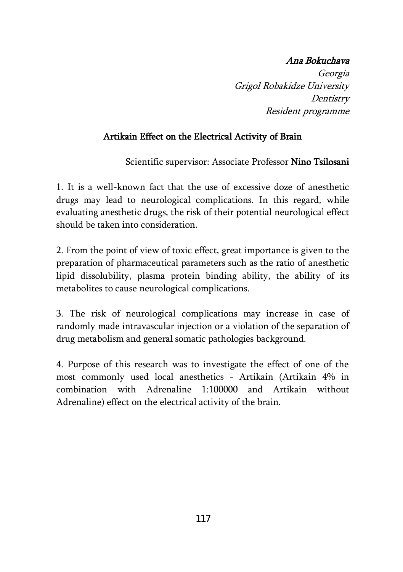### Ana Bokuchava

Georgia Grigol Robakidze University **Dentistry** Resident programme

### Artikain Effect on the Electrical Activity of Brain

Scientific supervisor: Associate Professor Nino Tsilosani

1. It is a well-known fact that the use of excessive doze of anesthetic drugs may lead to neurological complications. In this regard, while evaluating anesthetic drugs, the risk of their potential neurological effect should be taken into consideration.

2. From the point of view of toxic effect, great importance is given to the preparation of pharmaceutical parameters such as the ratio of anesthetic lipid dissolubility, plasma protein binding ability, the ability of its metabolites to cause neurological complications.

3. The risk of neurological complications may increase in case of randomly made intravascular injection or a violation of the separation of drug metabolism and general somatic pathologies background.

4. Purpose of this research was to investigate the effect of one of the most commonly used local anesthetics - Artikain (Artikain 4% in combination with Adrenaline 1:100000 and Artikain without Adrenaline) effect on the electrical activity of the brain.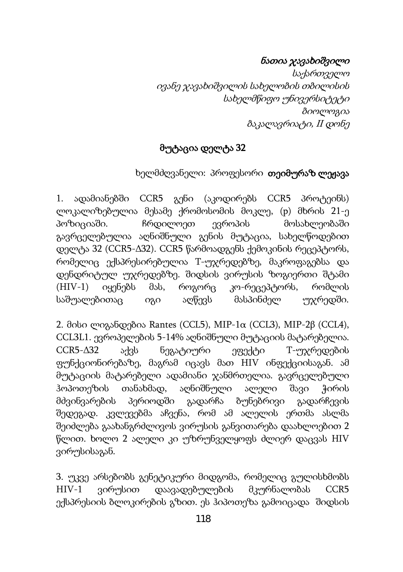### ნათია ჯავახიშვილი

საქართველო ივანე ჯავახიშვილის სახელობის თბილისის სახელმწიფო უნივერსიტეტი ბიოლოგია ბაკალავრიატი, II დონე

### მუტაცია დელტა 32

### ხელმძღვანელი: პროფესორი **თეიმურაზ ლეჟავა**

1. ადამიანებში ССR5 გენი (აკოდირებს ССR5 პროტეინს) ლოკალიზებულია მესამე ქრომოსომის მოკლე, (p) მხრის 21-ე პოზიციაში. ჩრდილოეთ ევროპის მოსახლეობაში გავრცელებულია აღნიშნული გენის მუტაცია, სახელწოდებით დელტა 32 (ССR5-Δ32). ССR5 წარმოადგენს ქემოკინის რეცეპტორს, რომელიც ექსპრესირებულია T-უჯრედებზე, მაკროფაგებსა და დენდრიტულ უჯრედებზე. შიდსის ვირუსის ზოგიერთი შტამი (HIV-1) იყენებს მას, როგორც კო-რეცეპტორს, რომლის საშუალებითაც იგი აღწევს მასპინძელ უჯრედში.

2. მისი ლიგანდებია Rantes (CCL5), MIP-1α (CCL3), MIP-2β (CCL4), CCL3L1. ევროპელების 5-14% აღნიშნული მუტაციის მატარებელია.  $CCR5-\Delta 32$  აქვს ნეგატიური ეფექტი  $T$ -უ $\chi$ რედების ფუნქციონირებაზე, მაგრამ იცავს მათ HIV ინფექციისაგან. ამ მუტაციის მატარებელი ადამიანი ჯანმრთელია. გავრცელებული ჰოპოთეზის თანახმად, აღნიშნული ალელი შავი ჭირის მძვინვარების პერიოდში გადარჩა ბუნებრივი გადარჩევის შედეგად. კვლევებმა აჩვენა, რომ ამ ალელის ერთმა ასლმა შეიძლება გაახანგრძლივოს ვირუსის განვითარება დაახლოებით 2 წლით. ხოლო 2 ალელი კი უზრუნველყოფს ძლიერ დაცვას HIV ვირუსისაგან.

3. უკვე არსებობს გენეტიკური მიდგომა, რომელიც გულისხმობს HIV-1 ვირუსით დაავადებულების მკურნალობას ССR5 ექსპრესიის ბლოკირების გზით. ეს ჰიპოთეზა გამოიცადა შიდსის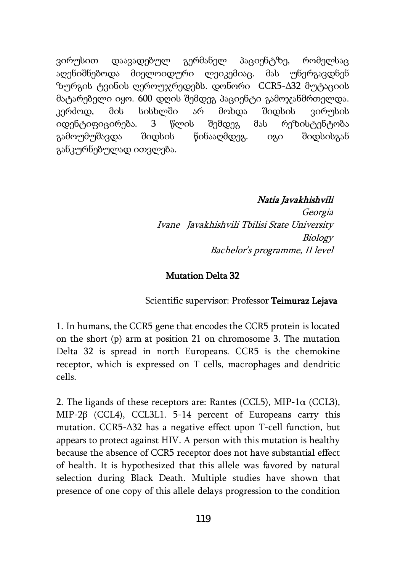ვირუსით დაავადებულ გერმანელ პაციენტზე, რომელსაც აღენიშნებოდა მიელოიდური ლეიკემიაც. მას უნერგავდნენ ზურგის ტვინის ღეროუჯრედებს. დონორი ССR5-Δ32 მუტაციის მატარებელი იყო. 600 დღის შემდეგ პაციენტი გამოჯანმრთელდა. კერძოდ, მის სისხლში არ მოხდა შიდსის ვირუსის იდენტიფიცირება. 3 წლის შემდეგ მას რეზისტენტობა გამოუმუშავდა შიდსის წინააღმდეგ. იგი შიდსისგან განკურნებულად ითვლება.

#### Natia Javakhishvili

Georgia Ivane Javakhishvili Tbilisi State University Biology Bachelor's programme, II level

#### Mutation Delta 32

Scientific supervisor: Professor Teimuraz Lejava

1. In humans, the CCR5 gene that encodes the CCR5 protein is located on the short (p) arm at position 21 on chromosome 3. The mutation Delta 32 is spread in north Europeans. CCR5 is the chemokine receptor, which is expressed on T cells, macrophages and dendritic cells.

2. The ligands of these receptors are: Rantes (CCL5), MIP-1 $\alpha$  (CCL3), MIP-2β (CCL4), CCL3L1. 5-14 percent of Europeans carry this mutation. ССR5-Δ32 has a negative effect upon T-cell function, but appears to protect against HIV. A person with this mutation is healthy because the absence of CCR5 receptor does not have substantial effect of health. It is hypothesized that this allele was favored by natural selection during Black Death. Multiple studies have shown that presence of one copy of this allele delays progression to the condition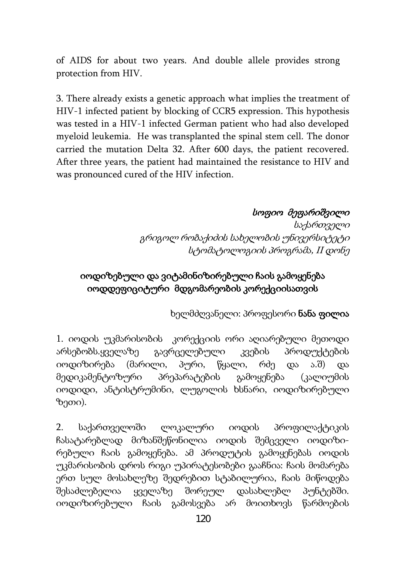of AIDS for about two years. And double allele provides strong protection from HIV.

3. There already exists a genetic approach what implies the treatment of HIV-1 infected patient by blocking of CCR5 expression. This hypothesis was tested in a HIV-1 infected German patient who had also developed myeloid leukemia. He was transplanted the spinal stem cell. The donor carried the mutation Delta 32. After 600 days, the patient recovered. After three years, the patient had maintained the resistance to HIV and was pronounced cured of the HIV infection.

#### სოფიო მეფარიშვილი

საქართველი გრიგოლ რობაქიძის სახელობის უნივერსიტეტი სტომატოლოგიის პროგრამა, II დონე

### იოდიზებული და ვიტამინიზირებული ჩაის გამოყენება იოდდეფიციტური მდგომარეობის კორექციისათვის

ხელმძღვანელი: პროფესორი ნანა ფილია

1. იოდის უკმარისობის კორექციის ორი აღიარებული მეთოდი არსებობს.ყველაზე გავრცელებული კვების პროდუქტების იოდიზირება (მარილი, პური, წყალი, რძე და ა.შ) და მედიკამენტოზური პრეპარატების გამოყენება (კალიუმის იოდიდი, ანტისტრუმინი, ლუგოლის ხსნარი, იოდიზირებული ზეთი).

2. საქართველოში ლოკალური იოდის პროფილაქტიკის ჩასატარებლად მიზანშეწონილია იოდის შემცველი იოდიზირებული ჩაის გამოყენება. ამ პროდუტის გამოყენებას იოდის უკმარისობის დროს რიგი უპირატესობები გააჩნია: ჩაის მომარება ერთ სულ მოსახლეზე შედრებით სტაბილურია, ჩაის მიწოდება შესაძლებელია ყველაზე შორეულ დასახლებლ პუნტებში. იოდიზირებული ჩაის გამოსვება არ მოითხოვს წარმოების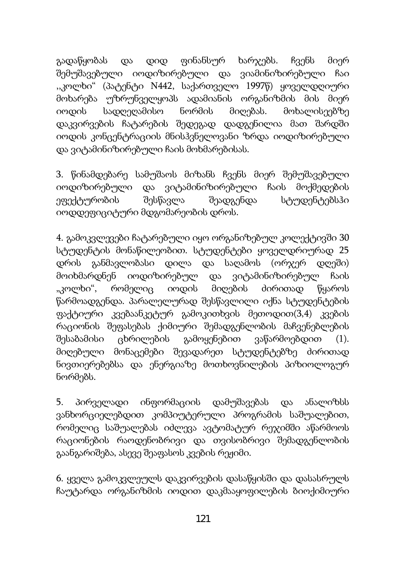გადაწყობას და დიდ ფინანსურ ხარჯებს. ჩვენს მიერ შემუშავებული იოდიზირებული და ვიამინიზირებული ჩაი ,,კოლხი" (პატენტი N442, საქართველო 1997წ) ყოველდღიური მოხარება უზრუნველყოპს ადამიანის ორგანიზმის მის მიერ იოდის სადღეღამისო ნორმის მიღებას. მოხალისეებზე დაკვირვების ჩატარების შედეგად დადგენილია მათ შარდში იოდის კონცენტრაციის მნისჰვნელოვანი ზრდა იოდიზირებული და ვიტამინიზირებული ჩაის მოხმარებისას.

3. წინამდებარე სამუშაოს მიზანს ჩვენს მიერ შემუშავებული იოდიზირებული და ვიტამინიზირებული ჩაის მოქმედების ეფექტურობის შესწავლა შეადგენდა სტუდენტებსჰი იოდდეფიციტური მდგომარეობის დროს.

4. გამოკვლევები ჩატარებული იყო ორგანიზებულ კოლექტივში 30 სტუდენტის მონაწილეობით. სტუდენტები ყოველდრიურად 25 დრის განმავლობასი დილა და საღამოს (ორჯერ დღეში) მოიხმარდნენ იოდიზირებულ და ვიტამინიზირებულ ჩაის "კოლხი", რომელიც იოდის მიღების ძირითად წყაროს წარმოადგენდა. პარალელურად შესწავლილი იქნა სტუდენტების ფაქტიური კვებაანკეტურ გამოკითხვის მეთოდით(3,4) კვების რაციონის შეფასებას ქიმიური შემადგენლობის მაჩვენებლების შესაბამისი ცხრილების გამოყენებით ვაწარმოებდით (1). მიღებული მონაცემები შევადარეთ სტუდენტებზე ძირითად ნივთიერებებსა და ენერგიაზე მოთხოვნილების პიზიოლოგურ ნორმებს.

5. პირველადი ინფორმაციის დამუშავებას და ანალიზსს ვანხორციელებდით კომპიუტერული პროგრამის საშუალებით, რომელიც საშუალებას იძლევა ავტომატურ რეჯიმში აწარმოოს რაციონების რაოდენობრივი და თვისობრივი შემადგენლობის გაანგარიშება, ასევე შეაფასოს კვების რეჟიმი.

6. ყველა გამოკვლეულს დაკვირვების დასაწყისში და დასასრულს ჩაუტარდა ორგანიზმის იოდით დაკმააყოფილების ბიოქიმიური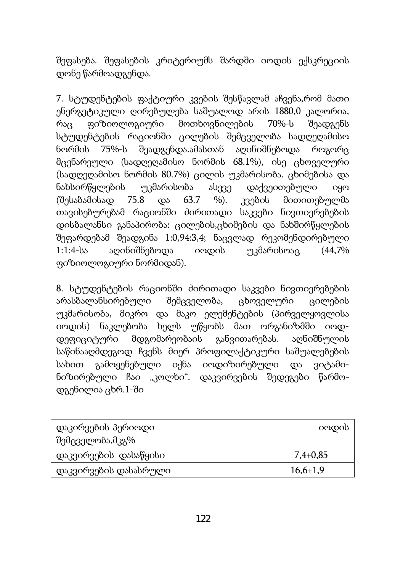შეფასება. შეფასების კრიტერიუმს შარდში იოდის ექსკრეციის დონე წარმოადგენდა.

7. სტუდენტების ფაქტიური კვების შესწავლამ აჩვენა,რომ მათი ენერგეტიკული ღირებულება საშუალოდ არის 1880,0 კალორია, რაც ფიზიოლოგიური მოთხოვნილების 70%-ს შეადგენს სტუდენტების რაციონში ცილების შემცველობა სადღეღამისო ნორმის 75%-ს შეადგენდა.ამასთან აღინიშნებოდა როგორც მცენარეული (სადღეღამისო ნორმის 68.1%), ისე ცხოველური (სადღეღამისო ნორმის 80.7%) ცილის უკმარისობა. ცხიმებისა და ნახსირწყლების უკმარისობა ასევე დაქვეითებული იყო (შესაბამისად 75.8 და 63.7 %). კვების მითითებულმა თავისებურებამ რაციონში ძირითადი საკვები ნივთიერებების დისბალანსი განაპირობა: ცილების,ცხიმების და ნახშირწყლების შეფარდებამ შეადგინა 1:0,94:3,4; ნაცვლად რეკომენდირებული 1:1:4-სა აღინიშნებოდა იოდის უკმარისოაც (44,7% ფიზიოლოგიური ნორმიდან).

8. სტუდენტების რაციონში ძირითადი საკვები ნივთიერებების არასბალანსირებული შემცველობა, ცხოველური ცილების უკმარისობა, მიკრო და მაკო ელემენტების (პირველყოვლისა იოდის) ნაკლებობა ხელს უწყობს მათ ორგანიზმში იოდდეფიციტური მდგომარეობაის განვითარებას. აღნიშნულის საწინააღმდეგოდ ჩვენს მიერ პროფილაქტიკური საშუალებების სახით გამოყენებული იქნა იოდიზირებული და ვიტამინიზირებული ჩაი "კოლხი". დაკვირვების შედეგები წარმოდგენილია ცხრ.1-ში

| დაკირვების პერიოდი<br>შემცველობა,მკგ% | იოდის      |
|---------------------------------------|------------|
| დაკვირვების დასაწყისი                 | $7,4+0,85$ |
| დაკვირვების დასასრული                 | $16,6+1,9$ |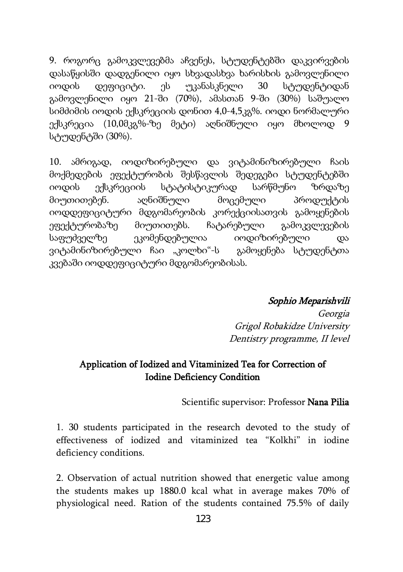9. როგორც გამოკვლევებმა აჩვენეს, სტუდენტებში დაკვირვების დასაწყისში დადგენილი იყო სხვადასხვა ხარისხის გამოვლენილი იოდის დეფიციტი. ეს უკანასკნელი 30 სტუდენტიდან გამოვლენილი იყო 21-ში (70%), ამასთან 9-ში (30%) საშუალო სიმძიმის იოდის ექსკრეციის დონით 4,0-4,5კგ%. იოდი ნორმალური ექსკრეცია (10,0მკგ%-ზე მეტი) აღნიშნული იყო მხოლოდ 9 სტუდენტში (30%).

10. ამრიგად, იოდიზირებული და ვიტამინიზირებული ჩაის მოქმედების ეფექტურობის შესწავლის შედეგები სტუდენტებში იოდის ექსკრეციის სტატისტიკურად სარწმუნო ზრდაზე მიუთითებენ. აღნიშნული მოცემული პროდუქტის იოდდეფიციტური მდგომარეობის კორექციისათვის გამოყენების ეფექტურობაზე მიუთითებს. ჩატარებული გამოკვლევების საფუძველზე ეკომენდებულია იოდიზირებული და ვიტამინიზირებული ჩაი "კოლხი"-ს გამოყენება სტუდენტთა კვებაში იოდდეფიციტური მდგომარეობისას.

Sophio Meparishvili

Georgia Grigol Robakidze University Dentistry programme, II level

#### Application of Iodized and Vitaminized Tea for Correction of Iodine Deficiency Condition

Scientific supervisor: Professor Nana Pilia

1. 30 students participated in the research devoted to the study of effectiveness of iodized and vitaminized tea "Kolkhi" in iodine deficiency conditions.

2. Observation of actual nutrition showed that energetic value among the students makes up 1880.0 kcal what in average makes 70% of physiological need. Ration of the students contained 75.5% of daily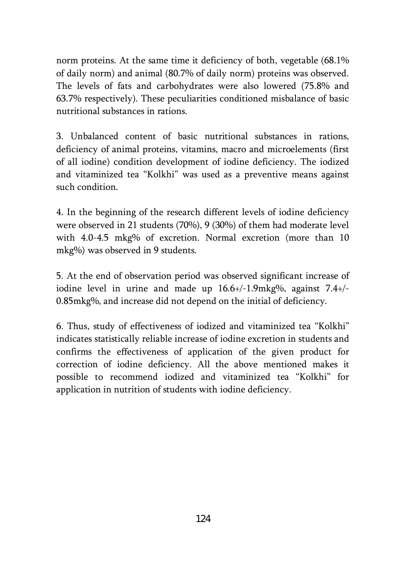norm proteins. At the same time it deficiency of both, vegetable (68.1% of daily norm) and animal (80.7% of daily norm) proteins was observed. The levels of fats and carbohydrates were also lowered (75.8% and 63.7% respectively). These peculiarities conditioned misbalance of basic nutritional substances in rations.

3. Unbalanced content of basic nutritional substances in rations, deficiency of animal proteins, vitamins, macro and microelements (first of all iodine) condition development of iodine deficiency. The iodized and vitaminized tea "Kolkhi" was used as a preventive means against such condition.

4. In the beginning of the research different levels of iodine deficiency were observed in 21 students (70%), 9 (30%) of them had moderate level with 4.0-4.5 mkg% of excretion. Normal excretion (more than 10 mkg%) was observed in 9 students.

5. At the end of observation period was observed significant increase of iodine level in urine and made up 16.6+/-1.9mkg%, against 7.4+/- 0.85mkg%, and increase did not depend on the initial of deficiency.

6. Thus, study of effectiveness of iodized and vitaminized tea "Kolkhi" indicates statistically reliable increase of iodine excretion in students and confirms the effectiveness of application of the given product for correction of iodine deficiency. All the above mentioned makes it possible to recommend iodized and vitaminized tea "Kolkhi" for application in nutrition of students with iodine deficiency.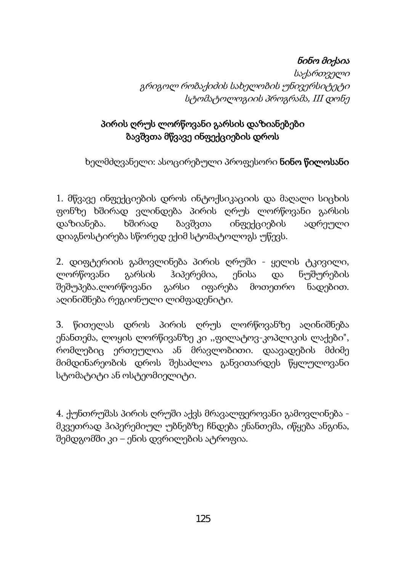### ნინო მიქაია

საქართველი გრიგოლ რობაქიძის სახელობის უნივერსიტეტი სტომატოლოგიის პროგრამა, III დონე

### პირის ღრუს ლორწოვანი გარსის დაზიანებები ბავშვთა მწვავე ინფექციების დროს

ხელმძღვანელი: ასოცირებული პროფესორი **ნინო წილოსანი** 

1. მწვავე ინფექციების დროს ინტოქსიკაციის და მაღალი სიცხის ფონზე ხშირად ვლინდება პირის ღრუს ლორწოვანი გარსის დაზიანება. ხშირად ბავშვთა ინფექციების ადრეული დიაგნოსტირება სწორედ ექიმ სტომატოლოგს უწევს.

2. დიფტერიის გამოვლინება პირის ღრუში - ყელის ტკივილი, ლორწოვანი გარსის ჰიპერემია, ენისა და ნუშურების შეშუპება.ლორწოვანი გარსი იფარება მოთეთრო ნადებით. აღინიშნება რეგიონული ლიმფადენიტი.

3. წითელას დროს პირის ღრუს ლორწოვანზე აღინიშნება ენანთემა, ლოყის ლორწივანზე კი ,,ფილატოვ-კოპლიკის ლაქები", რომლებიც ერთეულია ან მრავლობითი. დაავადების მძიმე მიმდინარეობის დროს შესაძლოა განვითარდეს წყლულოვანი სტომატიტი ან ოსტეომიელიტი.

4. ქუნთრუშას პირის ღრუში აქვს მრავალფეროვანი გამოვლინება მკვეთრად ჰიპერემიულ უბნებზე ჩნდება ენანთემა, იწყება ანგინა, შემდგომში კი – ენის დვრილების ატროფია.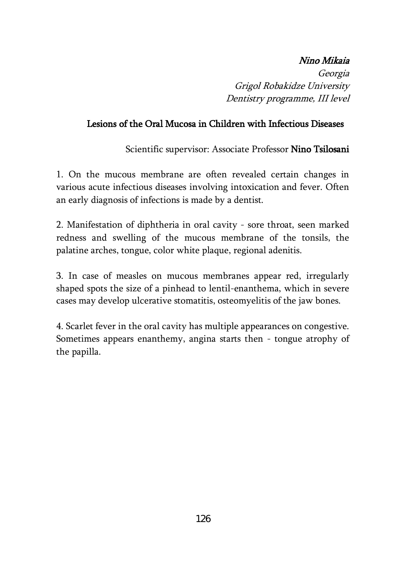### Nino Mikaia

Georgia Grigol Robakidze University Dentistry programme, III level

#### Lesions of the Oral Mucosa in Children with Infectious Diseases

Scientific supervisor: Associate Professor Nino Tsilosani

1. On the mucous membrane are often revealed certain changes in various acute infectious diseases involving intoxication and fever. Often an early diagnosis of infections is made by a dentist.

2. Manifestation of diphtheria in oral cavity - sore throat, seen marked redness and swelling of the mucous membrane of the tonsils, the palatine arches, tongue, color white plaque, regional adenitis.

3. In case of measles on mucous membranes appear red, irregularly shaped spots the size of a pinhead to lentil-enanthema, which in severe cases may develop ulcerative stomatitis, osteomyelitis of the jaw bones.

4. Scarlet fever in the oral cavity has multiple appearances on congestive. Sometimes appears enanthemy, angina starts then - tongue atrophy of the papilla.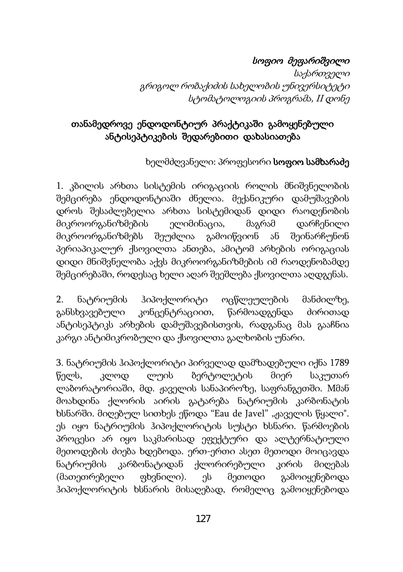## სოფიო მეფარიშვილი

საქართველი გრიგოლ რობაქიძის სახელობის უნივერსიტეტი სტომატოლოგიის პროგრამა, II დონე

### თანამედროვე ენდოდონტიურ პრაქტიკაში გამოყენებული ანტისეპტიკების შედარებითი დახასიათება

ხელმძღვანელი: პროფესორი სოფიო სამხარაძე

1. კბილის არხთა სისტემის ირიგაციის როლის მნიშვნელობის შემცირება ენდოდონტიაში ძნელია. მექანიკური დამუშავების დროს შესაძლებელია არხთა სისტემიდან დიდი რაოდენობის მიკროორგანიზმების ელიმინაცია, მაგრამ დარჩენილი მიკროორგანიზმებს შეუძლია გამოიწვიონ ან შეინარჩუნონ პერიაპიკალურ ქსოვილთა ანთება, ამიტომ არხების ორიგაციას დიდი მნიშვნელობა აქვს მიკროორგანიზმების იმ რაოდენობამდე შემცირებაში, როდესაც ხელი აღარ შეეშლება ქსოვილთა აღდგენას.

2. ნატრიუმის ჰიპოქლორიტი ოცწლეულების მანძილზე, განსხვავებული კონცენტრაციით, წარმოადგენდა ძირითად ანტისეპტიკს არხების დამუშავებისთვის, რადგანაც მას გააჩნია კარგი ანტიმიკრობული და ქსოვილთა გალხობის უნარი.

3. ნატრიუმის ჰიპოქლორიტი პირველად დამზადებული იქნა 1789 წელს, კლოდ ლუის ბერტოლეტის მიერ საკუთარ ლაბორატორიაში, მდ. ჟაველის სანაპიროზე, საფრანგეთში. Mმან მოახდინა ქლორის აირის გატარება ნატრიუმის კარბონატის ხსნარში. მიღებულ სითხეს ეწოდა "Eau de Javel" "ჟაველის წყალი". ეს იყო ნატრიუმის ჰიპოქლორიტის სუსტი ხსნარი. წარმოების პროცესი არ იყო საკმარისად ეფექტური და ალტერნატიული მეთოდების ძიება ხდებოდა. ერთ-ერთი ასეთ მეთოდი მოიცავდა ნატრიუმის კარბონატიდან ქლორირებული კირის მიღებას (მათეთრებელი ფხვნილი). ეს მეთოდი გამოიყენებოდა ჰიპოქლორიტის ხსნარის მისაღებად, რომელიც გამოიყენებოდა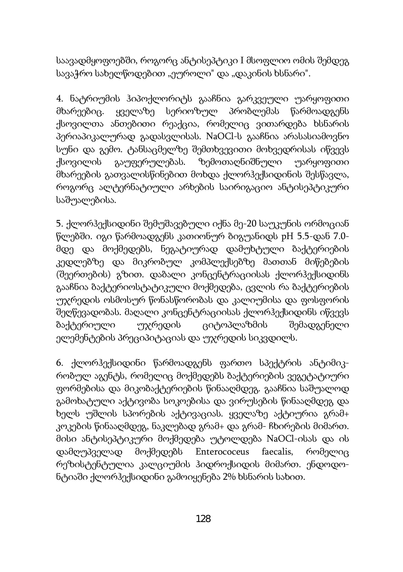საავადმყოფოებში, როგორც ანტისეპტიკი I მსოფლიო ომის შემდეგ სავაჭრო სახელწოდებით "ეუროლი" და "დაკინის ხსნარი".

4. ნატრიუმის ჰიპოქლორიტს გააჩნია გარკვეული უარყოფითი მხარეებიც. ყველაზე სერიოზულ პრობლემას წარმოადგენს ქსოვილთა ანთებითი რეაქცია, რომელიც ვითარდება ხსნარის პერიაპიკალურად გადასვლისას. NaOCl-ს გააჩნია არასასიამოვნო სუნი და გემო. ტანსაცმელზე შემთხვევითი მოხვედრისას იწვევს ქსოვილის გაუფერულებას. ზემოთაღნიშნული უარყოფითი მხარეების გათვალისწინებით მოხდა ქლორჰექსიდინის შესწავლა, როგორც ალტერნატიული არხების საირიგაციო ანტისეპტიკური საშუალებისა.

5. ქლორჰექსიდინი შემუშავებული იქნა მე-20 საუკუნის ორმოციან წლებში. იგი წარმოადგენს კათიონურ ბიგუანიდს pH 5.5-დან 7.0 მდე და მოქმედებს, ნეგატიურად დამუხტული ბაქტერიების კედლებზე და მიკრობულ კომპლექსებზე მათთან მიწებების (შეერთების) გზით. დაბალი კონცენტრაციისას ქლორჰექსიდინს გააჩნია ბაქტერიოსტატიკული მოქმედება, ცვლის რა ბაქტერიების უჯრედის ოსმოსურ წონასწორობას და კალიუმისა და ფოსფორის შეღწევადობას. მაღალი კონცენტრაციისას ქლორჰექსიდინს იწვევს ბაქტერიული უჯრედის ციტოპლაზმის შემადგენელი ელემენტების პრეციპიტაციას და უჯრედის სიკვდილს.

6. ქლორჰექსიდინი წარმოადგენს ფართო სპექტრის ანტიმიკრობულ აგენტს, რომელიც მოქმედებს ბაქტერიების ვეგეტატიური ფორმებისა და მიკობაქტერიების წინააღმდეგ. გააჩნია საშუალოდ გამოხატული აქტივობა სოკოებისა და ვირუსების წინააღმდეგ და ხელს უშლის სპორების აქტივაციას. ყველაზე აქტიურია გრამ+ კოკების წინააღმდეგ, ნაკლებად გრამ+ და გრამ- ჩხირების მიმართ. მისი ანტისეპტიკური მოქმედება უტოლდება NaOCl-ისას და ის დამღუპველად მოქმედებს Enterococeus faecalis, რომელიც რეზისტენტულია კალციუმის ჰიდროქსიდის მიმართ. ენდოდონტიაში ქლორჰექსიდინი გამოიყენება 2% ხსნარის სახით.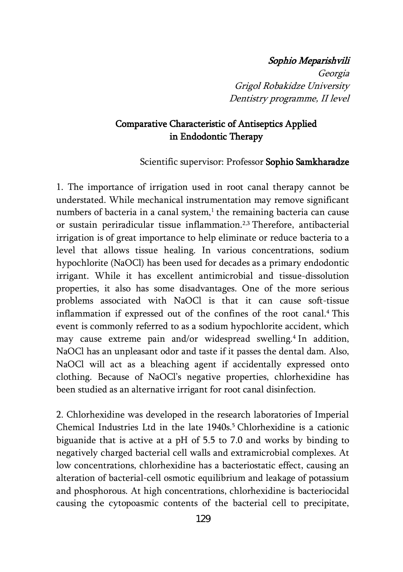#### Sophio Meparishvili

Georgia Grigol Robakidze University Dentistry programme, II level

#### Comparative Characteristic of Antiseptics Applied in Endodontic Therapy

Scientific supervisor: Professor Sophio Samkharadze

1. The importance of irrigation used in root canal therapy cannot be understated. While mechanical instrumentation may remove significant numbers of bacteria in a canal system, $<sup>1</sup>$  the remaining bacteria can cause</sup> or sustain periradicular tissue inflammation.2,3 Therefore, antibacterial irrigation is of great importance to help eliminate or reduce bacteria to a level that allows tissue healing. In various concentrations, sodium hypochlorite (NaOCl) has been used for decades as a primary endodontic irrigant. While it has excellent antimicrobial and tissue-dissolution properties, it also has some disadvantages. One of the more serious problems associated with NaOCl is that it can cause soft-tissue inflammation if expressed out of the confines of the root canal.<sup>4</sup> This event is commonly referred to as a sodium hypochlorite accident, which may cause extreme pain and/or widespread swelling.<sup>4</sup> In addition, NaOCl has an unpleasant odor and taste if it passes the dental dam. Also, NaOCl will act as a bleaching agent if accidentally expressed onto clothing. Because of NaOCl's negative properties, chlorhexidine has been studied as an alternative irrigant for root canal disinfection.

2. Chlorhexidine was developed in the research laboratories of Imperial Chemical Industries Ltd in the late 1940s.<sup>5</sup> Chlorhexidine is a cationic biguanide that is active at a pH of 5.5 to 7.0 and works by binding to negatively charged bacterial cell walls and extramicrobial complexes. At low concentrations, chlorhexidine has a bacteriostatic effect, causing an alteration of bacterial-cell osmotic equilibrium and leakage of potassium and phosphorous. At high concentrations, chlorhexidine is bacteriocidal causing the cytopoasmic contents of the bacterial cell to precipitate,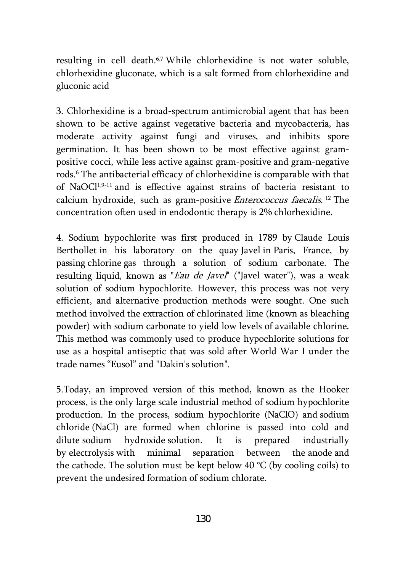resulting in cell death.<sup>6,7</sup> While chlorhexidine is not water soluble, chlorhexidine gluconate, which is a salt formed from chlorhexidine and gluconic acid

3. Chlorhexidine is a broad-spectrum antimicrobial agent that has been shown to be active against vegetative bacteria and mycobacteria, has moderate activity against fungi and viruses, and inhibits spore germination. It has been shown to be most effective against grampositive cocci, while less active against gram-positive and gram-negative rods.6 The antibacterial efficacy of chlorhexidine is comparable with that of NaOCl1,9-11 and is effective against strains of bacteria resistant to calcium hydroxide, such as gram-positive Enterococcus faecalis. <sup>12</sup> The concentration often used in endodontic therapy is 2% chlorhexidine.

4. Sodium hypochlorite was first produced in 1789 by [Claude Louis](http://en.wikipedia.org/wiki/Claude_Louis_Berthollet)  [Berthollet](http://en.wikipedia.org/wiki/Claude_Louis_Berthollet) in his laboratory on the quay [Javel](http://en.wikipedia.org/wiki/Javel_-_Andr%C3%A9_Citro%C3%ABn_(Paris_M%C3%A9tro)) in [Paris,](http://en.wikipedia.org/wiki/Paris) France, by passing [chlorine](http://en.wikipedia.org/wiki/Chlorine) gas through a solution of sodium carbonate. The resulting liquid, known as "Eau de Javel" ("Javel water"), was a weak solution of sodium hypochlorite. However, this process was not very efficient, and alternative production methods were sought. One such method involved the extraction of chlorinated lime (known as bleaching powder) with sodium carbonate to yield low levels of available chlorine. This method was commonly used to produce hypochlorite solutions for use as a hospital antiseptic that was sold after World War I under the trade names "Eusol" and "Dakin's solution".

5.Today, an improved version of this method, known as the Hooker process, is the only large scale industrial method of sodium hypochlorite production. In the process, sodium hypochlorite (NaClO) and [sodium](http://en.wikipedia.org/wiki/Sodium_chloride)  [chloride](http://en.wikipedia.org/wiki/Sodium_chloride) (NaCl) are formed when chlorine is passed into cold and dilute [sodium hydroxide](http://en.wikipedia.org/wiki/Sodium_hydroxide) solution. It is prepared industrially by [electrolysis](http://en.wikipedia.org/wiki/Electrolysis) with minimal separation between the [anode](http://en.wikipedia.org/wiki/Anode) and the [cathode](http://en.wikipedia.org/wiki/Cathode). The solution must be kept below 40  $\degree$ C (by cooling coils) to prevent the undesired formation of [sodium chlorate.](http://en.wikipedia.org/wiki/Sodium_chlorate)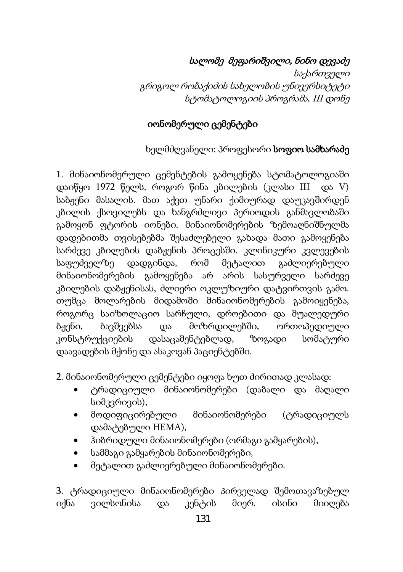# სალომე მეფარიშვილი, ნინო დევაძე

საქართველი გრიგოლ რობაქიძის სახელობის უნივერსიტეტი სტომატოლოგიის პროგრამა, II<sup>I</sup> დონე

#### იონომერული ცემენტები

### ხელმძღვანელი: პროფესორი სოფიო სამხარაძე

1. მინაიონომერული ცემენტების გამოყენება სტომატოლოგიაში დაიწყო 1972 წელს, როგორ წინა კბილების (კლასი III და V) საბჟენი მასალის. მათ აქვთ უნარი ქიმიურად დაუკავშირდენ კბილის ქსოვილებს და ხანგრძლივი პერიოდის განმავლობაში გამოყონ ფტორის იონები. მინაიონომერების ზემოაღნიშნულმა დადებითმა თვისებებმა შესაძლებელი გახადა მათი გამოყენება სარძევე კბილების დაბჟენის პროცესში. კლინიკური კვლევების საფუძველზე დადგინდა, რომ მეტალით გაძლიერებული მინაიონომერების გამოყენება არ არის სასურველი სარძევე კბილების დაბჟენისას, ძლიერი ოკლუზიური დატვირთვის გამო. თუმცა მოლარების მიდამოში მინაიონომერების გამოიყენება, როგორც საიზოლაციო სარჩული, დროებითი და შუალედური ბჟენი, ბავშვებსა და მოზრდილებში, ორთოპედიული კონსტრუქციების დასაცამენტებლად, ზოგადი სომატური დაავადების მქონე და ასაკოვან პაციენტებში.

2. მინაიონომერული ცემენტები იყოფა ხუთ ძირითად კლასად:

- ტრადიციული მინაიონომერები (დაბალი და მაღალი სიმკვრივის),
- მოდიფიცირებული მინაიონომერები (ტრადიციულს დამატებული HEMA),
- ჰიბრიდული მინაიონომერები (ორმაგი გამყარების),
- სამმაგი გამყარების მინაიონომერები,
- მეტალით გაძლიერებული მინაიონომერები.

3. ტრადიციული მინაიონომერები პირველად შემოთავაზებულ იქნა ვილსონისა და კენტის მიერ. ისინი მიიღება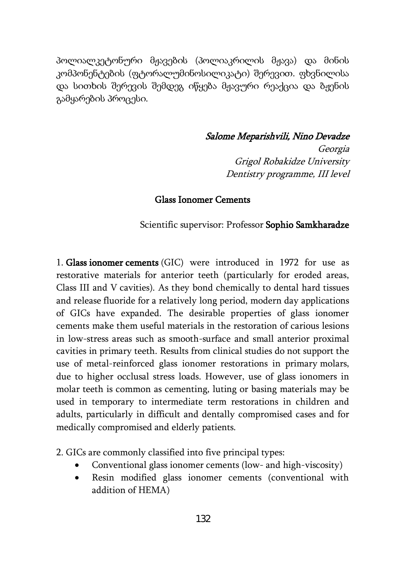პოლიალკეტონური მჟავების (პოლიაკრილის მჟავა) და მინის კომპონენტების (ფტორალუმინოსილიკატი) შერევით. ფხვნილისა და სითხის შერევის შემდეგ იწყება მჟავური რეაქცია და ბჟენის გამყარების პროცესი.

#### Salome Meparishvili, Nino Devadze

Georgia Grigol Robakidze University Dentistry programme, III level

#### Glas[s Ionomer](http://en.wikipedia.org/wiki/Ionomer) Cements

Scientific supervisor: Professor Sophio Samkharadze

1. Glas[s ionomer](http://en.wikipedia.org/wiki/Ionomer) cements (GIC) were introduced in 1972 for use as restorative materials for anterior teeth (particularly for eroded areas, Class III and V [cavities](http://en.wikipedia.org/wiki/Dental_caries)). As they bond chemically to dental hard tissues and release [fluoride](http://en.wikipedia.org/wiki/Fluoride) for a relatively long period, modern day applications of GICs have expanded. The desirable properties of glass ionomer cements make them useful materials in the restoration of carious lesions in low-stress areas such as smooth-surface and small anterior proximal cavities in primary teeth. Results from clinical studies do not support the use of metal-reinforced glass ionomer restorations in primary [molars,](http://en.wikipedia.org/wiki/Molar_(tooth)) due to higher occlusal stress loads. However, use of glass ionomers in molar teeth is common as cementing, luting or basing materials may be used in temporary to intermediate term restorations in children and adults, particularly in difficult and dentally compromised cases and for medically compromised and elderly patients.

2. GICs are commonly classified into five principal types:

- Conventional glass ionomer cements (low- and high-viscosity)
- Resin modified glass ionomer cements (conventional with addition of [HEMA](http://en.wikipedia.org/wiki/(Hydroxyethyl)methacrylate))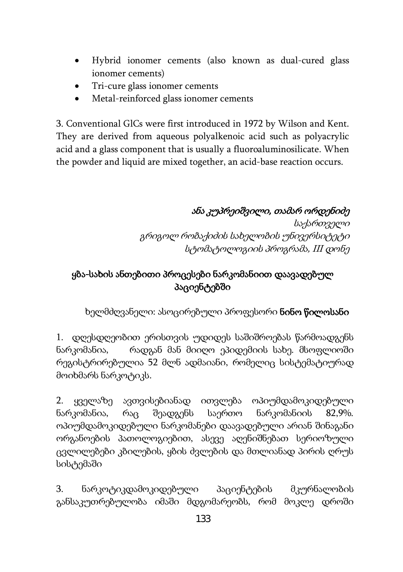- Hybrid ionomer cements (also known as dual-cured glass ionomer cements)
- Tri-cure glass ionomer cements
- Metal-reinforced glass ionomer cements

3. Conventional GlCs were first introduced in 1972 by Wilson and Kent. They are derived from aqueous polyalkenoic acid such as polyacrylic acid and a glass component that is usually a fluoroaluminosilicate. When the powder and liquid are mixed together, an [acid-base](http://en.wikipedia.org/wiki/Acid-base) reaction occurs.

# ანა კუპრეიშვილი, თამარ ორდენიძე

საქართველი გრიგოლ რობაქიძის სახელობის უნივერსიტეტი სტომატოლოგიის პროგრამა, III დონე

## ყბა-სახის ანთებითი პროცესები ნარკომანიით დაავადებულ პაციენტებში

ხელმძღვანელი: ასოცირებული პროფესორი **ნინო წილოსანი** 

1. დღესდღეობით ერისთვის უდიდეს საშიშროებას წარმოადგენს ნარკომანია, რადგან მან მიიღო ეპიდემიის სახე. მსოფლიოში რეგისტრირებულია 52 მლნ ადმაიანი, რომელიც სისტემატიურად მოიხმარს ნარკოტიკს.

2. ყველაზე ავთვისებიანად ითვლება ოპიუმდამოკიდებული ნარკომანია, რაც შეადგენს საერთო ნარკომანიის 82,9%. ოპიუმდამოკიდებული ნარკომანები დაავადებული არიან შინაგანი ორგანოების პათოლოგიებით, ასევე აღენიშნებათ სერიოზული ცვლილებები კბილების, ყბის ძვლების და მთლიანად პირის ღრუს სისტემაში

3. ნარკოტიკდამოკიდებული პაციენტების მკურნალობის განსაკუთრებულობა იმაში მდგომარეობს, რომ მოკლე დროში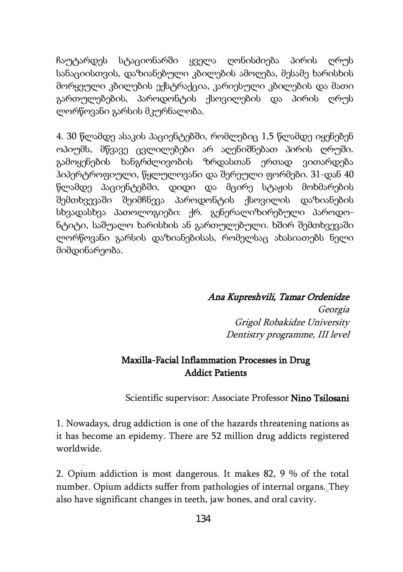ჩაუტარდეს სტაციონარში ყველა ღონისძიება პირის ღრუს სანაციისთვის, დაზიანებული კბილების ამოღება, მესამე ხარისხის მორყეული კბილების ექსტრაქცია, კარიესული კბილების და მათი გართულებების, პაროდონტის ქსოვილების და პირის ღრუს ლორწოვანი გარსის მკურნალობა.

4. 30 წლამდე ასაკის პაციენტებში, რომლებიც 1,5 წლამდე იყენებენ ოპიუმს, მწვავე ცვლილებები არ აღენიშნებათ პირის ღრუში. გამოყენების ხანგრძლივობის ზრდასთან ერთად ვითარდება ჰიპერტროფიული, წყლულოვანი და შერეული ფორმები. 31-დან 40 წლამდე პაციენტებში, დიდი და მცირე სტაჟის მოხმარების შემთხვევაში შეიმჩნევა პაროდონტის ქსოვილის დაზიანების სხვადასხვა პათოლოგიები: ქრ. გენერალიზირებული პაროდონტიტი, საშუალო ხარისხის ან გართულებული. ხშირ შემთხვევაში ლორწოვანი გარსის დაზიანებისას, რომელსაც ახასიათებს ნელი მიმდინარეობა.

Ana Kupreshvili, Tamar Ordenidze

Georgia Grigol Robakidze University Dentistry programme, III level

### Maxilla-Facial Inflammation Processes in Drug Addict Patients

Scientific supervisor: Associate Professor Nino Tsilosani

1. Nowadays, drug addiction is one of the hazards threatening nations as it has become an epidemy. There are 52 million drug addicts registered worldwide.

2. Opium addiction is most dangerous. It makes 82, 9 % of the total number. Opium addicts suffer from pathologies of internal organs. They also have significant changes in teeth, jaw bones, and oral cavity.